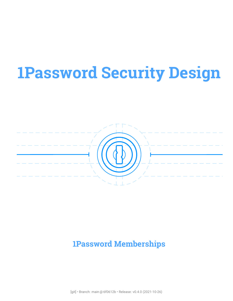# **1Password Security Design**



## **1Password Memberships**

[git] • Branch: main @ 6f0612b • Release: v0.4.0 (2021-10-26)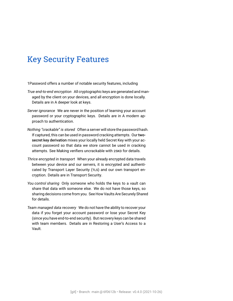### Key Security Features

- 1Password offers a number of notable security features, including
- *True end-to-end encryption* All cryptographic keys are generated and managed by the client on your devices, and all encryption is done locally. Details are in [A deeper look at keys.](#page-32-0)
- *Server ignorance* We are never in the position of learning your account password or your cryptographic keys. Details are in [A modern ap](#page-13-0)[proach to authentication.](#page-13-0)
- *Nothing "crackable" is stored* Often a server will store the password hash. If captured, this can be used in password cracking attempts. Our twosecret key derivation mixes your locally held Secret Key with your account password so that data we store cannot be used in cracking attempts. See [Making verifiers uncrackable with 2SKD](#page-16-0) for details.
- *Thrice encrypted in transport* When your already encrypted data travels between your device and our servers, it is encrypted and authenticated by [Transport Layer Security \(TLS\)](#page-91-0) and our own transport encryption. Details are in [Transport Security](#page-60-0).
- *You control sharing* Only someone who holds the keys to a vault can share that data with someone else. We do not have those keys, so sharing decisions come from you. See [How Vaults Are Securely Shared](#page-21-0) for details.
- *Team managed data recovery* We do not have the ability to recover your data if you forget your account password or lose your Secret Key (since you have end-to-end security). But recovery keys can be shared with team members. Details are in [Restoring a User's Access to a](#page-47-0) [Vault.](#page-47-0)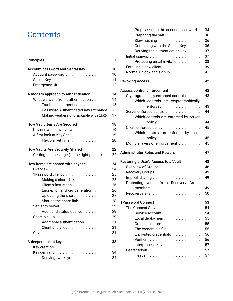### **Contents**

#### [Principles](#page-6-0) 7

| <b>Account password and Secret Key</b><br>Account password | 10<br>10<br>11 |
|------------------------------------------------------------|----------------|
| Emergency Kit                                              | 12             |
| A modern approach to authentication                        | 14             |
| What we want from authentication                           | 14             |
| Traditional authentication                                 | 15             |
| Password Authenticated Key Exchange                        | 15             |
| Making verifiers uncrackable with 2SKD                     | 17             |
| <b>How Vault Items Are Secured</b>                         | 18             |
| Key derivation overview                                    | 19             |
| A first look at Key Set                                    | 19             |
| Flexible, yet firm                                         | 20             |
| <b>How Vaults Are Securely Shared</b>                      | 22             |
| Getting the message (to the right people).                 | 22             |
| How items are shared with anyone                           | 24             |
|                                                            | 24             |
| 1Password client                                           | 25             |
| Making a share link                                        | 25             |
| Client's first steps                                       | 26             |
| Encryption and key generation                              | 26             |
| Uploading the share                                        | 27             |
| Sharing the share link                                     | 28             |
| Server to server                                           | 29             |
| Audit and status queries                                   | 29             |
|                                                            | 29             |
| Additional authentication                                  | 31             |
| Client analytics                                           | 31             |
|                                                            | 31             |
| A deeper look at keys                                      | 33             |
| Key creation<br>.                                          | 33             |
| Key derivation                                             | 34             |
| Deriving two keys                                          | 34             |

| Preprocessing the account password.               | 34                                                                   |
|---------------------------------------------------|----------------------------------------------------------------------|
| Preparing the salt                                | 36                                                                   |
| Slow hashing $\ldots \ldots \ldots \ldots$        | 36                                                                   |
| Combining with the Secret Key                     | 36                                                                   |
| Deriving the authentication key                   | 37                                                                   |
|                                                   | 37                                                                   |
| Protecting email invitations                      | 38                                                                   |
| Enrolling a new client                            | 39                                                                   |
| Normal unlock and sign-in                         | 41                                                                   |
| <b>Revoking Access</b>                            | 42                                                                   |
| <b>Access control enforcement</b>                 | 43                                                                   |
| Cryptographically enforced controls               | 43                                                                   |
| Which controls are cryptographically              |                                                                      |
| enforced                                          | 43                                                                   |
| Server-enforced controls                          | 44                                                                   |
| Which controls are enforced by server             |                                                                      |
| policy $\ldots \ldots \ldots \ldots$              | 44                                                                   |
| Client-enforced policy                            | 45                                                                   |
| Which controls are enforced by client             |                                                                      |
|                                                   |                                                                      |
| policy $\ldots \ldots \ldots \ldots$              |                                                                      |
|                                                   |                                                                      |
| Multiple layers of enforcement                    | 45<br>45                                                             |
| <b>Administrator Roles and Powers</b>             |                                                                      |
|                                                   |                                                                      |
| Restoring a User's Access to a Vault              | 47<br>48<br>48                                                       |
| Overview of Groups                                | 49                                                                   |
| Recovery Groups                                   | 49                                                                   |
| Implicit sharing                                  |                                                                      |
| Protecting vaults from Recovery Group             |                                                                      |
| members                                           |                                                                      |
| Recovery risks                                    |                                                                      |
| <b>1Password Connect</b>                          |                                                                      |
| <b>The Connect Server</b>                         |                                                                      |
| Service account                                   |                                                                      |
| Local deployment                                  |                                                                      |
| Credential store                                  |                                                                      |
| The credentials file                              |                                                                      |
| Encrypted credentials                             |                                                                      |
| Verifier<br>and a con-<br>$\cdot$ $\cdot$ $\cdot$ |                                                                      |
| Interprocess key                                  |                                                                      |
| Bearer token<br>.                                 | 49<br>50<br>53<br>54<br>54<br>55<br>55<br>55<br>56<br>56<br>57<br>57 |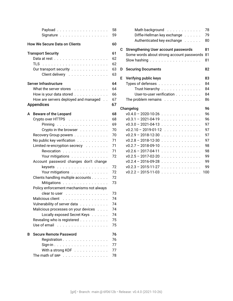| Payload<br>Signature                                                                                                                                                                                                                                                                                                | 58<br>59                                                       |
|---------------------------------------------------------------------------------------------------------------------------------------------------------------------------------------------------------------------------------------------------------------------------------------------------------------------|----------------------------------------------------------------|
| <b>How We Secure Data on Clients</b>                                                                                                                                                                                                                                                                                | 60                                                             |
| <b>Transport Security</b><br><b>TLS</b><br>Our transport security<br>Client delivery                                                                                                                                                                                                                                | 61<br>62<br>62<br>63<br>63                                     |
| Server Infrastructure<br>What the server stores<br>How is your data stored<br>How are servers deployed and managed<br><b>Appendices</b>                                                                                                                                                                             | 64<br>64<br>66<br>67<br>67                                     |
| <b>Beware of the Leopard</b><br>A<br>Crypto over HTTPS<br>Pinning<br>Crypto in the browser $\ldots \ldots \ldots$<br>Recovery Group powers<br>No public key verification<br>Limited re-encryption secrecy<br>Revocation<br>Your mitigations<br>Account password changes don't change<br>keysets<br>Your mitigations | 68<br>68<br>69<br>70<br>70<br>71<br>71<br>71<br>72<br>72<br>72 |
| Clients handling multiple accounts<br>Mitigations<br>Policy enforcement mechanisms not always<br>clear to user<br>Malicious client<br>.<br>Vulnerability of server data<br>Malicious processes on your devices<br>Locally exposed Secret Keys<br>Revealing who is registered<br>Use of email<br>.                   | 72<br>73<br>73<br>74<br>74<br>74<br>74<br>75<br>75             |
| <b>Secure Remote Password</b><br>В<br>Registration<br>With a strong KDF<br>The math of sRP $\ldots$                                                                                                                                                                                                                 | 76<br>76<br>77<br>77<br>78                                     |

|   | Math background<br>Diffie-Hellman key exchange<br>Authenticated key exchange | 78<br>79<br>80 |
|---|------------------------------------------------------------------------------|----------------|
| C | <b>Strengthening User account passwords</b>                                  | 81<br>81       |
|   | Some words about strong account passwords<br>Slow hashing                    | 81             |
| D | <b>Securing Documents</b>                                                    | 82             |
| E | Verifying public keys                                                        | 83             |
|   | Types of defenses                                                            | 84             |
|   | Trust hierarchy                                                              | 84             |
|   | User-to-user verification                                                    | 84             |
|   | The problem remains $\ldots \ldots \ldots \ldots$                            | 86             |
|   | Changelog                                                                    | 96             |
|   | $v0.4.0 - 2020 - 10 - 26$                                                    | 96             |
|   | $v0.3.1 - 2021 - 04 - 19$                                                    | 96             |
|   | $v0.3.0 - 2021 - 04 - 13$                                                    | 97             |
|   | $v0.2.10 - 2019 - 01 - 12$                                                   | 97             |
|   | $v0.2.9 - 2018 - 12 - 30$                                                    | 97             |
|   | $v0.2.8 - 2018 - 12 - 30$                                                    | 97             |
|   | $v0.2.7 - 2018 - 09 - 10$<br>.                                               | 98             |
|   | $v0.2.6 - 2017 - 04 - 11$                                                    | 98             |
|   | $v0.2.5 - 2017 - 02 - 20$                                                    | 99             |
|   | $v0.2.4 - 2016 - 09 - 28$<br>.                                               | 99             |
|   | $v0.2.3 - 2015 - 11 - 27$<br>.                                               | 99             |
|   | $v0.2.2 - 2015 - 11 - 03$                                                    | 100            |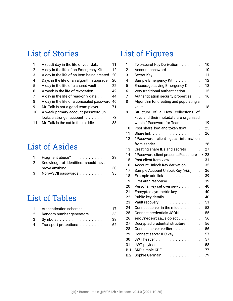### List of Stories

| 1  | A (bad) day in the life of your data        | 11 |
|----|---------------------------------------------|----|
| 2  | A day in the life of an Emergency Kit       | 12 |
| 3  | A day in the life of an item being created  | 20 |
| 4  | Days in the life of an algorithm upgrade    | 20 |
| .5 | A day in the life of a shared vault         | 22 |
| 6  | A week in the life of revocation            | 42 |
| 7  | A day in the life of read-only data         | 44 |
| 8  | A day in the life of a concealed password   | 46 |
| q  | Mr. Talk is not a good team player          | 71 |
| 10 | A weak primary account password un-         |    |
|    | locks a stronger account                    | 73 |
|    | Mr. Talk is the cat in the middle $\dots$ . | 83 |

# List of Asides

|   | 1 Fragment abuse? 28                              |  |
|---|---------------------------------------------------|--|
| 2 | Knowledge of identifiers should never             |  |
|   | prove anything $\dots \dots \dots \dots \dots$ 30 |  |
| 3 | Non-ASCII passwords 35                            |  |

# List of Tables

| 1 Authentication schemes 17   |  |
|-------------------------------|--|
| 2 Random number generators 33 |  |
| 3 Symbols 38                  |  |
| 4 Transport protections 62    |  |

# List of Figures

| 1              | Two-secret Key Derivation                              | 10 |
|----------------|--------------------------------------------------------|----|
| $\overline{2}$ | Account password                                       | 10 |
| 3              | Secret Key                                             | 11 |
| 4              | Sample Emergency Kit                                   | 12 |
| 5              | Encourage saving Emergency Kit                         | 13 |
| 6              | Very traditional authentication<br>$\sim 1.1$ , $\sim$ | 15 |
| 7              | Authentication security properties                     | 16 |
| 8              | Algorithm for creating and populating a                |    |
|                |                                                        | 18 |
| 9              | Structure of a How collections of                      |    |
|                | keys and their metadata are organized                  |    |
|                | within 1Password for Teams                             | 19 |
| 10             | Psst share, key, and token flow                        | 25 |
| 11             | Share link                                             | 26 |
| 12             | 1Password client gets information                      |    |
|                | from sender                                            | 26 |
| 13             | Creating share IDs and secrets                         | 27 |
| 14             | 1Password client presents Psst share link 28           |    |
| 15             | Psst client item view                                  | 31 |
| 16             | Account Unlock Key derivation                          | 35 |
| 17             | Sample Account Unlock Key (AUK)                        | 36 |
| 18             | Example add link                                       | 39 |
| 19             | First auth response                                    | 39 |
| 20             | Personal key set overview                              | 40 |
| 21             | Encrypted symmetric key                                | 40 |
| 22             | Public key details                                     | 40 |
| 23             | Vault recovery                                         | 51 |
| 24             | Connect server in the middle                           | 53 |
| 25             | Connect credentials JSON                               | 55 |
| 26             | encCredentials object                                  | 56 |
| 27             | Decrypted credential structure                         | 56 |
| 28             | Connect server verifier                                | 56 |
| 29             | Connect server IPC key                                 | 57 |
| 30             | JWT header.                                            | 57 |
| 31             | JWT payload                                            | 58 |
| B.1            | SRP simple KDF                                         | 77 |
| B.2            | Sophie Germain                                         | 79 |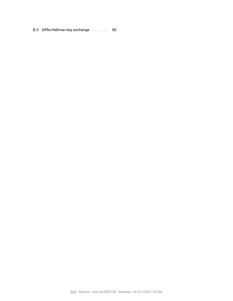[B.3 Diffie-Hellman key exchange](#page-79-1) . . . . . . 80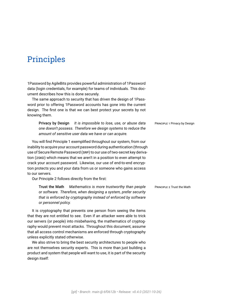### <span id="page-6-0"></span>Principles

1Password by AgileBits provides powerful administration of 1Password data (login credentials, for example) for teams of individuals. This document describes how this is done securely.

The same approach to security that has driven the design of 1Password prior to offering 1Password accounts has gone into the current design. The first one is that we can best protect your secrets by not knowing them.

<span id="page-6-1"></span>Privacy by Design *It is impossible to lose, use, or abuse data* PRINCIPLE 1 Privacy by Design *one doesn't possess. Therefore we design systems to reduce the amount of sensitive user data we have or can acquire.*

You will find Principle [1](#page-6-1) exemplified throughout our system, from our inability to acquire your [account password](#page-86-0) during authentication (through use of [Secure Remote Password \(SRP\)](#page-91-1) to our use of [two-secret key deriva](#page-91-2)[tion \(2SKD\)](#page-91-2) which means that we aren't in a position to even attempt to crack your account password. Likewise, our use of end-to-end encryption protects you and your data from us or someone who gains access to our servers.

Our Principle [2](#page-6-2) follows directly from the first:

**Trust the Math** *Mathematics is more trustworthy than people* PRINCIPLE 2 Trust the Math *or software. Therefore, when designing a system, prefer security that is enforced by cryptography instead of enforced by software or personnel policy.*

It is cryptography that prevents one person from seeing the items that they are not entitled to see. Even if an attacker were able to trick our servers (or people) into misbehaving, the mathematics of cryptography would prevent most attacks. Throughout this document, assume that all access control mechanisms are enforced through cryptography unless explicitly stated otherwise.

<span id="page-6-3"></span>We also strive to bring the best security architectures to people who are not themselves security experts. This is more than just building a product and system that people will want to use, it is part of the security design itself:

<span id="page-6-2"></span>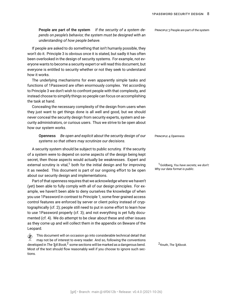People are part of the system *If the security of a system de-* PRINCIPLE 3 People are part of the system *pends on people's behavior, the system must be designed with an understanding of how people behave.*

If people are asked to do something that isn't humanly possible, they won't do it. Principle [3](#page-6-3) is obvious once it is stated, but sadly it has often been overlooked in the design of security systems. For example, not everyone wants to become a security expert or will read this document, but everyone is entitled to security whether or not they seek to understand how it works.

The underlying mechanisms for even apparently simple tasks and functions of 1Password are often enormously complex. Yet according to Principle [3](#page-6-3) we don't wish to confront people with that complexity, and instead choose to simplify things so people can focus on accomplishing the task at hand.

Concealing the necessary complexity of the design from users when they just want to get things done is all well and good, but we should never conceal the security design from security experts, system and security administrators, or curious users. Thus we strive to be open about how our system works.

<span id="page-7-0"></span>**Openness** *Be open and explicit about the security design of our* PRINCIPLE 4 Openness *systems so that others may scrutinize our decisions.*

A security system should be subject to public scrutiny. If the security of a system were to depend on some aspects of the design being kept secret, then those aspects would actually be weaknesses. Expert and external scrutiny is vital,<sup>1</sup> both for the initial design and for improving <sup>1</sup>Goldberg, *[You have secrets; we don't:](#page-93-0)* it as needed. This document is part of our ongoing effort to be open about our security design and implementations.

Part of that openness requires that we acknowledge where we haven't (yet) been able to fully comply with all of our design principles. For example, we haven't been able to deny ourselves the knowledge of when you use 1Password in contrast to Principle [1](#page-6-1); some finer grained access control features are enforced by server or client policy instead of cryptographically (cf. [2\)](#page-6-2); people still need to put in some effort to learn how to use 1Password properly (cf. [3\)](#page-6-3); and not everything is yet fully documented (cf. [4\)](#page-7-0). We do attempt to be clear about these and other issues as they come up and will collect them in the appendix on [Beware of the](#page-67-0) [Leopard](#page-67-0).

 $\hat{\diamondsuit}$  This document will on occasion go into considerable technical detail that may not be of interest to every reader. And so, following the conventions developed in *The T<sub>E</sub>X Book*,<sup>2</sup> some sections will be marked as a dangerous bend. <sup>2</sup>Knuth, *The T<sub>E</sub>Xbook*. Most of the text should flow reasonably well if you choose to ignore such sections.

*[Why our data format is public](#page-93-0)*.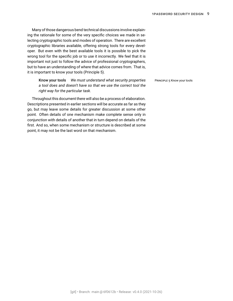Many of those dangerous bend technical discussions involve explaining the rationale for some of the very specific choices we made in selecting cryptographic tools and modes of operation. There are excellent cryptographic libraries available, offering strong tools for every developer. But even with the best available tools it is possible to pick the wrong tool for the specific job or to use it incorrectly. We feel that it is important not just to follow the advice of professional cryptographers, but to have an understanding of where that advice comes from. That is, it is important to know your tools (Principle [5](#page-8-0)).

<span id="page-8-0"></span>**Know your tools** *We must understand what security properties* PRINCIPLE 5 Know your tools *a tool does and doesn't have so that we use the correct tool the right way for the particular task.*

Throughout this document there will also be a process of elaboration. Descriptions presented in earlier sections will be accurate as far as they go, but may leave some details for greater discussion at some other point. Often details of one mechanism make complete sense only in conjunction with details of another that in turn depend on details of the first. And so, when some mechanism or structure is described at some point, it may not be the last word on that mechanism.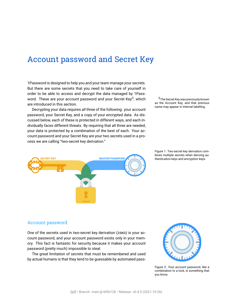### <span id="page-9-0"></span>Account password and Secret Key

1Password is designed to help you and your team manage your secrets. But there are some secrets that you need to take care of yourself in order to be able to access and decrypt the data managed by 1Password. These are your [account password](#page-86-0) and your [Secret Key](#page-91-3)<sup>3</sup>, which are introduced in this section.<br>
as the Account Key, and that previous controduced in this section.<br>
And the Country of the Country of the Country of the Country of the Country of the Country of the Country of the Country

Decrypting your data requires *all* three of the following: your account password, your Secret Key, and a copy of your encrypted data. As discussed below, each of these is protected in different ways, and each individually faces different threats. By requiring that all three are needed, your data is protected by a combination of the best of each. Your account password and your Secret Key are your two secrets used in a process we are calling"[two-secret key derivation.](#page-91-2)"

 $3$ The Secret Key was previously known as the Account Key, and that previous



Figure 1: [Two-secret key derivation](#page-91-2) combines multiple secrets when deriving authentication keys and encryption keys.

#### <span id="page-9-1"></span>Account password

One of the secrets used in [two-secret key derivation \(2SKD\)](#page-91-2) is your account password, and your account password exists only in your memory. This fact is fantastic for security because it makes your account password (pretty much) impossible to steal.

The great limitation of secrets that must be remembered and used by actual humans is that they tend to be guessable by automated pass-



Figure 2: Your account password, like a combination to a lock, is something that you know.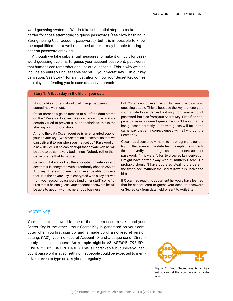word guessing systems. We do take substantial steps to make things harder for those attempting to guess passwords (see [Slow hashing](#page-80-2) in [Strengthening User account passwords](#page-80-0)), but it is impossible to know the capabilities that a well-resourced attacker may be able to bring to bear on password cracking.

Although we take substantial measures to make it difficult for password guessing systems to guess your account password, passwords that humans can remember and use are guessable. This is why we also include an entirely unguessable secret  $-$  your Secret Key  $-$  in our key derivation. See Story [1](#page-10-1) for an illustration of how your Secret Key comes into play in defending you in case of a server breach.

#### <span id="page-10-1"></span>Story 1: A (bad) day in the life of your data

Nobody likes to talk about bad things happening, but sometimes we must.

Oscar somehow gains access to all of the data stored on the 1Password server. We don't know how, and we certainly tried to prevent it, but nonetheless, this is the starting point for our story.

Among the data Oscar acquires is an encrypted copy of your private key. (We store that on our server so that we can deliver it to you when you first set up 1Password on a new device.) If he can decrypt that private key, he will be able to do some very bad things. Nobody (other than Oscar) wants that to happen.

Oscar will take a look at the encrypted private key and see that it is encrypted with a randomly chosen 256-bit AES key. There is no way he will ever be able to guess that. But the private key is encrypted with a key derived from your account password (and other stuff) so he figures that if he can guess your account password he will be able to get on with his nefarious business.

But Oscar cannot even begin to launch a password guessing attack. This is because the key that encrypts your private key is derived not only from your account password, but also from your Secret Key. Even if he happens to make a correct guess, he won't know that he has guessed correctly. A correct guess will fail in the same way that an incorrect guess will fail without the Secret Key.

Oscar has discovered – much to his chagrin and our delight – that even all the data held by AgileBits is insufficient to verify a correct guess at someone's account password. "If it weren't for [two-secret key derivation](#page-91-2) I might have gotten away with it" mutters Oscar. He probably shouldn't have bothered stealing the data in the first place. Without the Secret Keys it is useless to him.

If Oscar had read this document he would have learned that he cannot learn or guess your account password or Secret Key from data held or sent to AgileBits.

#### <span id="page-10-0"></span>Secret Key

Your account password is one of the secrets used in 2SKD, and your Secret Key is the other. Your Secret Key is generated on your computer when you first sign up, and is made up of a non-secret version setting, ("A3"), your non-secret Account ID, and a sequence of 26 randomly chosen characters. An example might be A3-ASWWYB-798JRY-LJVD4-23DC2-86TVM-H43EB. This is uncrackable, but unlike your account password isn't something that people could be expected to memorize or even to type on a keyboard regularly.



Figure 3: Your Secret Key is a highentropy secret that you have on your devices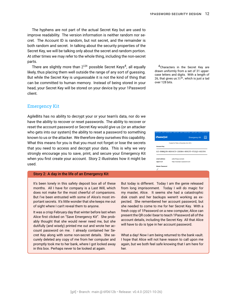The hyphens are not part of the actual Secret Key but are used to improve readability. The version information is neither random nor secret. The Account ID is random, but not secret, and the remainder is both random and secret. In talking about the security properties of the Secret Key, we will be talking only about the secret and random portion. At other times we may refer to the whole thing, including the non-secret parts.

There are slightly more than  $2^{128}$  possible Secret Keys $^4$ likely, thus placing them well outside the range of any sort of guessing. But while the Secret Key is unguessable it is not the kind of thing that can be committed to human memory. Instead of being stored in your head, your Secret Key will be stored on your device by your 1Password client.

#### <span id="page-11-0"></span>Emergency Kit

AgileBits has no ability to decrypt your or your team's data, nor do we have the ability to recover or reset passwords. The ability to recover or reset the account password or Secret Key would give us (or an attacker who gets into our system) the ability to reset a password to something known to us or the attacker. We therefore deny ourselves this capability. What this means for you is that you must not forget or lose the secrets that you need to access and decrypt your data. This is why we very strongly encourage you to save, print, and secure your [Emergency Kit](#page-88-0) when you first create your account. Story [2](#page-11-1) illustrates how it might be used.

#### <span id="page-11-1"></span>Story 2: A day in the life of an Emergency Kit

It's been lonely in this safety deposit box all of these months. All I have for company is a Last Will, which does not make for the most cheerful of companions. But I've been entrusted with some of Alice's most important secrets. It's little wonder that she keeps me out of sight where I can't reveal them to anyone.

It was a crisp February day that winter before last when Alice first clicked on "Save Emergency Kit". She probably thought that she would never need me, but she dutifully (and wisely) printed me out and wrote her account password on me. I already contained her Secret Key along with some non-secret details. She securely deleted any copy of me from her computer and promptly took me to her bank, where I got locked away in this box. Perhaps never to be looked at again.

But today is different. Today I am the genie released from long imprisonment. Today I will do magic for disk crash and her backups weren't working as exmy master, Alice. It seems she had a catastrophic pected. She remembered her account password, but she needed to come to me for her Secret Key. With a fresh copy of 1Password on a new computer, Alice can present the QR code I bear to teach 1Password all of the account details, including the Secret Key. All that Alice will have to do is type in her account password.

What a day! Now I am being returned to the bank vault. I hope that Alice will not have reason to call upon me again, but we both feel safe knowing that I am here for her.

 $4$ Characters in the Secret Key are drawn uniformly from a set of 31 uppercase letters and digits. With a length of 26, that gives us  $31^{26}$ , which is just a tad over 128 bits.

| KEEP SAFE - DON'T THROW AWAY - KEEP SAFE - DON'T THROW AWAY - KEEP SAFE - DON'T THROW AWAY |                                          |                                          |           |
|--------------------------------------------------------------------------------------------|------------------------------------------|------------------------------------------|-----------|
| 1Passw <sub>Ord</sub>                                                                      |                                          | <b>Emergency Kit</b>                     | $\approx$ |
|                                                                                            | Created for Patty on November 3rd, 2015. |                                          |           |
| <b>Account Kev</b>                                                                         |                                          |                                          |           |
|                                                                                            |                                          | A3-8MMOJN-MZ64CY-2SDB4-RPX3T-V52O3-N2C84 |           |
| email address                                                                              | patty@dogs.example                       |                                          |           |
| sian-in url                                                                                | https://example.1password.com            |                                          |           |
| <b>Master Password</b>                                                                     |                                          |                                          |           |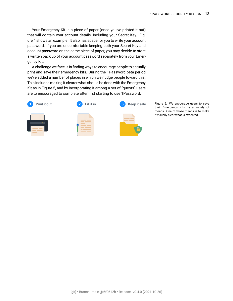Your Emergency Kit is a piece of paper (once you've printed it out) that will contain your account details, including your Secret Key. Figure [4](#page-11-0) shows an example. It also has space for you to write your account password. If you are uncomfortable keeping both your Secret Key and account password on the same piece of paper, you may decide to store a written back up of your account password separately from your Emergency Kit.

A challenge we face is in finding ways to encourage people to actually print and save their emergency kits. During the 1Password beta period we've added a number of places in which we nudge people toward this. This includes making it clearer what should be done with the Emergency Kit as in Figure [5](#page-11-1), and by incorporating it among a set of "quests" users are to encouraged to complete after first starting to use 1Password.



Figure 5: We encourage users to save their Emergency Kits by a variety of means. One of those means is to make it visually clear what is expected.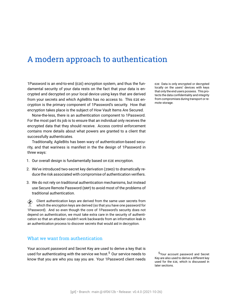### <span id="page-13-0"></span>A modern approach to authentication

1Password is an [end-to-end \(E2E\)](#page-88-1) encryption system, and thus the fun- E2E: Data is only encrypted or decrypted damental security of your data rests on the fact that your data is encrypted and decrypted on your local device using keys that are derived from your secrets and which AgileBits has no access to. This E2E encryption is the primary component of 1Password's security. How that encryption takes place is the subject of [How Vault Items Are Secured.](#page-17-0)

None-the-less, there is an authentication component to 1Password. For the most part its job is to ensure that an individual only receives the encrypted data that they should receive. [Access control enforcement](#page-42-0) contains more details about what powers are granted to a client that successfully authenticates.

Traditionally, AgileBits has been wary of authentication-based security, and that wariness is manifest in the the design of 1Password in three ways:

- 1. Our overall design is fundamentally based on E2E encryption.
- 2. We've introduced [two-secret key derivation \(2SKD\)](#page-91-2) to dramatically reduce the risk associated with compromise of authentication verifiers.
- 3. We do not rely on traditional authentication mechanisms, but instead use [Secure Remote Password \(SRP\)](#page-91-1) to avoid most of the problems of traditional authentication.

 Client authentication keys are derived from the same user secrets from which the encryption keys are derived (so that you have one password for 1Password). And so even though the core of 1Password's security does not depend on authentication, we must take extra care in the security of authentication so that an attacker couldn't work backwards from an information leak in an authentication process to discover secrets that would aid in decryption.

#### <span id="page-13-1"></span>What we want from authentication

Your [account password](#page-86-0) and [Secret Key](#page-91-3) are used to derive a key that is used for authenticating with the service we host.<sup>5</sup> Our service needs to <sup>5</sup>Your account password and Secret know that you are who you say you are. Your 1Password client needs

locally on the users' devices with keys that only the end users possess. This protects the data confidentiality and integrity from compromises during transport or re-

mote storage.

Key are also used to derive a different key used for the E2E, which is discussed in later sections.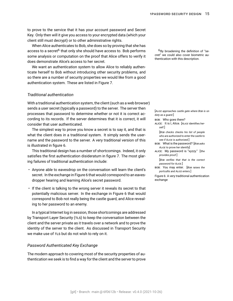to prove to the service that it has your account password and Secret Key. Only then will it give you access to your encrypted data (which your client still must decrypt) or to other administrative rights.

When Alice authenticates to Bob, she does so by proving that she has access to a secret<sup>6</sup> that only she should have access to. Bob performs having broadening the definition of "sesome analysis or computation on the proof that Alice offers to verify it does demonstrate Alice's access to her secret.

We want an authentication system to allow Alice to reliably authenticate herself to Bob without introducing other security problems, and so there are a number of security properties we would like from a good authentication system. These are listed in Figure [7.](#page-14-1)

#### <span id="page-14-0"></span>*Traditional authentication*

With a traditional authentication system, the client (such as a web browser) sends a user secret (typically a password) to the server. The server then processes that password to determine whether or not it is correct according to its records. If the server determines that it is correct, it will consider that user authenticated.

The simplest way to prove you know a secret is to say it, and that is what the client does in a traditional system. It simply sends the username and the password to the server. A very traditional version of this is illustrated in figure [6.](#page-14-0)

This traditional design has a number of shortcomings. Indeed, it only satisfies the first authentication disideratum in figure [7.](#page-14-1) The most glaring failures of traditional authentication include:

- Anyone able to eavesdrop on the conversation will learn the client's secret. In the exchange in Figure [6](#page-14-0) that would correspond to an eavesdropper hearing and learning Alice's secret password.
- If the client is talking to the wrong server it reveals its secret to that potentially malicious server. In the exchange in Figure [6](#page-14-0) that would correspond to Bob not really being the castle guard, and Alice revealing to her password to an enemy.

In a typical Internet log in session, those shortcomings are addressed by [Transport Layer Security \(TLS\)](#page-91-0) to keep the conversation between the client and the server private as it travels over a network and to prove the identity of the server to the client. As discussed in [Transport Security](#page-60-0) we make use of TLS but do not wish to rely on it.

#### <span id="page-14-1"></span>*Password Authenticated Key Exchange*

The modern approach to covering most of the security properties of authentication we seek is to find a way for the client and the server to prove cret" we could also cover biometric authentication with this description.

[*ALICE approaches castle gate where BOB is on duty as a guard.*]

BOB: Who goes there? ALICE: It is I, Alice. [*ALICE* identifies *her-*

*self.*]

[*BOB checks checks his list of people who are authorized to enter the castle to see if ALICE is authorized.*]

- BOB: What is the password? [*BOB asks ALICE to* prove *her identify*]
- ALICE: My password is "xyzzy." [*She provides proof.*]

[*BOB verifies that that is the correct password for ALICE.*]

BOB: You may enter. [*BOB raises the portcullis and ALICE enters.*]

Figure 6: A very traditional authentication exchange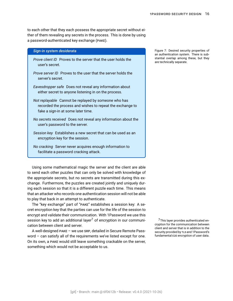to each other that they each possess the appropriate secret without either of them revealing any secrets in the process. This is done by using a [password-authenticated key exchange \(PAKE\).](#page-90-0)

#### *Sign-in system desiderata*

- *Prove client ID* Proves to the server that the user holds the user's secret.
- *Prove server ID* Proves to the user that the server holds the server's secret.
- *Eavesdropper safe* Does not reveal any information about either secret to anyone listening in on the process.
- *Not replayable* Cannot be replayed by someone who has recorded the process and wishes to repeat the exchange to fake a sign-in at some later time.
- *No secrets received* Does not reveal any information about the user's password to the server.
- *Session key* Establishes a new secret that can be used as an encryption key for the session.
- *No cracking* Server never acquires enough information to facilitate a password cracking attack.

Using some mathematical magic the server and the client are able to send each other puzzles that can only be solved with knowledge of the appropriate secrets, but no secrets are transmitted during this exchange. Furthermore, the puzzles are created jointly and uniquely during each session so that it is a different puzzle each time. This means that an attacker who records one authentication session will not be able to play that back in an attempt to authenticate.

The "key exchange" part of "PAKE" establishes a session key: A secret encryption key that the parties can use for the life of the session to encrypt and validate their communication. With 1Password we use this session key to add an additional layer<sup>7</sup> of encryption in our communi- <sup>7</sup>This layer provides authenticated encation between client and server.

A well-designed PAKE – we use SRP, detailed in [Secure Remote Pass](#page-75-0)[word](#page-75-0) – can satisfy all of the requirements we've listed except for one. On its own, a PAKE would still leave something crackable on the server, something which would not be acceptable to us.

Figure 7: Desired security properties of an authentication system. There is substantial overlap among these, but they are technically separate.

cryption for the communication between client and server that is in addition to the security provided by TLS and 1Password's fundamental E2E encryption of user data.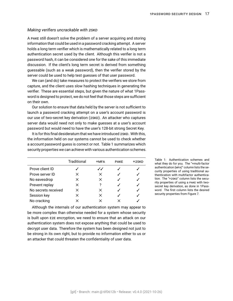#### <span id="page-16-0"></span>*Making verifiers uncrackable with 2SKD*

A PAKE still doesn't solve the problem of a server acquiring and storing information that could be used in a password cracking attempt. A server holds a long term verifier which is mathematically related to a long term authentication secret used by the client. Although this verifier is not a password hash, it can be considered one for the sake of this immediate discussion. If the client's long term secret is derived from something guessable (such as a weak password), then the verifier stored by the server could be used to help test guesses of that user password.

We can (and do) take measures to protect the verifiers we store from capture, and the client uses slow hashing techniques in generating the verifier. These are essential steps, but given the nature of what 1Password is designed to protect, we do not feel that those steps are sufficient on their own.

Our solution to ensure that data held by the server is not sufficient to launch a password cracking attempt on a user's account password is our use of [two-secret key derivation \(2SKD\)](#page-91-2). An attacker who captures server data would need not only to make guesses at a user's account password but would need to have the user's 128-bit strong Secret Key.

It is for this final desideratum that we have introduced 2SKD. With this, the information held on our systems cannot be used to check whether a account password guess is correct or not. Table [1](#page-16-0) summarizes which security properties we can achieve with various authentication schemes.

|                     | Traditional | <b>+MFA</b> | <b>PAKE</b> | +2SKD |
|---------------------|-------------|-------------|-------------|-------|
| Prove client ID     |             | ✓✓          |             |       |
| Prove server ID     | x           | $\times$    |             |       |
| No eavesdrop        | ×           | $\times$    |             |       |
| Prevent replay      | x           | ?           |             |       |
| No secrets received | X           | X           |             |       |
| Session key         | X           | $\times$    |             |       |
| No cracking         |             | ×           |             |       |

Although the internals of our authentication system may appear to be more complex than otherwise needed for a system whose security is built upon E2E encryption, we need to ensure that an attack on our authentication system does not expose anything that could be used to decrypt user data. Therefore the system has been designed not just to be strong in its own right, but to provide no information either to us or an attacker that could threaten the confidentiality of user data.

Table 1: Authentication schemes and what they do for you. The "[+multi-factor](#page-89-0) [authentication \(MFA\)"](#page-89-0) column lists the security properties of using traditional authentication with multifactor authentication. The "+2SKD" column lists the security properties of using a PAKE with twosecret key derivation, as done in 1Password. The first column lists the desired security properties from Figure [7.](#page-14-1)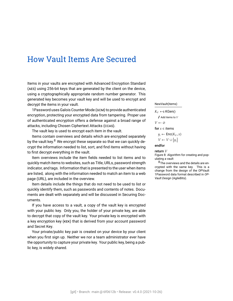### <span id="page-17-0"></span>How Vault Items Are Secured

Items in your vaults are encrypted with [Advanced Encryption Standard](#page-86-1) [\(AES\)](#page-86-1) using 256-bit keys that are generated by the client on the device, using a cryptographically appropriate random number generator. This generated key becomes your vault key and will be used to encrypt and decrypt the items in your vault.

1Password uses [Galois Counter Mode \(GCM\)](#page-88-2) to provide authenticated encryption, protecting your encrypted data from tampering. Proper use of authenticated encryption offers a defense against a broad range of attacks, including [Chosen Ciphertext Attacks \(CCAS\).](#page-87-0)

The vault key is used to encrypt each item in the vault.

Items contain overviews and details which are encrypted separately by the vault key. $8$  We encrypt these separate so that we can quickly decrypt the information needed to list, sort, and find items without having to first decrypt everything in the vault.

Item overviews include the item fields needed to list items and to quickly match items to websites, such as Title, URLs, password strength indicator, and tags. Information that is presented to the user when items are listed, along with the information needed to match an item to a web page (URL), are included in the overview.

Item details include the things that do not need to be used to list or quickly identify them, such as passwords and contents of notes. Documents are dealt with separately and will be discussed in [Securing Doc](#page-81-0)[uments](#page-81-0).

If you have access to a vault, a copy of the vault key is encrypted with your public key. Only you, the holder of your private key, are able to decrypt that copy of the vault key. Your private key is encrypted with a [key encryption key \(KEK\)](#page-89-1) that is derived from your [account password](#page-86-0) and [Secret Key.](#page-91-3)

<span id="page-17-1"></span>Your private/public key pair is created on your device by your client when you first sign up. Neither we nor a team administrator ever have the opportunity to capture your private key. Your public key, being a public key, is widely shared.

#### NewVault(items)

$$
K_V \leftarrow \text{KGen}()
$$
  
\n
$$
I \text{ Add items to } V
$$
  
\n
$$
V \leftarrow \emptyset
$$
  
\nfor  $x \in \text{items}$ 

$$
y_i \leftarrow \text{Enc}(K_V, x)
$$

#### $V \leftarrow V \cup \{y_i\}$

#### <span id="page-17-2"></span>endfor

return V

Figure 8: Algorithm for creating and populating a vault

 $8$ The overviews and the details are encrypted with the same key. This is a change from the design of the OPVault 1Password data format described in *OP-Vault Design* (AgileBits).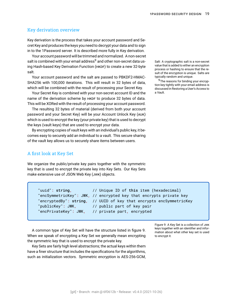#### Key derivation overview

Key derivation is the process that takes your [account password](#page-86-0) and [Se](#page-91-3)[cret Key](#page-91-3) and produces the keys you need to decrypt your data and to sign in to the 1Password server. It is described more fully in [Key derivation.](#page-33-0)

Your account password will be trimmed and normalized. A non-secret [salt](#page-90-1) is combined with your email address<sup>9</sup> and other non-secret data us-<br>Salt: A cryptographic salt is a non-secret ing [Hash-based Key Derivation Function \(HKDF\)](#page-88-3) to create a new 32-byte salt.

Your account password and the salt are passed to PBKDF2-HMAC-SHA256 with 100,000 iterations. This will result in 32 bytes of data, which will be combined with the result of processing your Secret Key.

Your Secret Key is combined with your non-secret account ID and the name of the derivation scheme by HKDF to produce 32 bytes of data. This will be XORed with the result of processing your account password.

The resulting 32 bytes of material (derived from both your account password and your Secret Key) will be your [Account Unlock Key \(AUK\)](#page-86-2) which is used to encrypt the key (your private key) that is used to decrypt the keys (vault keys) that are used to encrypt your data.

By encrypting copies of vault keys with an individual's public key, it becomes easy to securely add an individual to a vault. This secure sharing of the vault key allows us to securely share items between users.

#### <span id="page-18-0"></span>A first look at Key Set

We organize the public/private key pairs together with the symmetric key that is used to encrypt the private key into [Key Sets](#page-89-2). Our Key Sets make extensive use of [JSON Web Key \(JWK\)](#page-89-3) objects.

"uuid": string,  $\frac{1}{2}$  // Unique ID of this item (hexadecimal) "encSymmetricKey": JWK, // encrypted key that encrypts private key "encryptedBy": string, // UUID of key that encrypts encSymmetricKey "publicKey": JWK, youblic part of key pair "encPrivateKey": JWK, // private part, encrypted

A common type of Key Set will have the structure listed in figure [9](#page-18-1). When we speak of encrypting a Key Set we generally mean encrypting the symmetric key that is used to encrypt the private key.

Key Sets are fairly high level abstractions; the actual keys within them have a finer structure that includes the specifications for the algorithms, such as initialization vectors. Symmetric encryption is AES-256-GCM, value that is added to either an encryption process or hashing to ensure that the result of the encryption is unique. Salts are typically random and unique.

<sup>9</sup>The reasons for binding your encryption key tightly with your email address is discussed in [Restoring a User's Access to](#page-47-0) [a Vault](#page-47-0).

Figure 9: A Key Set is a collection of JWK keys together with an identifier and information about what other key set is used to encrypt it.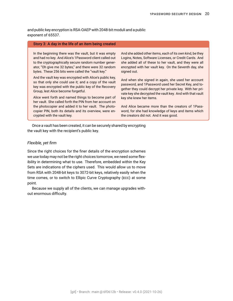and public key encryption is RSA-OAEP with 2048-bit moduli and a public exponent of 65537.

#### <span id="page-19-1"></span>Story 3: A day in the life of an item being created

In the beginning there was the vault, but it was empty and had no key. And Alice's 1Password client called out to the cryptographically secure random number generator, "Oh give me 32 bytes," and there were 32 random bytes. These 256 bits were called the "vault key."

And the vault key was encrypted with Alice's public key, so that only she could use it; and a copy of the vault key was encrypted with the public key of the [Recovery](#page-90-2) [Group,](#page-90-2) lest Alice become forgetful.

Alice went forth and named things to become part of her vault. She called forth the PIN from her account on the photocopier and added it to her vault. The photocopier PIN, both its details and its overview, were encrypted with the vault key.

And she added other items, each of its own kind, be they Logins, Notes, Software Licenses, or Credit Cards. And she added all of these to her vault, and they were all encrypted with her vault key. On the Seventh day, she signed out.

And when she signed in again, she used her account password, and 1Password used her [Secret Key](#page-91-3), and together they could decrypt her private key. With her private key she decrypted the vault key. And with that vault key she knew her items.

And Alice became more than the creators of 1Password, for she had knowledge of keys and items which the creators did not. And it was good.

Once a vault has been created, it can be securely shared by encrypting the vault key with the recipient's public key.

#### <span id="page-19-0"></span>*Flexible, yet firm*

Since the right choices for the finer details of the encryption schemes we use today may not be the right choices tomorrow, we need some flexibility in determining what to use. Therefore, embedded within the Key Sets are indications of the ciphers used. This would allow us to move from RSA with 2048-bit keys to 3072-bit keys, relatively easily when the time comes, or to switch to [Ellipic Curve Cryptography \(ECC\)](#page-87-1) at some point.

<span id="page-19-2"></span>Because we supply all of the clients, we can manage upgrades without enormous difficulty.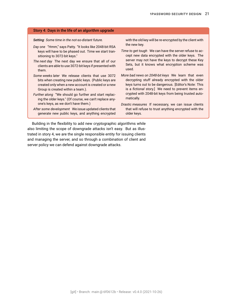#### Story 4: Days in the life of an algorithm upgrade

*Setting: Some time in the not-so-distant future.*

- *Day one* "Hmm," says Patty. "It looks like 2048-bit RSA keys will have to be phased out. Time we start transitioning to 3072-bit keys."
- *The next day* The next day we ensure that all of our clients are able to use 3072-bit keys if presented with them.
- *Some weeks later* We release clients that use 3072 bits when creating new public keys. (Public keys are created only when a new account is created or a new Group is created within a team.).
- *Further along* "We should go further and start replacing the older keys." (Of course, we can't replace anyone's keys, as we don't have them.)
- *After some development* We issue updated clients that generate new public keys, and anything encrypted

with the old key will be re-encrypted by the client with the new key.

- *Time to get tough* We can have the server refuse to accept new data encrypted with the older keys. The server may not have the keys to decrypt these Key Sets, but it knows what encryption scheme was used.
- *More bad news on 2048-bit keys* We learn that even decrypting stuff already encrypted with the older keys turns out to be dangerous. [Editor's Note: This is a *fictional* story.] We need to prevent items encrypted with 2048-bit keys from being trusted automatically.
- *Drastic measures* If necessary, we can issue clients that will refuse to trust anything encrypted with the older keys.

Building in the flexibility to add new cryptographic algorithms while also limiting the scope of downgrade attacks isn't easy. But as illustrated in story [4](#page-19-2), we are the single responsible entity for issuing clients and managing the server, and so through a combination of client and server policy we can defend against downgrade attacks.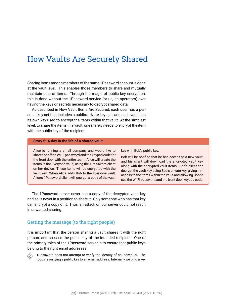### <span id="page-21-0"></span>How Vaults Are Securely Shared

Sharing items among members of the same 1Password account is done at the vault level. This enables those members to share and mutually maintain sets of items. Through the magic of public key encryption, this is done without the 1Password service (or us, its operators) ever having the keys or secrets necessary to decrypt shared data.

As described in [How Vault Items Are Secured,](#page-17-0) each user has a personal key set that includes a public/private key pair, and each vault has its own key used to encrypt the items within that vault. At the simplest level, to share the items in a vault, one merely needs to encrypt the item with the public key of the recipient.

#### <span id="page-21-2"></span>Story 5: A day in the life of a shared vault

Alice is running a small company and would like to share the office Wi-Fi password and the keypad code for the front door with the entire team. Alice will create the items in the Everyone vault, using the 1Password client on her device. These items will be encrypted with the vault key. When Alice adds Bob to the Everyone vault, Alice's 1Password client will encrypt a copy of the vault key with Bob's public key.

Bob will be notified that he has access to a new vault, and his client will download the encrypted vault key, along with the encrypted vault items. Bob's client can decrypt the vault key using Bob's private key, giving him access to the items within the vault and allowing Bob to see the Wi-Fi password and the front door keypad code.

The 1Password server never has a copy of the decrypted vault key and so is never in a position to share it. Only someone who has that key can encrypt a copy of it. Thus, an attack on our server could not result in unwanted sharing.

#### <span id="page-21-1"></span>Getting the message (to the right people)

It is important that the person sharing a vault shares it with the right person, and so uses the public key of the intended recipient. One of the primary roles of the 1Password server is to ensure that public keys belong to the right email addresses.

 1Password does not attempt to verify the identity of an individual. The focus is on tying a public key to an email address. Internally we bind a key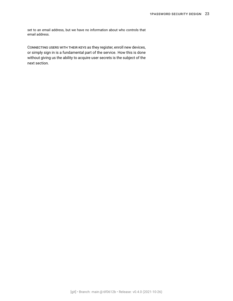set to an email address, but we have no information about who controls that email address.

CONNECTING USERS WITH THEIR KEYS as they register, enroll new devices, or simply sign in is a fundamental part of the service. How this is done without giving us the ability to acquire user secrets is the subject of the next section.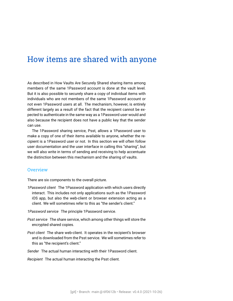### <span id="page-23-0"></span>How items are shared with anyone

As described in [How Vaults Are Securely Shared](#page-21-0) sharing items among members of the same 1Password account is done at the vault level. But it is also possible to securely share a copy of individual items with individuals who are not members of the same 1Password account or not even 1Password users at all. The mechanism, however, is entirely different largely as a result of the fact that the recipient cannot be expected to authenticate in the same way as a 1Password user would and also because the recipient does not have a public key that the sender can use.

The 1Password sharing service, [Psst](#page-90-3), allows a 1Password user to make a copy of one of their items available to anyone, whether the recipient is a 1Password user or not. In this section we will often follow user documentation and the user interface in calling this "sharing", but we will also write in terms of sending and receiving to help accentuate the distinction between this mechanism and the sharing of vaults.

#### <span id="page-23-1"></span>**Overview**

There are six components to the overall picture.

*1Password client* The 1Password application with which users directly interact. This includes not only applications such as the 1Password iOS app, but also the web-client or browser extension acting as a client. We will sometimes refer to this as "the sender's client."

*1Password service* The principle 1Password service.

- *Psst service* The share service, which among other things will store the encrypted shared copies.
- *Psst client* The share web-client. It operates in the recipient's browser and is downloaded from the Psst service. We will sometimes refer to this as "the recipient's client."
- *Sender* The actual human interacting with their 1Password client.

*Recipient* The actual human interacting the Psst client.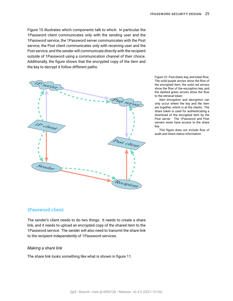Figure [10](#page-23-1) illustrates which components talk to which. In particular the 1Password client communicates only with the sending user and the 1Password service, the 1Password server communicates with the Psst service, the Psst client communicates only with receiving user and the Psst service, and the sender will communicate directly with the recipient outside of 1Password using a communication channel of their choice. Additionally, the figure shows that the encrypted copy of the item and the key to decrypt it follow different paths.



Figure 10: Psst share, key, and token flow. The solid purple arrows show the flow of the encrypted item, the solid red arrows show the flow of the encryption key, and the dashed green arrows show the flow to the retrieval token.

Item encryption and decryption can only occur where the key and the item are together, which is at the clients. The share token is used for authenticating a download of the encrypted item by the Psst server. The 1Password and Psst servers never have access to the share key.

This figure does not include flow of audit and share status information.

#### <span id="page-24-0"></span>1Password client

The sender's client needs to do two things. It needs to create a share link, and it needs to upload an encrypted copy of the shared item to the 1Password service. The sender will also need to transmit the share link to the recipient independently of 1Password services.

#### <span id="page-24-1"></span>*Making a share link*

The share link looks something like what is shown in figure [11](#page-24-1).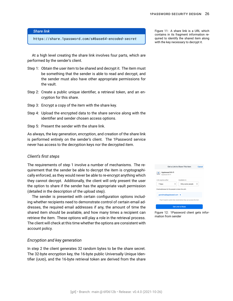#### *Share link*

https://share.1password.com/s#*base64-encoded-secret*

At a high level creating the share link involves four parts, which are performed by the sender's client.

- <span id="page-25-2"></span>Step 1: Obtain the user item to be shared and decrypt it. The item must be something that the sender is able to read and decrypt, and the sender must also have other appropriate permissions for the vault.
- <span id="page-25-3"></span>Step 2: Create a public unique identifier, a retrieval token, and an encryption for this share.
- <span id="page-25-4"></span>Step 3: Encrypt a copy of the item with the share key.
- <span id="page-25-5"></span>Step 4: Upload the encrypted data to the share service along with the identifier and sender chosen access options.
- <span id="page-25-6"></span>Step 5: Present the sender with the share link.

As always, the key generation, encryption, and creation of the share link is performed entirely on the sender's client. The 1Password service never has access to the decryption keys nor the decrypted item.

#### <span id="page-25-0"></span>*Client's first steps*

The requirements of step [1](#page-25-2) involve a number of mechanisms. The requirement that the sender be able to decrypt the item is cryptographically enforced, as they would never be able to re-encrypt anything which they cannot decrypt. Additionally, the client will only present the user the option to share if the sender has the appropriate vault permission (detailed in the description of the upload step).

The sender is presented with certain configuration options including whether recipients need to demonstrate control of certain email addresses, the required email addresses if any, the amount of time the shared item should be available, and how many times a recipient can retrieve the item. These options will play a role in the retrieval process. The client will check at this time whether the options are consistent with account policy.

#### <span id="page-25-1"></span>*Encryption and key generation*

In step [2](#page-25-3) the client generates 32 random bytes to be the share secret. The 32-byte encryption key, the 16-byte public [Universally Unique Iden](#page-92-0)[tifier \(UUID\),](#page-92-0) and the 16-byte retrieval token are derived from the share Figure 11: A share link is a URL which contains in its fragment information required to identify the shared item along with the key necessary to decrypt it.

| Get a Link to Share This Item<br>Cancel                                       |                                                                     |   |
|-------------------------------------------------------------------------------|---------------------------------------------------------------------|---|
| Appleseed Wi-Fi<br>Appleseed Wi-Fi                                            |                                                                     |   |
| Link expires after                                                            | Available to                                                        |   |
| $\hat{\cdot}$<br>7 days                                                       | Only some people                                                    | ¢ |
| Email addresses for the people to share this with:<br>grandma@appleseed.com X |                                                                     |   |
|                                                                               | They'll need to verify their email before they can access the item. |   |
|                                                                               | <b>Get Link to Share</b>                                            |   |
|                                                                               |                                                                     |   |

Figure 12: 1Password client gets information from sender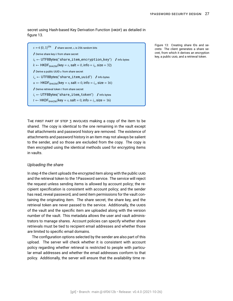secret using [Hash-based Key Derivation Function \(HKDF\)](#page-88-3) as detailed in figure [13.](#page-26-1)

| $s \leftarrow \S \{0, 1\}^{256}$ / share secret, s, is 256 random bits              |
|-------------------------------------------------------------------------------------|
| $\sqrt{\phantom{a}}$ Derive share key k from share secret                           |
| $i_k \leftarrow$ UTF8Bytes("share_item_encryption_key") / Info bytes                |
| $k \leftarrow$ HKDF <sub>SHA256</sub> (key = s, salt = 0, info = $i_k$ , size = 32) |
| $\sqrt{\phantom{a}}$ Derive a public UUID $u$ from share secret                     |
| $i_u \leftarrow$ UTF8Bytes("share_item_uuid") / Info bytes                          |
| $u \leftarrow$ HKDF <sub>SHA256</sub> (key = s, salt = 0, info = $i_u$ , size = 16) |
| $\sqrt{\phantom{a}}$ Derive retrieval token $t$ from share secret                   |
| $i_t \leftarrow$ UTF8Bytes("share_item_token") / Info bytes                         |
| $t \leftarrow$ HKDF <sub>SHA256</sub> (key = s, salt = 0, info = $i_t$ , size = 16) |

Figure 13: Creating share IDs and secrets: The client generates a share secret, from which it derives an encryption key, a public UUID, and a retrieval token.

<span id="page-26-1"></span>THE FIRST PART OF STEP [3](#page-25-4) INVOLVES making a copy of the item to be shared. The copy is identical to the one remaining in the vault except that attachments and password history are removed. The existence of attachments and password history in an item may not always be salient to the sender, and so those are excluded from the copy. The copy is then encrypted using the identical methods used for encrypting items in vaults.

#### <span id="page-26-0"></span>*Uploading the share*

In step [4](#page-25-5) the client uploads the encrypted item along with the public UUID and the retrieval token to the 1Password service. The service will reject the request unless sending items is allowed by account policy; the recipient specification is consistent with account policy; and the sender has read, reveal password, and send item permissions for the vault containing the originating item. The share secret, the share key, and the retrieval token are never passed to the service. Additionally, the UUIDS of the vault and the specific item are uploaded along with the version number of the vault. This metadata allows the user and vault administrators to manage shares. Account policies can specify whether share retrievals must be tied to recipient email addresses and whether those are limited to specific email domains.

The configuration options selected by the sender are also part of this upload. The server will check whether it is consistent with account policy regarding whether retrieval is restricted to people with particular email addresses and whether the email addresses conform to that policy. Additionally, the server will ensure that the availability time re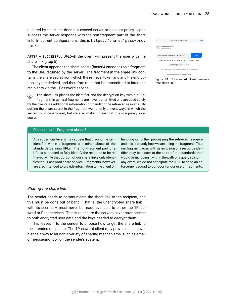quested by the client does not exceed server or account policy. Upon success the server responds with the non-fragment part of the share link. In current configurations, this is [https://share.1password.](https://share.1password.com/s) [com/s](https://share.1password.com/s).

AFTER A SUCCESSFUL UPLOAD the client will present the user with the share link (step [5\)](#page-25-6).

The client appends the share secret (base64 encoded) as a fragment to the URL returned by the server. The fragment in the share link contains the share secret from which the retrieval token and and the encryption key are derived, and therefore must not be transmitted to intended recipients via the 1Password service.

 $\diamondsuit$  The share link places the identifier and the decryption key within a URL fragment. In general fragments are never transmitted and are used solely by the clients as additional information on handling the retrieved resource. By putting the share secret in the fragment we not only prevent ways in which the secret could be exposed, but we also make it clear that this is a purely local secret.

#### <span id="page-27-2"></span>Discussion 1: Fragment abuse?

At a superficial level it may appear that placing the item identifier within a fragment is a minor abuse of the standards defining URLs. The non-fragment part of a URL is supposed to fully identify the resource to be retrieved, while that portion of our share links only identifies the 1Password share service. Fragments, however, are also intended to provide information to the client on

handling or further processing the retrieved resource, and this is exactly how we are using the fragment. Thus our fragment, even with its inclusion of a resource identifier, may be closer to the spirit of the standards than would be including it within the path or a query string. In any event, we do not anticipate the IETF to send an enforcement squad to our door for our use of fragments.

#### <span id="page-27-0"></span>*Sharing the share link*

The sender needs to communicate the share link to the recipient, and this must be done out of band. That is, the unencrypted share link – with its secrets – must never be made available to either the 1Password or Psst services. This is to ensure the servers never have access to both encrypted user data and the keys needed to decrypt them.

<span id="page-27-1"></span>This leaves it to the sender to choose how to get the share link to the intended recipients. The 1Password client may provide as a convenience a way to launch a variety of sharing mechanisms, such as email or messaging tool, on the sender's system.

|                                                                     | <b>Link to Share This Item</b>       | Done |  |  |
|---------------------------------------------------------------------|--------------------------------------|------|--|--|
| Appleseed Wi-Fi<br>Appleseed Wi-Fi                                  |                                      |      |  |  |
|                                                                     | https://share.1password.com/s#VYf6GS | Copy |  |  |
| This link is available to these people for the next 7 days.         |                                      |      |  |  |
| grandma@appleseed.com                                               |                                      |      |  |  |
| They'll need to verify their email before they can access the item. |                                      |      |  |  |
| You won't be able to view this link again.                          |                                      |      |  |  |

Figure 14: 1Password client presents Psst share link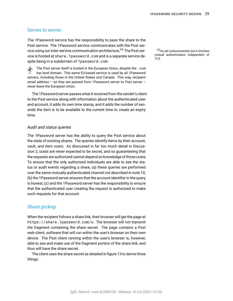#### Server to server

The 1Password service has the responsibility to pass the share to the Psst service. The 1Password service communicates with the Psst service using our inter-service communication architecture,<sup>10</sup> The Psst ser-  $10_{As}$  yet undocumented, but it involves vice is hosted at <share.1password.com> and is a separate service despite being in a subdomain of <1password.com>.

 The Psst server itself is hosted in the European Union, despite the .com top level domain. This same EU-based service is used by all 1Password servers, including those in the United States and Canada. This way, recipient email address – as they are passed from 1Password server to Psst server – never leave the European Union.

The 1Password server passes what it received from the sender's client to the Psst service along with information about the authenticated user and account, it adds its own time stamp, and it adds the number of seconds the item is to be available to the current time to create an expiry time.

#### <span id="page-28-0"></span>*Audit and status queries*

The 1Password server has the ability to query the Psst service about the state of existing shares. The queries identify items by their account, vault, and item UUIDS. As discussed in far too much detail in Discussion [2,](#page-29-0) UUIDS are never expected to be secret, and so guaranteeing that the requests are authorized cannot depend on knowledge of those UUIDS. To ensure that the only authorized individuals are able to see the status or audit events regarding a share, (a) these queries are performed over the same mutually authenticated channel not described in note [10,](#page-27-1) (b) the 1Password server ensures that the account identifier in the query is honest, (c) and the 1Password server has the responsibility to ensure that the authenticated user creating the request is authorized to make such requests for that account.

#### <span id="page-28-1"></span>Share pickup

When the recipient follows a share link, their browser will get the page at <https://share.1password.com/s>. The browser will not transmit the fragment containing the share secret. The page contains a Psst web-client, software that will run within the user's browser on their own device. The Psst client running within the user's browser is, however, able to see and make use of the fragment portion of the share link, and thus will have the share secret.

The client uses the share secret as detailed in figure [13](#page-26-1) to derive three things:

mutual authentication independent of TLS.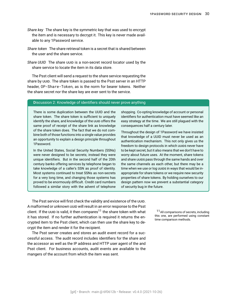- *Share key* The share key is the symmetric key that was used to encrypt the item and is necessary to decrypt it. This key is never made available to any 1Password service.
- *Share token* The share retrieval token is a secret that is shared between the user and the share service.
- *Share UUID* The share UUID is a non-secret record locator used by the share service to locate the item in its data store.

The Psst client will send a request to the share service requesting the share by UUID. The share token is passed to the Psst server in an HTTP header, OP-Share-Token, as is the norm for bearer tokens. Neither the share secret nor the share key are ever sent to the service.

#### <span id="page-29-0"></span>Discussion 2: Knowledge of identifiers should never prove anything

There is some duplication between the UUID and the share token. The share token is sufficient to uniquely identify the share, and knowledge of the UUID offers the same proof of receipt of the share link as knowledge of the share token does. The fact that we do not combine both of those functions into a single value provides an opportunity to explain a design principle throughout 1Password.

In the United States, Social Security Numbers (SSNs) were never designed to be secrets; instead they were unique identifiers. But in the second half of the 20th century banks offering services by telephone began to take knowledge of a caller's SSN as proof of identity. Most systems continued to treat SSNs as non-secrets for a very long time, and changing those systems has proved to be enormously difficult. Credit card numbers followed a similar story with the advent of telephone

shopping. Co-opting knowledge of account or personal identifiers for authentication must have seemed like an easy strategy at the time. We are still plagued with the consequences half a century later.

Throughout the design of 1Password we have insisted that knowledge of a UUID must never be used as an authentication mechanism. This not only gives us the freedom to design protocols in which UUIDS never have to be kept secret, but it also means that we don't have to worry about future uses. At the moment, share tokens and share UUIDS pass through the same hands and over the same channels as each other, but there may be a time when we use or log UUIDS in ways that would be inappropriate for share tokens or we require new security properties of share tokens. By holding ourselves to our design pattern now we prevent a substantial category of security bug in the future.

The Psst service will first check the validity and existence of the UUID. A malformed or unknown UUID will result in an error response to the Psst client. If the UUID is valid, it then compares<sup>11</sup> the share token with what  $11$ All comparisons of secrets, including it has stored. If no further authentication is required it returns the en-<br>time comparison methods. crypted item to the Psst client, which can then use the share key to decrypt the item and render it for the recipient.

The Psst server creates and stores an audit event record for a successful access. The audit record includes identifiers for the share and the accessor as well as the IP address and HTTP user agent of the and Psst client. For business accounts, audit events are available to the mangers of the account from which the item was sent.

this one, are performed using constant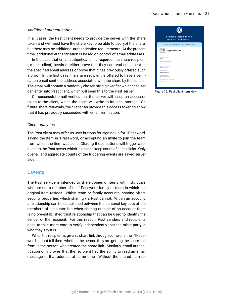#### <span id="page-30-0"></span>*Additional authentication*

In all cases, the Psst client needs to provide the server with the share token and will need have the share key to be able to decrypt the share; but there may be additional authentication requirements. At the present time, additional authentication is based on control of email addresses.

In the case that email authentication is required, the share recipient (or their client) needs to either prove that they can read email sent to the specified email address or prove that it has previously offered such a proof. In the first case, the share recipient is offered to have a verification email sent the address associated with the share by the sender. The email will contain a randomly chosen six digit verifier which the user can enter into Psst client, which will send this to the Psst server.

On successful email verification, the server will issue an accessor token to the client, which the client will write to its local storage. On future share retrievals, the client can provide this access token to show that it has previously succeeded with email verification.

#### <span id="page-30-1"></span>*Client analytics*

The Psst client may offer its user buttons for signing up for 1Password, saving the item in 1Password, or accepting an invite to join the team from which the item was sent. Clicking those buttons will trigger a request to the Psst server which is used to keep count of such clicks. Only over-all and aggregate counts of the triggering events are saved server side.

#### <span id="page-30-2"></span>**Caveats**

The Psst service is intended to share copies of items with individuals who are not a member of the 1Password family or team in which the original item resides. Within team or family accounts, sharing offers security properties which sharing via Psst cannot. Within an account, a relationship can be established between the personal key sets of the members of accounts; but when sharing outside of an account there is no pre-established trust relationship that can be used to identify the sender or the recipient. For this reason, Psst senders and recipients need to take more care to verify independently that the other party is who they say it is.

When the recipient is given a share link through some channel, 1Password cannot tell them whether the person they are getting the share link from is the person who created the share link. Similarly, email authentication only proves that the recipient had the ability to read an email message to that address at some time. Without the shared item re-

|                                      | Someone shared an item<br>with you on 1Password     |  |
|--------------------------------------|-----------------------------------------------------|--|
|                                      | You can view this item until 2021-10-29 at 11:03 AM |  |
|                                      | Appleseed Wi-Fi                                     |  |
| base station name<br>Office          |                                                     |  |
| base station password<br>            |                                                     |  |
| server / IP address<br>192.247.56.11 |                                                     |  |
| network name<br>Appleseed Wi-Fi      |                                                     |  |
| wireless security<br>WPA2 Personal   |                                                     |  |
| wireless network password<br>.       |                                                     |  |

Figure 15: Psst client item view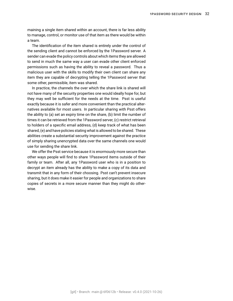maining a single item shared within an account, there is far less ability to manage, control, or monitor use of that item as there would be within a team.

The identification of the item shared is entirely under the control of the sending client and cannot be enforced by the 1Password server. A sender can evade the policy controls about which items they are allowed to send in much the same way a user can evade other client enforced permissions such as having the ability to reveal a password. Thus a malicious user with the skills to modify their own client can share any item they are capable of decrypting telling the 1Password server that some other, permissible, item was shared.

In practice, the channels the over which the share link is shared will not have many of the security properties one would ideally hope for, but they may well be sufficient for the needs at the time. Psst is useful exactly because it is safer and more convenient than the practical alternatives available for most users. In particular sharing with Psst offers the ability to (a) set an expiry time on the share, (b) limit the number of times it can be retrieved from the 1Password server, (c) restrict retrieval to holders of a specific email address, (d) keep track of what has been shared, (e) and have policies stating what is allowed to be shared. These abilities create a substantial security improvement against the practice of simply sharing unencrypted data over the same channels one would use for sending the share link.

We offer the Psst service because it is enormously more secure than other ways people will find to share 1Password items outside of their family or team. After all, any 1Password user who is in a position to decrypt an item already has the ability to make a copy of its data and transmit that in any form of their choosing. Psst can't prevent insecure sharing, but it does make it easier for people and organizations to share copies of secrets in a more secure manner than they might do otherwise.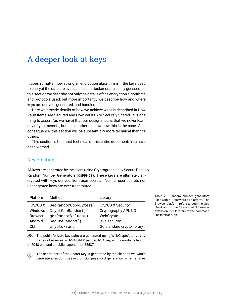### <span id="page-32-0"></span>A deeper look at keys

It doesn't matter how strong an encryption algorithm is if the keys used to encrypt the data are available to an attacker or are easily guessed. In this section we describe not only the details of the encryption algorithms and protocols used; but more importantly we describe how and where keys are derived, generated, and handled.

Here we provide details of how we achieve what is described in [How](#page-17-0) [Vault Items Are Secured](#page-17-0) and [How Vaults Are Securely Shared.](#page-21-0) It is one thing to assert (as we have) that our design means that we never learn any of your secrets, but it is another to show how this is the case. As a consequence, this section will be substantially more technical than the others.

This section is the most technical of this entire document. You have been warned.

#### <span id="page-32-1"></span>Key creation

All keys are generated by the client using [Cryptographically Secure Pseudo-](#page-87-2)[Random Number Generators \(CSPRNGS\).](#page-87-2) These keys are ultimately encrypted with keys derived from user secrets. Neither user secrets nor unencrypted keys are ever transmitted.

| Platform       | Method                       | Library                    |
|----------------|------------------------------|----------------------------|
|                | iOS/OSX SecRandomCopyBytes() | iOS/OS X Security          |
| Windows        | CryptGenRandom()             | Cryptography API: NG       |
| <b>Browser</b> | getRandomValues()            | WebCrypto                  |
| Android        | SecureRandom()               | java.security              |
| СLІ            | crypto/rand                  | Go standard crypto library |

 $\hat{\diamond}$  The public/private key pairs are generated using WebCrypto's <code>crypto.</code> generateKey as an RSA-OAEP padded RSA key, with a modulus length of 2048 bits and a public exponent of 65537.

 The secret part of the [Secret Key](#page-91-3) is generated by the client as we would generate a random password. Our password generation scheme takes Table 2: Random number generators used within 1Password by platform. The Browser platform refers to both the web client and to the 1Password X browser extension. "CLI" refers to the command line interface, op.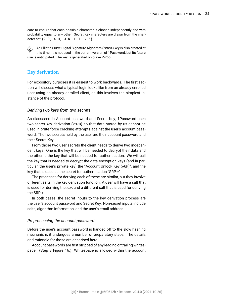care to ensure that each possible character is chosen independently and with probability equal to any other. Secret Key characters are drawn from the character set {2-9, A-H, J-N, P-T, V-Z}.

 $\hat{\diamond}$  An [Elliptic Curve Digital Signature Algorithm \(ECDSA\)](#page-87-3) key is also created at this time. It is not used in the current version of 1Password, but its future use is anticipated. The key is generated on curve [P-256.](#page-90-4)

#### <span id="page-33-0"></span>Key derivation

For expository purposes it is easiest to work backwards. The first section will discuss what a typical login looks like from an already enrolled user using an already enrolled client, as this involves the simplest instance of the protocol.

#### <span id="page-33-1"></span>*Deriving two keys from two secrets*

As discussed in [Account password and Secret Key,](#page-9-0) 1Password uses [two-secret key derivation \(2SKD\)](#page-91-2) so that data stored by us cannot be used in brute force cracking attempts against the user's [account pass](#page-86-0)[word](#page-86-0). The two secrets held by the user are their account password and their Secret Key.

From those two user secrets the client needs to derive two independent keys. One is the key that will be needed to decrypt their data and the other is the key that will be needed for authentication. We will call the key that is needed to decrypt the data encryption keys (and in particular, the user's private key) the ["Account Unlock Key \(AUK\)"](#page-86-2), and the keythat is used as the secret for authentication "[SRP-](#page-91-4) $x$ ".

The processes for deriving each of these are similar, but they involve different [salts](#page-90-1) in the key derivation function. A user will have a salt that is used for deriving the AUK and a different salt that is used for deriving the SRP- $x$ .

In both cases, the secret inputs to the key derivation process are the user's account password and Secret Key. Non-secret inputs include salts, algorithm information, and the user's email address.

#### <span id="page-33-2"></span>*Preprocessing the account password*

Before the user's account password is handed off to the slow hashing mechanism, it undergoes a number of preparatory steps. The details and rationale for those are described here.

Account passwords are first stripped of any leading or trailing whitespace. (Step [3](#page-34-2) Figure [16.](#page-34-1)) Whitespace is allowed within the account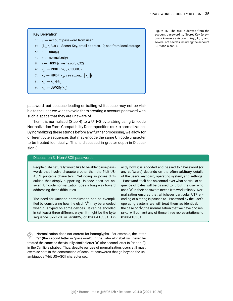### Key Derivation

- 1 :  $p \leftarrow$  Account password from user
- <span id="page-34-2"></span>2 ∶  $(\mathsf{k}_{_{A'}}e,I,s) \leftarrow$  Secret Key, email address, ID, salt from local storage
- <span id="page-34-3"></span> $3: p \leftarrow \text{trim}(p)$
- <span id="page-34-4"></span>4 :  $p \leftarrow$  normalize(*p*)
- 5:  $s$  ← HKDF(s, version, e, 32)
- 6 :  $\mathsf{k}_{m}^{\prime} \leftarrow \mathsf{PBKDF2}(p, s, 100000)$
- 7:  $\mathsf{k}_{A} \leftarrow \mathsf{HKDF}(\mathsf{k}_{A'}^{\phantom{\dag}} \textsf{version}, I, \|\mathsf{k}_{m}\|)$
- 8:  $\mathsf{k}_{m} \leftarrow \mathsf{k}_{m} \oplus \mathsf{k}_{A}$
- <span id="page-34-1"></span>9∶ k $\mathsf{k}_{m}$  ← JWKify(k $_{m}$ )

Figure 16: The AUK is derived from the account password,  $p$ ; Secret Key (previously known as Account Key),  $\mathsf{k}_{_{A^{\prime}}}$  ; and several not secrets including the account ID,  $I$ ; and a salt,  $s$ .

password, but because leading or trailing whitespace may not be visible to the user, we wish to avoid them creating a account password with such a space that they are unaware of.

Then it is normalized (Step [4](#page-34-3)) to a UTF-8 byte string using [Unicode](#page-92-1) [Normalization Form Compatibility Decomposition \(NFKD\)](#page-92-1) normalization. By normalizing these strings before any further processing, we allow for different byte sequences that may encode the same Unicode character to be treated identically. This is discussed in greater depth in Discussion [3.](#page-34-0)

#### <span id="page-34-0"></span>Discussion 3: Non-ASCII passwords

People quite naturally would like to be able to use passwords that involve characters other than the 7-bit US-ASCII printable characters. Yet doing so poses difficulties that simply supporting Unicode does not answer. Unicode normalization goes a long way toward addressing these difficulties.

The need for Unicode normalization can be exemplified by considering how the glyph "Å" may be encoded when it is typed on some devices. It can be encoded in (at least) three different ways: It might be the byte sequence 0x212B, or 0x00C5, or 0x0041030A. Exactly how it is encoded and passed to 1Password (or any software) depends on the often arbitrary details of the user's keyboard, operating system, and settings. 1Password itself has no control over what particular sequence of bytes will be passed to it, but the user who uses "Å" in their password needs it to work reliably. Normalization ensures that whichever particular UTF encoding of a string is passed to 1Password by the user's operating system, we will treat them as identical. In the case of "Å", the normalization that we have chosen, NFKD, will convert any of those three representations to 0x0041030A.

 Normalization does not correct for homoglyphs. For example, the letter "a" (the second letter in "password") in the Latin alphabet will never be treated the same as the visually similar letter "а" (the second letter in "пароль") in the Cyrillic alphabet. Thus, despite our use of normalization, users still must exercise care in the construction of account passwords that go beyond the unambiguous 7-bit US-ASCII character set.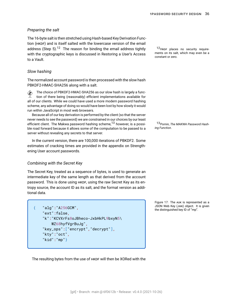#### <span id="page-35-0"></span>*Preparing the salt*

The 16-byte salt is then stretched using [Hash-based Key Derivation Func](#page-88-3)[tion \(HKDF\)](#page-88-3) and is itself salted with the lowercase version of the email address (Step [5](#page-34-4)).<sup>12</sup> The reason for binding the email address tightly  $12$ HKDF places no security requirewith the cryptographic keys is discussed in [Restoring a User's Access](#page-47-0) [to a Vault.](#page-47-0)

#### <span id="page-35-1"></span>*Slow hashing*

The normalized account password is then processed with the [slow hash](#page-91-5) PBKDF2-HMAC-SHA256 along with a salt.

 $\hat{\diamond}$  The choice of PBKDF2-HMAC-SHA256 as our slow hash is largely a function of there being (reasonably) efficient implementations available for all of our clients. While we could have used a more modern password hashing scheme, any advantage of doing so would have been lost by how slowly it would run within JavaScript in most web browsers.

Because all of our key derivation is performed by the client (so that the server never needs to see the password) we are constrained in our choices by our least efficient client. The Makwa password hashing scheme,<sup>13</sup> however, is a possi- 13Pornin, *[The MAKWA Password Hash](#page-94-1)*ble road forward because it allows some of the computation to be passed to a *[ing Function](#page-94-1)*. server without revealing any secrets to that server.

In the current version, there are 100,000 iterations of PBKDF2. Some estimates of cracking times are provided in the appendix on [Strength](#page-80-0)[ening User account passwords](#page-80-0).

#### <span id="page-35-2"></span>*Combining with the Secret Key*

The Secret Key, treated as a sequence of bytes, is used to generate an intermediate key of the same length as that derived from the account password. This is done using HKDF, using the raw Secret Key as its entropy source, the account ID as its salt, and the format version as additional data.

```
{ "alg":"A256GCM",
   "ext":false,
    "k":"KCVXrFs8oJBheco-JxbHkPL9bxyN5\
       WZ68hyfVgrBuJg",
   "key_ops":["encrypt","decrypt"],
    "kty":"oct",
    "kid":"mp"}
```
ments on its salt, which may even be a constant or zero.

Figure 17: The AUK is represented as a [JSON Web Key \(JWK\)](#page-89-3) object. It is given the distinguished key ID of "mp".

<span id="page-35-3"></span>The resulting bytes from the use of HKDF will then be XORed with the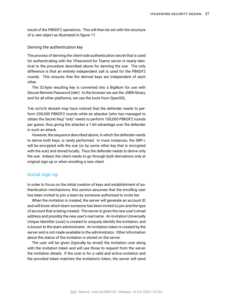result of the PBKDF2 operations. This will then be set with the structure of a JWK object as illustrated in figure [17.](#page-35-0)

#### *Deriving the authentication key*

The process of deriving the client-side authentication secret that is used for authenticating with the 1Password for Teams server is nearly identical to the procedure described above for deriving the AUK. The only difference is that an entirely independent salt is used for the PBKDF2 rounds. This ensures that the derived keys are independent of each other.

The 32-byte resulting key is converted into a [BigNum](#page-86-0) for use with [Secure Remote Password \(SRP\)](#page-91-0). In the browser we use the JSBN library, and for all other platforms, we use the tools from OpenSSL.

THE ASTUTE READER may have noticed that the defender needs to perform 200,000 PBKDF2 rounds while an attacker (who has managed to obtain the Secret Key) "only" needs to perform 100,000 PBKDF2 rounds per guess, thus giving the attacker a 1-bit advantage over the defender in such an attack.

However, the sequence described above, in which the defender needs to derive both keys, is rarely performed. In most instances, the SRP- $x$ will be encrypted with the AUK (or by some other key that is encrypted with the AUK) and stored locally. Thus the defender needs to derive only the AUK. Indeed, the client needs to go through both derivations only at original sign-up or when enrolling a new client.

# Initial sign-up

In order to focus on the initial creation of keys and establishment of authentication mechanisms, this section assumes that the enrolling user has been invited to join a team by someone authorized to invite her.

When the invitation is created, the server will generate an account ID and will know which team someone has been invited to join and the type of account that is being created. The server is given the new user's email address and possibly the new user's real name. An invitation [Universally](#page-92-0) [Unique Identifier \(UUID\)](#page-92-0) is created to uniquely identify the invitation, and is known to the team administrator. An invitation token is created by the server and is not made available to the administrator. Other information about the status of the invitation is stored on the server.

The user will be given (typically by email) the invitation UUID along with the invitation token and will use those to request from the server the invitation details. If the UUID is for a valid and active invitation and the provided token matches the invitation's token, the server will send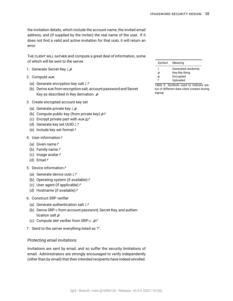the invitation details, which include the account name, the invited email address, and (if supplied by the inviter) the real name of the user. If it does not find a valid and active invitation for that UUID, it will return an error.

THE CLIENT WILL GATHER and compute a great deal of information, some of which will be sent to the server.

- 1. Generate Secret Key  $\zeta \varrho$
- 2. Compute AUK
	- (a) Generate encryption key salt  $\xi \upharpoonright$
	- (b) Derive AUK from encryption salt, account password and Secret Key as described in [Key derivation.](#page-33-0)  $\varnothing$
- 3. Create encrypted account key set
	- (a) Generate private key  $\xi \mathcal{P}$
	- (b) Compute public key (from private key)  $\rho \upharpoonright$
	- (c) Encrypt private part with AUK  $\mathbf{\hat{\theta}}$   $\uparrow$
	- (d) Generate key set UUID  $\xi$   $\uparrow$
	- (e) Include key set format r
- 4. User information  $\uparrow$ 
	- (a) Given name  $\uparrow$
	- (b) Family name  $\uparrow$
	- (c) Image avatar r
	- (d) Email  $\uparrow$
- 5. Device information i<sup>→</sup>
	- (a) Generate device UUID  $\zeta \rceil$
	- (b) Operating system (if available) i<sup>→</sup>
	- (c) User agent (if applicable)  $\uparrow$
	- (d) Hostname (if available) ↑
- 6. Construct SRP verifier
	- (a) Generate authentication salt  $\xi \upharpoonright$
	- (b) Derive SRP- $x$  from account password, Secret Key, and authentication salt  $\rho$
	- (c) Compute SRP verifier from SRP- $x$ .  $\mathcal{P}$
- 7. Send to the server everything listed as '?'.

#### *Protecting email invitations*

Invitations are sent by email, and so suffer the security limitations of email. Administrators are strongly encouraged to verify independently (other than by email) that their intended recipients have indeed enrolled.

| Symbol | Meaning            |
|--------|--------------------|
| ξ      | Generated randomly |
| ₽      | Key-like thing     |
| ሐ      | Encrypted          |
| ŕ      | Uploaded           |

Table 3: Symbols used to indicate status of different data client creates during signup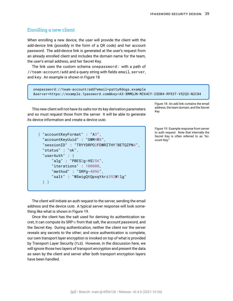# <span id="page-38-0"></span>Enrolling a new client

When enrolling a new device, the user will provide the client with the add-device link (possibly in the form of a QR code) and her account password. The add-device link is generated at the user's request from an already enrolled client and includes the domain name for the team, the user's email address, and her Secret Key.

The link uses the custom schema onepassword: with a path of //team-account/add and a query string with fields email, server, and key. An example is shown in Figure [18](#page-38-0)

```
onepassword://team-account/add?email=patty@dogs.example
&server=https://example.1password.com&key=A3-8MMQJN-MZ64CY-2SDB4-RPX3T-V52Q3-N2C84
```
This new client will not have its salts nor its key derivation parameters add and so must request those from the server. It will be able to generate its device information and create a device UUID.

```
{ "accountKeyFormat" : "A3",
  "accountKeyUuid" : "GWM4R8",
  "sessionID" : "TRYYDRPO2FDWRITHY7BETQZPN4",
  "status" : "ok",
  "userAuth" : {
      "alg" : "PBES2g-HS256",
      "iterations" : 100000,
      "method" : "SRPg-4096",
      "salt" : "WSwigQtQpxqYAri592W1lg"
  } }
```
Figure 18: An add link contains the email address, the team domain, and the Secret

Figure 19: Example response from server to auth request. Note that internally the Secret Key is often referred to as "Account Key."

<span id="page-38-1"></span>The client will initiate an auth request to the server, sending the email address and the device UUID. A typical server response will look something like what is shown in Figure [19.](#page-38-1)

Once the client has the salt used for deriving its authentication secret, it can compute its SRP- $x$  from that salt, the account password, and the Secret Key. During authentication, neither the client nor the server reveals any secrets to the other; and once authentication is complete, our own transport layer encryption is invoked on top of what is provided by [Transport Layer Security \(TLS\).](#page-91-1) However, in the discussion here, we will ignore those two layers of transport encryption and present the data as seen by the client and server after both transport encryption layers have been handled.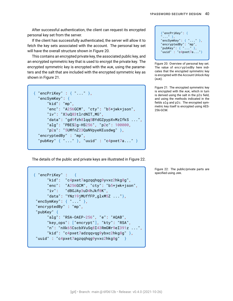After successful authentication, the client can request its encrypted personal key set from the server.<br>  $\begin{bmatrix} \downarrow & \downarrow \\ \downarrow & \downarrow \\ \downarrow & \downarrow \\ \downarrow & \downarrow \end{bmatrix}$  {"encPriKey": {

If the client has successfully authenticated, the server will allow it to fetch the key sets associated with the account. The personal key set will have the overall structure shown in Figure [20.](#page-39-0)

This contains an encrypted private key, the associated public key, and an encrypted symmetric key that is used to encrypt the private key. The encrypted symmetric key is encrypted with the AUK, using the parameters and the salt that are included with the encrypted symmetric key as shown in Figure [21](#page-39-1).

```
{ "encPriKey" : { "..." },
 "encSymKey": {
     "kid": "mp",
     "enc": "A256GCM", "cty": "b5+jwk+json",
     "iv": "X3uQ83tlrdNIT_MG",
     "data": "gd9fzh8lqq5BYdGZpypXvMzIfkS ...",
     "alg": "PBES2g-HS256", "p2c": 100000,
     "p2s": "5UMfnZ23QaNVpyeKEusdwg" },
 "encryptedBy" : "mp",
 "pubKey" { "..." } , "uuid" : "c4pxet7a..." }
```

```
" \ldots" },
"encSymKey": { "..." },
"encryptedBy": "mp",
"pubKey": { "..." },
"uuid" : "c4pxet7a..."}
```
<span id="page-39-0"></span>Figure 20: Overview of personal key set. The value of encryptedBy here indicates that the encrypted symmetric key is encrypted with the Account Unlock Key (AUK).

Figure 21: The encrypted symmetric key is encrypted with the AUK, which in turn is derived using the salt in the p2s field, and using the methods indicated in the fields alg and p2c. The encrypted symmetric key itself is encrypted using AES-256-GCM.

<span id="page-39-1"></span>The details of the public and private keys are illustrated in Figure [22](#page-39-2).

<span id="page-39-2"></span> $\{$  "enc $PriKey" : \{$ "kid": "c4pxet7agzqqhqg9yvxc2hkg8g", "enc": "A256GCM", "cty": "b5+jwk+json", "iv": "dBGJAy3uD4hJkf0K", "data": "YNz19jMUffFP\_glxM5Z  $\ldots$ "}, "encSymKey": { "..." }, "encryptedBy" : "mp", "pubKey" { "alg": "RSA-OAEP-256", "e": "AQAB", "key\_ops": ["encrypt"], "kty": "RSA", "n": "nXk65CscbXVuSq8I43RmGWr9eI391z ...", "kid": "c4pxet7adzqqvqg9ybxc2hkg8g" }, "uuid" : "c4pxet7agzqqhqg9yvxc2hkg8g" }

Figure 22: The public/private parts are specified using JWK.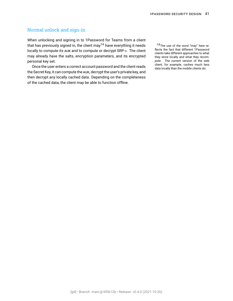# Normal unlock and sign-in

When unlocking and signing in to 1Password for Teams from a client that has previously signed in, the client may<sup>14</sup> have everything it needs  $14$ The use of the word "may" here relocally to compute its AUK and to compute or decrypt  $SRP-x$ . The client may already have the salts, encryption parameters, and its encrypted personal key set.

Once the user enters a correct account password and the client reads the Secret Key, it can compute the AUK, decrypt the user's private key, and then decrypt any locally cached data. Depending on the completeness of the cached data, the client may be able to function offline.

flects the fact that different 1Password clients take different approaches to what they store locally and what they recompute. The current version of the web client, for example, caches much less data locally than the mobile clients do.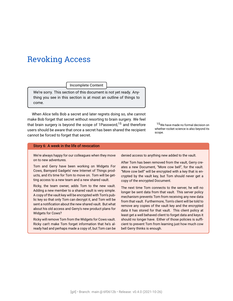# Revoking Access

Incomplete Content

We're sorry. This section of this document is not yet ready. Anything you see in this section is at most an outline of things to come.

When Alice tells Bob a secret and later regrets doing so, she cannot make Bob forget that secret without resorting to brain surgery. We feel that brain surgery is beyond the scope of 1Password,<sup>15</sup> and therefore  $15$ We have made no formal decision on users should be aware that once a secret has been shared the recipient cannot be forced to forget that secret.

whether rocket science is also beyond its scope.

#### Story 6: A week in the life of revocation

We're always happy for our colleagues when they move on to new adventures.

Tom and Gerry have been working on Widgets For Cows, Barnyard Gadgets' new Internet of Things products, and it's time for Tom to move on. Tom will be getting access to a new team and a new shared vault.

Ricky, the team owner, adds Tom to the new vault. Adding a new member to a shared vault is very simple. A copy of the vault key will be encrypted with Tom's public key so that only Tom can decrypt it, and Tom will be sent a notification about the new shared vault. But what about his old access and Gerry's new product plans for Widgets for Cows?

Ricky will remove Tom from the Widgets for Cows vault. Ricky can't make Tom forget information that he's already had and perhaps made a copy of, but Tom can be

denied access to anything new added to the vault.

After Tom has been removed from the vault, Gerry creates a new Document, "More cow bell", for the vault. "More cow bell" will be encrypted with a key that is encrypted by the vault key, but Tom should never get a copy of the encrypted Document.

The next time Tom connects to the server, he will no longer be sent data from that vault. This server policy mechanism prevents Tom from receiving any new data from that vault. Furthermore, Tom's client will be told to remove any copies of the vault key and the encrypted data it has stored for that vault. This client policy at least get a well behaved client to forget data and keys it should no longer have. Either of those policies is sufficient to prevent Tom from learning just how much cow bell Gerry thinks is enough.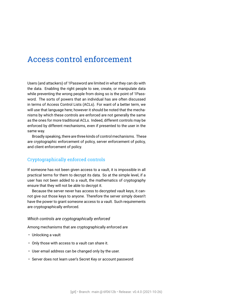# Access control enforcement

Users (and attackers) of 1Password are limited in what they can do with the data. Enabling the right people to see, create, or manipulate data while preventing the wrong people from doing so is the point of 1Password. The sorts of powers that an individual has are often discussed in terms of Access Control Lists (ACLs). For want of a better term, we will use that language here; however it should be noted that the mechanisms by which these controls are enforced are not generally the same as the ones for more traditional ACLs. Indeed, different controls may be enforced by different mechanisms, even if presented to the user in the same way.

Broadly speaking, there are three kinds of control mechanisms. These are cryptographic enforcement of policy, server enforcement of policy, and client enforcement of policy.

# Cryptographically enforced controls

If someone has not been given access to a vault, it is impossible in all practical terms for them to decrypt its data. So at the simple level, if a user has not been added to a vault, the mathematics of cryptography ensure that they will not be able to decrypt it.

Because the server never has access to decrypted vault keys, it cannot give out those keys to anyone. Therefore the server simply doesn't have the power to grant someone access to a vault. Such requirements are cryptographically enforced.

#### *Which controls are cryptographically enforced*

Among mechanisms that are cryptographically enforced are

- Unlocking a vault
- Only those with access to a vault can share it.
- User email address can be changed only by the user.
- Server does not learn user's [Secret Key](#page-91-2) or [account password](#page-86-1)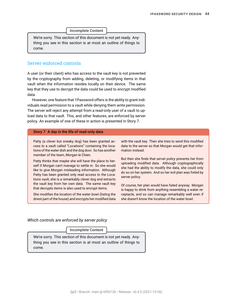Incomplete Content

We're sorry. This section of this document is not yet ready. Anything you see in this section is at most an outline of things to come.

# Server-enforced controls

A user (or their client) who has access to the vault key is not prevented by the cryptography from adding, deleting, or modifying items in that vault when the information resides locally on their device. The same key that they use to decrypt the data could be used to encrypt modified data.

However, one feature that 1Password offers is the ability to grant individuals read permission to a vault while denying them write permission. The server will reject any attempt from a read-only user of a vault to upload data to that vault. This, and other features, are enforced by server policy. An example of one of these in action is presented in Story [7](#page-43-0).

#### <span id="page-43-0"></span>Story 7: A day in the life of read-only data

Patty (a clever but sneaky dog) has been granted access to a vault called "Locations" containing the locations of the water dish and the dog door. So has another member of the team, Morgan le Chien.

Patty thinks that maybe she will have the place to herself if Morgan can't manage to settle in. So she would like to give Morgan misleading information. Although Patty has been granted only read access to the Locations vault, she is a remarkably clever dog and extracts the vault key from her own data. The same vault key that decrypts items is also used to encrypt items.

She modifies the location of the water bowl (listing the driest part of the house) and encrypts her modified data

with the vault key. Then she tries to send this modified data to the server so that Morgan would get that information instead.

But then she finds that *server policy* prevents her from uploading modified data. Although cryptographically she had the ability to modify the data, she could only do so on her system. And so her evil plan was foiled by server policy.

Of course, her plan would have failed anyway. Morgan is happy to drink from anything resembling a water receptacle, and so can manage remarkably well even if she doesn't know the location of the water bowl.

*Which controls are enforced by server policy*

Incomplete Content

We're sorry. This section of this document is not yet ready. Anything you see in this section is at most an outline of things to come.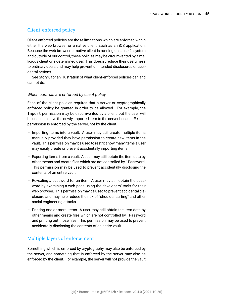# Client-enforced policy

Client-enforced policies are those limitations which are enforced within either the web browser or a native client, such as an iOS application. Because the web browser or native client is running on a user's system and outside of our control, these policies may be circumvented by a malicious client or a determined user. This doesn't reduce their usefulness to ordinary users and may help prevent unintended disclosures or accidental actions.

See Story [8](#page-45-0) for an illustration of what client-enforced policies can and cannot do.

#### *Which controls are enforced by client policy*

Each of the client policies requires that a server or cryptographically enforced policy be granted in order to be allowed. For example, the Import permission may be circumvented by a client, but the user will be unable to save the newly imported item to the server because Write permission is enforced by the server, not by the client.

- Importing items into a vault. A user may still create multiple items manually provided they have permission to create new items in the vault. This permission may be used to restrict how many items a user may easily create or prevent accidentally importing items.
- Exporting items from a vault. A user may still obtain the item data by other means and create files which are not controlled by 1Password. This permission may be used to prevent accidentally disclosing the contents of an entire vault.
- Revealing a password for an item. A user may still obtain the password by examining a web page using the developers' tools for their web browser. This permission may be used to prevent accidental disclosure and may help reduce the risk of "shoulder surfing" and other social engineering attacks.
- Printing one or more items. A user may still obtain the item data by other means and create files which are not controlled by 1Password and printing out those files. This permission may be used to prevent accidentally disclosing the contents of an entire vault.

# Multiple layers of enforcement

Something which is enforced by cryptography may also be enforced by the server, and something that is enforced by the server may also be enforced by the client. For example, the server will not provide the vault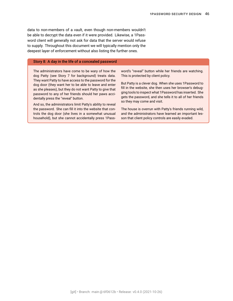data to non-members of a vault, even though non-members wouldn't be able to decrypt the data even if it were provided. Likewise, a 1Password client will generally not ask for data that the server would refuse to supply. Throughout this document we will typically mention only the deepest layer of enforcement without also listing the further ones.

#### <span id="page-45-0"></span>Story 8: A day in the life of a concealed password

The administrators have come to be wary of how the dog Patty (see Story [7](#page-43-0) for background) treats data. They want Patty to have access to the password for the dog door (they want her to be able to leave and enter as she pleases), but they do not want Patty to give that password to any of her friends should her paws accidentally press the "reveal" button.

And so, the administrators limit Patty's ability to reveal the password. She can fill it into the website that controls the dog door (she lives in a somewhat unusual household), but she cannot accidentally press 1Password's "reveal" button while her friends are watching. This is protected by client policy.

But Patty is a clever dog. When she uses 1Password to fill in the website, she then uses her browser's debugging tools to inspect what 1Password has inserted. She gets the password, and she tells it to all of her friends so they may come and visit.

The house is overrun with Patty's friends running wild, and the administrators have learned an important lesson that client policy controls are easily evaded.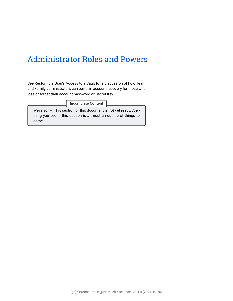# Administrator Roles and Powers

See [Restoring a User's Access to a Vault](#page-47-0) for a discussion of how Team and Family administrators can perform account recovery for those who lose or forget their [account password](#page-86-1) or [Secret Key.](#page-91-2)

Incomplete Content

We're sorry. This section of this document is not yet ready. Anything you see in this section is at most an outline of things to come.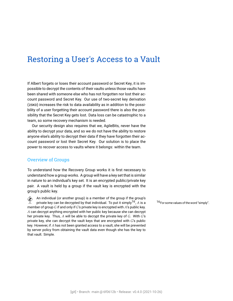# <span id="page-47-0"></span>Restoring a User's Access to a Vault

If Albert forgets or loses their [account password](#page-86-1) or [Secret Key](#page-91-2), it is impossible to decrypt the contents of their vaults unless those vaults have been shared with someone else who has not forgotten nor lost their account password and Secret Key. Our use of [two-secret key derivation](#page-91-3) [\(2SKD\)](#page-91-3) increases the risk to data availability as in addition to the possibility of a user forgetting their account password there is also the possibility that the Secret Key gets lost. Data loss can be catastrophic to a team, so some recovery mechanism is needed.

Our security design also requires that we, AgileBits, never have the ability to decrypt your data, and so we do not have the ability to restore anyone else's ability to decrypt their data if they have forgotten their account password or lost their Secret Key. Our solution is to place the power to recover access to vaults where it belongs: within the team.

## Overview of Groups

To understand how the [Recovery Group](#page-90-0) works it is first necessary to understand how a group works. A group will have a key set that is similar in nature to an individual's key set. It is an encrypted public/private key pair. A vault is held by a group if the vault key is encrypted with the group's public key.

An individual (or another group) is a member of the group if the group's<br>private key can be decrypted by that individual. To put it simply<sup>16</sup> 4 is a private key can be decrypted by that individual. To put it simply<sup>16</sup>, A is a  $16$ For some values of the word "simply". member of group  $G$  if and only if  $G$ 's private key is encrypted with  $A$ 's public key.  $A$  can decrypt anything encrypted with her public key because she can decrypt her private key. Thus,  $A$  will be able to decrypt the private key of  $G$ . With  $G$ 's private key, she can decrypt the vault keys that are encrypted with  $G$ 's public key. However, if A has not been granted access to a vault, she will be prevented by server policy from obtaining the vault data even though she has the key to that vault. Simple.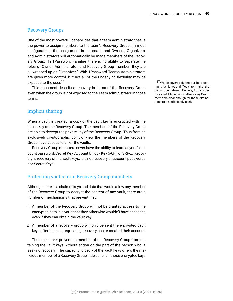### Recovery Groups

One of the most powerful capabilities that a team administrator has is the power to assign members to the team's Recovery Group. In most configurations the assignment is automatic and Owners, Organizers, and Administrators will automatically be made members of the Recovery Group. In 1Password Families there is no ability to separate the roles of Owner, Administrator, and Recovery Group member; they are all wrapped up as "Organizer." With 1Password Teams Administrators are given more control, but not all of the underlying flexibility may be exposed to the user.<sup>17</sup>  $\frac{17}{17}$  we discovered during our beta test-

This document describes recovery in terms of the Recovery Group even when the group is not exposed to the Team administrator in those terms.

# Implicit sharing

When a vault is created, a copy of the vault key is encrypted with the public key of the Recovery Group. The members of the Recovery Group are able to decrypt the private key of the Recovery Group. Thus from an exclusively cryptographic point of view the members of the Recovery Group have access to all of the vaults.

Recovery Group members never have the ability to learn anyone's ac-count password, Secret Key, [Account Unlock Key \(AUK\),](#page-86-2) or [SRP-](#page-91-4) $x$ . Recovery is recovery of the vault keys; it is not recovery of account passwords nor Secret Keys.

### Protecting vaults from Recovery Group members

Although there is a chain of keys and data that would allow any member of the Recovery Group to decrypt the content of any vault, there are a number of mechanisms that prevent that:

- 1. A member of the Recovery Group will not be granted access to the encrypted data in a vault that they otherwise wouldn't have access to even if they can obtain the vault key.
- 2. A member of a recovery group will only be sent the encrypted vault keys after the user requesting recovery has re-created their account.

Thus the server prevents a member of the Recovery Group from obtaining the vault keys without action on the part of the person who is seeking recovery. The capacity to decrypt the vault keys offers the malicious member of a Recovery Group little benefit if those encrypted keys ing that it was difficult to make the distinction between Owners, Administrators, vault Managers, and Recovery Group members clear enough for those distinctions to be sufficiently useful.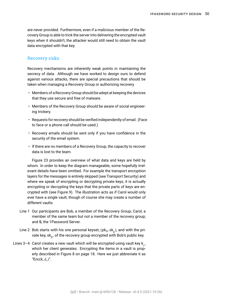are never provided. Furthermore, even if a malicious member of the Recovery Group is able to trick the server into delivering the encrypted vault keys when it shouldn't, the attacker would still need to obtain the vault data encrypted with that key.

## Recovery risks

Recovery mechanisms are inherently weak points in maintaining the secrecy of data. Although we have worked to design ours to defend against various attacks, there are special precautions that should be taken when managing a Recovery Group or authorizing recovery.

- Members of a Recovery Group should be adept at keeping the devices that they use secure and free of malware.
- Members of the Recovery Group should be aware of social engineering trickery.
- Requests for recovery should be verified independently of email. (Face to face or a phone call should be used.)
- Recovery emails should be sent only if you have confidence in the security of the email system.
- If there are no members of a Recovery Group, the capacity to recover data is lost to the team.

Figure [23](#page-50-0) provides an overview of what data and keys are held by whom. In order to keep the diagram manageable, some hopefully irrelevant details have been omitted. For example the transport encryption layers for the messages is entirely skipped (see [Transport Security\)](#page-60-0) and where we speak of encrypting or decrypting private keys, it is actually encrypting or decrypting the keys that the private parts of keys are encrypted with (see Figure [9\)](#page-18-0). The illustration acts as if Carol would only ever have a single vault, though of course she may create a number of different vaults.

- Line [1](#page-50-1) Our participants are Bob, a member of the Recovery Group; Carol, a member of the same team but not a member of the recovery group; and S, the 1Password Server.
- Line [2](#page-50-2)  $\,$  Bob starts with his one personal keyset, (p $\mathsf{k}_\mathcal{B}$ , s $\mathsf{k}_\mathcal{B}$ ), and with the private key, sk $_{\mathrm{R}}$ , of the recovery group encrypted with Bob's public key.
- Lines [3](#page-50-3)[–4](#page-50-4)  $\,$  Carol creates a new vault which will be encrypted using vault key  $\mathsf{k}_v^{}$ , which her client generates. Encrypting the items in a vault is properly described in Figure [8](#page-17-0) on page [18.](#page-17-0) Here we just abbreviate it as "Enc $(k, d_v)$ ".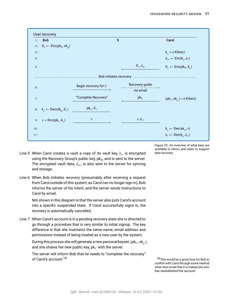<span id="page-50-6"></span><span id="page-50-5"></span><span id="page-50-4"></span><span id="page-50-3"></span><span id="page-50-2"></span><span id="page-50-1"></span>

| User recovery                                                 |                      |                |                                                              |  |  |  |
|---------------------------------------------------------------|----------------------|----------------|--------------------------------------------------------------|--|--|--|
| <b>Bob</b><br>1:                                              |                      | S              | Carol                                                        |  |  |  |
| 2: $R_b$ ← Enc(pk <sub>B</sub> , sk <sub>R</sub> )            |                      |                |                                                              |  |  |  |
| 3:                                                            |                      |                | $k_{n} \leftarrow s KGen()$                                  |  |  |  |
| 4:                                                            |                      |                | $d_{ve} \leftarrow \text{Enc}(\mathsf{k}_{v}, d_{v})$        |  |  |  |
| 5:                                                            |                      | $R_v, d_{ve}$  | $R_v \leftarrow \text{Enc}(\text{pk}_R, \textbf{k}_v)$       |  |  |  |
|                                                               |                      |                |                                                              |  |  |  |
| 6:                                                            | Begin recovery for C | Recovery guide |                                                              |  |  |  |
|                                                               |                      | via email      |                                                              |  |  |  |
| 7:                                                            | "Complete Recovery"  | $pk_C$         | $(pk_C, sk_C) \leftarrow s KGen()$                           |  |  |  |
| $8: \mathsf{k}_n \leftarrow \mathsf{Dec}(\mathsf{sk}_p, R_v)$ | $pk_C, R_v$          |                |                                                              |  |  |  |
| 9 : $x = \text{Enc}(\text{pk}_C, \mathbf{k}_n)$               | $\mathcal{X}$        | $x, d_{ve}$    |                                                              |  |  |  |
| 10:                                                           |                      |                | $\mathsf{k}_{v} \leftarrow \mathsf{Dec}(\mathsf{sk}_{c}, x)$ |  |  |  |
| 11:                                                           |                      |                | $d_v \leftarrow \mathsf{Dec}(\mathsf{k}_{v}, d_{ve})$        |  |  |  |

- <span id="page-50-9"></span><span id="page-50-8"></span><span id="page-50-7"></span><span id="page-50-0"></span>Line [5](#page-50-5)  $\,$  When Carol creates a vault a copy of its vault key,  $k_{v}$ , is encrypted  $\,$  data recovery. using the Recovery Group's public key,  $pk<sub>R</sub>$ , and is sent to the server. The encrypted vault data,  $d_{ve}$ , is also sent to the server for syncing and storage.
- Line [6](#page-50-6) When Bob initiates recovery (presumably after receiving a request from Carol outside of this system, as Carol can no longer sign in), Bob informs the server of his intent, and the server sends instructions to Carol by email.

Not shown in this diagram is that the server also puts Carol's account into a specific suspended state. If Carol successfully signs in, the recovery is automatically cancelled.

Line [7](#page-50-7) When Carol's account is in a pending recovery state she is directed to go through a procedure that is very similar to initial signup. The key difference is that she maintains the same name, email address and permissions instead of being treated as a new user by the system.

During this process she will generate a new personal keyset, (pk $_{C}$ , sk $_{\bigcirc}$ ), and she shares her new public key,  $pk<sub>C</sub>$  with the server.

The server will inform Bob that he needs to "complete the recovery" of Carol's account.<sup>18</sup> 18This would be a good time for Bob to

Figure 23: An overview of what keys are available to whom and when to support

confirm with Carol through some method other than email that it is indeed she who has reestablished her account.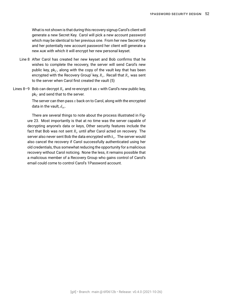What is not shown is that during this recovery signup Carol's client will generate a new Secret Key. Carol will pick a new account password which may be identical to her previous one. From her new Secret Key and her potentially new account password her client will generate a new AUK with which it will encrypt her new personal keyset.

- Line [8](#page-50-8) After Carol has created her new keyset and Bob confirms that he wishes to complete the recovery, the server will send Carol's new public key,  $pk_{C}$ , along with the copy of the vault key that has been encrypted with the Recovery Group' key,  $R_v.$  Recall that  $R_v$  was sent to the server when Carol first created the vault [\(5\)](#page-50-5)
- Lines [8](#page-50-8)[–9](#page-50-9) Bob can decrypt  $R<sub>v</sub>$  and re-encrypt it as x with Carol's new public key,  $pk_C$  and send that to the server.

The server can then pass  $x$  back on to Carol, along with the encrypted data in the vault,  $d_{\eta e}$ .

There are several things to note about the process illustrated in Figure [23](#page-50-0). Most importantly is that at no time was the server capable of decrypting anyone's data or keys, Other security features include the fact that Bob was not sent  $R_n$  until after Carol acted on recovery. The server also never sent Bob the data encrypted with  $k_v.$  The server would also cancel the recovery if Carol successfully authenticated using her old credentials, thus somewhat reducing the opportunity for a malicious recovery without Carol noticing. None the less, it remains possible that a malicious member of a Recovery Group who gains control of Carol's email could come to control Carol's 1Password account.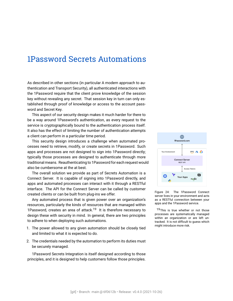# 1Password Secrets Automations

As described in other sections (in particular [A modern approach to au](#page-13-0)[thentication](#page-13-0) and [Transport Security](#page-60-0)), all authenticated interactions with the 1Password require that the client prove knowledge of the session key without revealing any secret. That session key in turn can only established through proof of knowledge or access to the [account pass](#page-86-1)[word](#page-86-1) and [Secret Key](#page-91-2).

This aspect of our security design makes it much harder for there to be a way around 1Password's authentication, as every request to the service is cryptographically bound to the authentication process itself. It also has the effect of limiting the number of authentication attempts a client can perform in a particular time period.

This security design introduces a challenge when automated processes need to retrieve, modify, or create secrets in 1Password. Such apps and processes are not designed to sign into 1Password directly; typically those processes are designed to authenticate through more traditional means. Reauthenticating to 1Password for each request would also be cumbersome at the at best.

The overall solution we provide as part of Secrets Automation is a Connect Server. It is capable of signing into 1Password directly, and apps and automated processes can interact with it through a [RESTful](#page-90-1) interface. The API for the Connect Server can be called by customer created clients or can be built from plug-ins we offer.

Any automated process that is given power over an organization's resources, particularly the kinds of resources that are managed within 1Password, creates an area of attack.<sup>19</sup> It is therefore necessary to  $19$ This is true whether or not those design these with security in mind. In general, there are two principles to adhere to when deploying such automations.

- 1. The power allowed to any given automation should be closely tied and limited to what it is expected to do.
- 2. The credentials needed by the automation to perform its duties must be securely managed.

1Password Secrets Integration is itself designed according to those principles, and it is designed to help customers follow those principles.



Figure 24: The 1Password Connect server lives in your environment and acts as a RESTful connection between your apps and the 1Password service.

processes are systematically managed within an organization or are left untracked. It is not difficult to guess which might introduce more risk.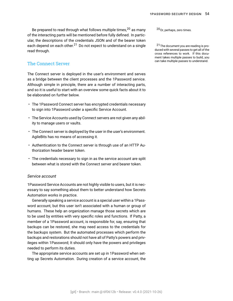Be prepared to read through what follows multiple times,  $^{20}$  as many  $^{20}$  Or, perhaps, zero times. of the interacting parts will be mentioned before fully defined. In particular, the descriptions of the credentials JSON and of the bearer token each depend on each other.<sup>21</sup> Do not expect to understand on a single <sup>21</sup>The document you are reading is proread through.

# The Connect Server

The Connect server is deployed in the user's environment and serves as a bridge between the client processes and the 1Password service. Although simple in principle, there are a number of interacting parts, and so it is useful to start with an overview some quick facts about it to be elaborated on further below.

- The 1Password Connect server has encrypted credentials necessary to sign into 1Password under a specific Service Account.
- The Service Accounts used by Connect servers are not given any ability to manage users or vaults.
- The Connect server is deployed by the user in the user's environment. AgileBits has no means of accessing it.
- Authentication to the Connect server is through use of an HTTP Authorization header bearer token.
- The credentials necessary to sign in as the service account are split between what is stored with the Connect server and bearer token.

#### *Service account*

1Password Service Accounts are not highly visible to users, but it is necessary to say something about them to better understand how Secrets Automation works in practice.

Generally speaking a service account is a special user within a 1Password account, but this user isn't associated with a human or group of humans. These help an organization manage those secrets which are to be used by entities with very specific roles and functions. If Patty, a member of a 1Password account, is responsible for, say, ensuring that backups can be restored, she may need access to the credentials for the backups system. But the automated processes which perform the backups and restorations should not have all of Patty's powers and privileges within 1Password; It should only have the powers and privileges needed to perform its duties.

The appropriate service accounts are set up in 1Password when setting up Secrets Automation. During creation of a service account, the

duced with several passes to get all of the cross references to work. If this document takes multiple passes to build, you can take multiple passes to understand.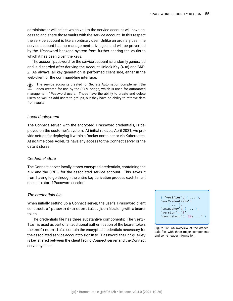administrator will select which vaults the service account will have access to and share those vaults with the service account. In this respect the service account is like an ordinary user. Unlike an ordinary user, the service account has no management privileges, and will be prevented by the 1Password backend system from further sharing the vaults to which it has been given the keys.

The account password for the service account is randomly generated and is discarded after deriving the [Account Unlock Key \(AUK\)](#page-86-2) and [SRP](#page-91-4)  $x$ . As always, all key generation is performed client side, either in the web-client or the command-line interface.

 $\hat{\blacktriangle}$  The service accounts created for Secrets Automation complement the ones created for use by the SCIM bridge, which is used for automated management 1Password users. Those have the ability to create and delete users as well as add users to groups, but they have no ability to retrieve data from vaults.

#### *Local deployment*

The Connect server, with the encrypted 1Password credentials, is deployed on the customer's system. At initial release, April 2021, we provide setups for deploying it within a Docker container or via Kubernetes. At no time does AgileBits have any access to the Connect server or the data it stores.

#### *Credential store*

The Connect server locally stores encrypted credentials, containing the AUK and the SRP- $x$  for the associated service account. This saves it from having to go through the entire key derivation process each time it needs to start 1Password session.

#### *The credentials file*

When initially setting up a Connect server, the user's 1Password client constructs a 1password-credentials.json file along with a bearer token.

The credentials file has three substantive components: The verifier is used as part of an additional authentication of the bearer token; the encCredentials contain the encrypted credentials necessary for the associated service account to sign in to 1Password; the uniqueKey is key shared between the client facing Connect server and the Connect server syncher.

{ "verifier": { ... }, "encCredentials": { ... }, "uniqueKey":  $\{ \ldots \}$ ,  $"version" : "2"$  $"deviceUuid" : "22e ...$ 

Figure 25: An overview of the credentials file, with three major components and some header information.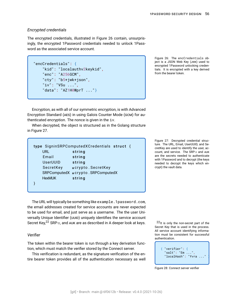#### *Encrypted credentials*

The encrypted credentials, illustrated in Figure 26 contain, unsurprisingly, the encrypted 1Password credentials needed to unlock 1Password as the associated service account.

```
"encCredentials": {
    "kid": "localauthv2keykid",
    "enc": "A256GCM",
    "cty": "b5+jwk+json",
    "iv": "VSu ...",
    "data": "AZ1H0WprT ..."}
```
Figure 26: The encCredentials object is a [JSON Web Key \(JWK\)](#page-89-0) used to encrypted 1Password unlocking credentials. It is encrypted with a key derived from the bearer token.

Encryption, as with all of our symmetric encryption, is with [Advanced](#page-86-3) [Encryption Standard \(AES\)](#page-86-3) in using [Galois Counter Mode \(GCM\)](#page-88-0) for authenticated encryption. The [nonce](#page-89-1) is given in the iv.

When decrypted, the object is structured as in the Golang structure in Figure 27.

| type SigninSRPComputedXCredentials struct { |                                   |  |  |  |
|---------------------------------------------|-----------------------------------|--|--|--|
| URL.                                        | string                            |  |  |  |
| Email                                       | string                            |  |  |  |
| <b>UserUUID</b>                             | string                            |  |  |  |
| SecretKey                                   | $\star$ crypto. SecretKey         |  |  |  |
|                                             | SRPComputedX *crypto.SRPComputedX |  |  |  |
| <b>HexMUK</b>                               | string                            |  |  |  |
|                                             |                                   |  |  |  |

The URL will typically be something like <example.1password.com>, the email addresses created for service accounts are never expected to be used for email, and just serve as a username. The the user [Uni](#page-92-0)[versally Unique Identifier \(UUID\)](#page-92-0) uniquely identifies the service account Secret Key,<sup>22</sup> SRP- $x$ , and AUK are as described in [A deeper look at keys](#page-32-0).

#### *Verifier*

The token within the bearer token is run through a key derivation function, which must match the verifier stored by the Connect server. { "verifier": {

This verification is redundant, as the signature verification of the entire bearer token provides all of the authentication necessary as well Figure 27: Decrypted credential structure. The URL, Email, UserUUID, and SecretKey are used to identify the user, account, and service. The SRP- $x$  and AUK are the secrets needed to authenticate with 1Password and to decrypt (the keys needed to decrypt the keys which encrypt) the vault data.

22<sub>It is only the non-secret part of the</sub> Secret Key that is used in the process. All service account identifying information must be consistent for successful authentication.

 $"salt": "Em ..."$ "localHash": "Yvra ..."

Figure 28: Connect server verifier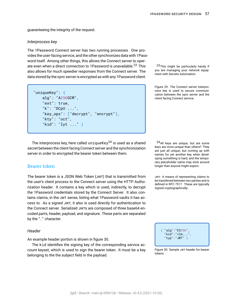guaranteeing the integrity of the request.

#### *Interprocess key*

The 1Password Connect server has two running processes. One provides the user-facing service, and the other synchronizes data with 1Password itself. Among other things, this allows the Connect server to operate even when a direct connection to 1Password is unavailable.<sup>23</sup> This  $^{23}$ This might be particularly handy if also allows for much speedier responses from the Connect server. The you are managing your networs also allows data stored by the sync server is encrypted as with any 1Password client.

```
"uniqueKey": {
   alg": "A256GCM",
   "ext": true,
   "k": "DCpU ...",
    "key_ops": ["decrypt", "encrypt"],
   "kty": "oct",
    "kid": "lyt ..." }
```
you are managing your network equip-

Figure 29: The Connect server interprocess key is used to secure communication between the sync server and the client facing Connect service.

The interprocess key, here called uniqueKey<sup>24</sup> is used as a shared  $24$ All keys are unique, but are some secret between the client facing Connect server and the synchronization server in order to encrypted the bearer token between them.

#### Bearer token

The bearer token is a [JSON Web Token \(JWT\)](#page-89-2) that is transmitted from JWT: A means of representing claims to the user's client process to the Connect server using the HTTP Authorization header. It contains a key which is used, indirectly, to decrypt the 1Password credentials stored by the Connect Server. It also contains claims, in the JWT sense, listing what 1Password vaults it has access to. As a signed JWT, it also is used directly for authentication to the Connect server. Serialized JWTs are composed of three base64 encoded parts, header, payload, and signature. These parts are separated by the "." character.

#### *Header*

An example header portion is shown in figure 30.

The kid identifies the signing key of the corresponding service account keyset, which is used to sign the bearer token. It must be a key belonging to the the subject field in the payload.

keys are more unique than others? They are just all unique; but coming up with names for yet another key when developing something is hard, and the temporary placeholder name may stick around longer than anyone might expect.

be transferred between two parties and is defined in RFC 7517. These are typically signed cryptographically..

{ "alg":"ES256",  $"$ kid":" $v1m...$ "typ":"JWT" }

Figure 30: Sample JWT header for bearer tokens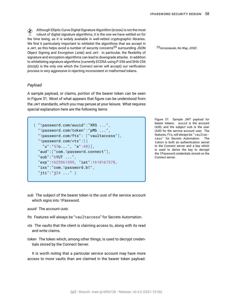Although [Elliptic Curve Digital Signature Algorithm \(ECDSA\)](#page-87-0) is not the most<br>antenna of digital signature algorithms it is the one we have cettled on for robust of digital signature algorithms, it is the one we have settled on for the time being, as it is widely available in well-vetted cryptographic libraries. We find it particularly important to whitelist the algorithms that we accept in a JWT, as this helps avoid a number of security concerns<sup>25</sup> surrounding [JSON](#page-88-1) [25Arciszewski,](#page-88-1) *No Way, JOSE!*. Object Signing and Encryption (JOSE) and JWT. In particular, the flexibility of signature and encryption algorithms can lead to downgrade attacks. In addition to whitelisting signature algorithms (currently [ECDSA using P-256 and SHA-256](#page-87-1) [\(ES256\)](#page-87-1) is the only one which the Connect server will accept) our verification process is very aggressive in rejecting inconsistent or malformed tokens.

#### *Payload*

A sample payload, or claims, portion of the bearer token can be seen in Figure 31. Most of what appears that figure can be understood from the JWT standards, which you may peruse at your leisure. What requires special explanation here are the following items

{ "1password.com/auuid":"XRS ...", "1password.com/token":"pMb ...", "1password.com/fts": ["vaultaccess"], "1password.com/vts":[{ "u":"57o...", "a":48}], "aud":["com.1password.connect"], "sub":"6YUT ...", "exp":1625961599, "iat":1618167578, "iss":"com.1password.b5", "jti":"j24 ..." }

Figure 31: Sample JWT payload for bearer tokens. auuid is the account UUID, and the subject sub is the user UUID for the service account user. The features, fts, will always be "vaultaccess" for Secrets Automation. The token is both an authentication secret to the Connect server and a key which is used to derive the key to decrypt the 1Password credentials stored on the Connect server.

*sub* The subject of the bearer token is the UUID of the service account which signs into 1Password.

*auuid* The account UUID.

- *fts* Features will always be "vaultaccess" for Secrets Automation.
- *vts* The vaults that the client is claiming access to, along with its read and write claims.
- *token* The token which, among other things, is used to decrypt credentials stored by the Connect Server.

It is worth noting that a particular service account may have more access to more vaults than are claimed in the bearer token payload.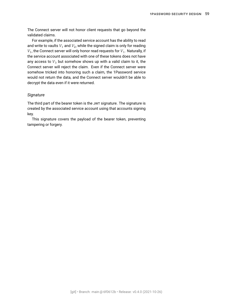The Connect server will not honor client requests that go beyond the validated claims.

For example, if the associated service account has the ability to read and write to vaults  $V_1$  and  $V_2$ , while the signed claim is only for reading  $\,_{1}$ , the Connect server will only honor read requests for  $V_{1}.$  Naturally, if the service account associated with one of these tokens does not have any access to  $V_3$  but somehow shows up with a valid claim to it, the Connect server will reject the claim. Even if the Connect server were somehow tricked into honoring such a claim, the 1Password service would not return the data, and the Connect server wouldn't be able to decrypt the data even if it were returned.

#### *Signature*

The third part of the bearer token is the JWT signature. The signature is created by the associated service account using that accounts signing key.

This signature covers the payload of the bearer token, preventing tampering or forgery.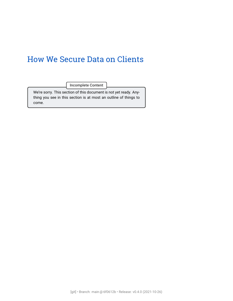# How We Secure Data on Clients

Incomplete Content

We're sorry. This section of this document is not yet ready. Anything you see in this section is at most an outline of things to come.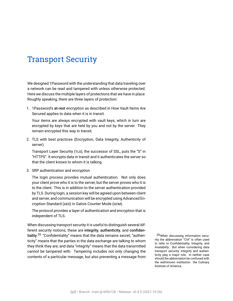# <span id="page-60-0"></span>Transport Security

We designed 1Password with the understanding that data traveling over a network can be read and tampered with unless otherwise protected. Here we discuss the multiple layers of protections that we have in place. Roughly speaking, there are three layers of protection:

1. 1Password's at-rest encryption as described in [How Vault Items Are](#page-17-1) [Secured](#page-17-1) applies to data when it is in transit.

Your items are always encrypted with vault keys, which in turn are encrypted by keys that are held by you and not by the server. They remain encrypted this way in transit.

2. TLS with best practices (Encryption, Data Integrity, Authenticity of server)

[Transport Layer Security \(TLS\)](#page-91-1), the successor of SSL, puts the "S" in "HTTPS". It encrypts data in transit and it authenticates the server so that the client knows to whom it is talking.

<span id="page-60-1"></span>3. SRP authentication and encryption

The login process provides mutual authentication. Not only does your client prove who it is to the server, but the server proves who it is to the client. This is in addition to the server authentication provided by TLS. During login, a session key will be agreed upon between client and server, and communication will be encrypted using [Advanced En](#page-86-3)[cryption Standard \(AES\)](#page-86-3) in [Galois Counter Mode \(GCM\)](#page-88-0).

The protocol provides a layer of authentication and encryption that is independent of TLS.

When discussing transport security it is useful to distinguish several different security notions; these are [integrity](#page-88-2), [authenticity](#page-86-4), and [confiden](#page-87-2)[tiality](#page-87-2).<sup>26</sup> "Confidentiality" means that the data remains secret; "authen-  $26$ When discussing information secuticity" means that the parties in the data exchange are talking to whom they think they are; and data "integrity" means that the data transmitted cannot be tampered with. Tampering includes not only changing the contents of a particular message, but also preventing a message from

rity the abbreviation "CIA" is often used to refer to Confidentiality, Integrity, and *Availability*. But when considering data transport security, integrity and authenticity play a major role. In neither case should the abbreviation be confused with the well-known institution: the Culinary Institute of America.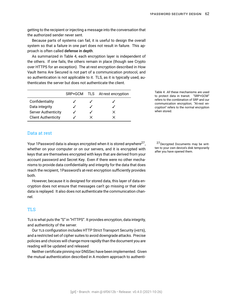getting to the recipient or injecting a message into the conversation that the authorized sender never sent.

Because parts of systems can fail, it is useful to design the overall system so that a failure in one part does not result in failure. This approach is often called defense in depth.

As summarized in Table [4](#page-60-1), each encryption layer is independent of the others. If one fails, the others remain in place (though see [Crypto](#page-67-0) [over HTTPS](#page-67-0) for an exception). The at-rest encryption described in [How](#page-17-1) [Vault Items Are Secured](#page-17-1) is not part of a communication protocol, and so authentication is not applicable to it. TLS, as it is typically used, authenticates the server but does not authenticate the client.

|                            |   | SRP+GCM TLS At-rest encryption |
|----------------------------|---|--------------------------------|
| Confidentiality            |   |                                |
| Data integrity             |   |                                |
| <b>Server Authenticity</b> |   | ×                              |
| <b>Client Authenticity</b> | x | x                              |

Table 4: *All* these mechanisms are used to protect data in transit. "SRP+GCM" refers to the combination of SRP and our communication encryption; "At-rest encryption" refers to the normal encryption when stored.

### Data at rest

Your 1Password data is always encrypted when it is stored anywhere<sup>27</sup>, , whether on your computer or on our servers, and it is encrypted with the ten to your own devices disk<br>after you have opened them. keys that are themselves encrypted with keys that are derived from your [account password](#page-86-1) and [Secret Key](#page-91-2). Even if there were no other mechanisms to provide data confidentiality and integrity for the data that does reach the recipient, 1Password's at-rest encryption sufficiently provides both.

However, because it is designed for stored data, this layer of data encryption does not ensure that messages can't go missing or that older data is replayed. It also does not authenticate the communication channel.

# TLS

TLS is what puts the "S" in "HTTPS". It provides encryption, data integrity, and authenticity of the server.

Our TLS configuration includes [HTTP Strict Transport Security \(HSTS\),](#page-88-3) and a restricted set of cipher suites to avoid downgrade attacks. Precise policies and choices will change more rapidly than the document you are reading will be updated and released

Neither certificate pinning nor DNSSec have been implemented. Given the mutual authentication described in [A modern approach to authenti-](#page-13-0)

27 Decrypted Documents may be written to your own device's disk temporarily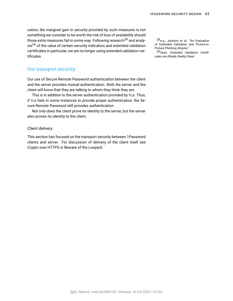[cation](#page-13-0), the marginal gain in security provided by such measures is not something we consider to be worth the risk of loss of availability should those extra measures fail in some way. Following research<sup>28</sup> and analy-  $28_{e.g.,}$  Jackson et al., ["An Evaluation](#page-93-0) sis<sup>29</sup> of the value of certain security indicators and extended validation certificates in particular, we are no longer using extended validation certificates.

of Extended Validation and Picture-in-<br>Picture Phishing Attacks."

29Hunt, *[Extended Validation Certifi](#page-93-1)[cates are \(Really, Really\) Dead](#page-93-1)*.

# Our transport security

Our use of Secure Remote Password [authentication](#page-86-5) between the client and the server provides [mutual authentication](#page-89-3). Both the server and the client will know that they are talking to whom they think they are.

This is in addition to the server authentication provided by TLS. Thus, if TLS fails in some instances to provide proper authentication, the Secure Remote Password still provides authentication.

Not only does the client prove its identity to the server, but the server also proves its identity to the client.

#### *Client delivery*

This section has focused on the transport security between 1Password clients and server. For discussion of delivery of the client itself see [Crypto over HTTPS](#page-67-0) in [Beware of the Leopard.](#page-67-1)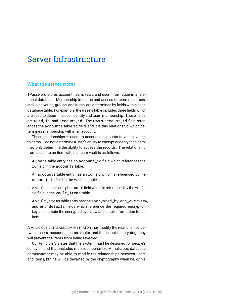# Server Infrastructure

# What the server stores

1Password stores account, team, vault, and user information in a relational database. Membership in teams and access to team resources, including vaults, groups, and items, are determined by fields within each database table. For example, the users table includes three fields which are used to determine user identity and team membership. These fields are uuid, id, and account\_id. The user's account\_id field references the accounts table id field, and it is this relationship which determines membership within an account.

These relationships  $-$  users to accounts, accounts to vaults, vaults to items — do not determine a user's ability to encrypt or decrypt an item; they only determine the ability to access the records. The relationship from a user to an item within a team vault is as follows:

- A users table entry has an account\_id field which references the id field in the accounts table.
- An accounts table entry has an id field which is referenced by the account\_id field in the vaults table.
- A vaults table entry has an id field which is referenced by the vault\_ id field in the vault items table.
- A vault\_items table entry has the encrypted\_by, enc\_overview, and enc\_details fields which reference the required encryption key and contain the encrypted overview and detail information for an item.

A MALICIOUS DATABASE ADMINISTRATOR may modify the relationships between users, accounts, teams, vaults, and items, but the cryptography will prevent the items from being revealed.

Our Principle [3](#page-6-0) states that the system must be designed for people's behavior, and that includes malicious behavior. A malicious database administrator may be able to modify the relationships between users and items, but he will be thwarted by the cryptography when he, or his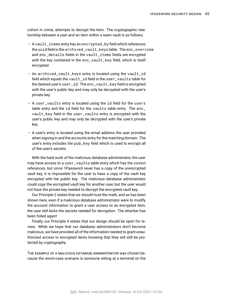cohort in crime, attempts to decrypt the item. The cryptographic relationship between a user and an item within a team vault is as follows:

- A vault\_items entry has an encrypted\_by field which references the uuid field in the archived\_vault\_keys table. The enc\_overview and enc\_details fields in the vault\_items fields are encrypted with the key contained in the enc\_vault\_key field, which is itself encrypted.
- An archived\_vault\_keys entry is located using the vault\_id field which equals the vault\_id field in the user\_vaults table for the desired user's user\_id. The enc\_vault\_key field is encrypted with the user's public key and may only be decrypted with the user's private key.
- A user\_vaults entry is located using the id field for the users table entry and the id field for the vaults table entry. The enc\_ vault\_key field in the user\_vaults entry is encrypted with the user's public key and may only be decrypted with the user's private key.
- A user's entry is located using the email address the user provided when signing in and the accounts entry for the matching domain. The user's entry includes the pub\_key field which is used to encrypt all of the user's secrets.

With the hard work of the malicious database administrator, the user may have access to a user\_vaults table entry which has the correct references, but since 1Password never has a copy of the unencrypted vault key, it is impossible for the user to have a copy of the vault key encrypted with her public key. The malicious database administrator could copy the encrypted vault key for another user, but the user would not have the private key needed to decrypt the encrypted vault key.

Our Principle [2](#page-6-1) states that we should trust the math, and as has been shown here, even if a malicious database administrator were to modify the account information to grant a user access to an encrypted item, the user still lacks the secrets needed for decryption. The attacker has been foiled again!

Finally, our Principle [4](#page-7-0) states that our design should be open for review. While we hope that our database administrators don't become malicious, we have provided all of the information needed to grant unauthorized access to encrypted items knowing that they will still be protected by cryptography.

THE EXAMPLE OF A MALICIOUS DATABASE ADMINISTRATOR was chosen because the worst-case scenario is someone sitting at a terminal on the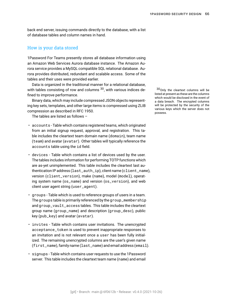back end server, issuing commands directly to the database, with a list of database tables and column names in hand.

## How is your data stored

1Password For Teams presently stores all database information using an Amazon Web Services Aurora database instance. The Amazon Aurora service provides a MySQL compatible SQL relational database. Aurora provides distributed, redundant and scalable access. Some of the tables and their uses were provided earlier.

Data is organized in the traditional manner for a relational database, with tables consisting of row and columns  $30$ , with various indices de-  $30$  Only the cleartext columns will be fined to improve performance.

Binary data, which may include compressed JSON objects representing key sets, templates, and other large items is compressed using ZLIB compression as described in RFC 1950.

The tables are listed as follows –

- accounts Table which contains registered teams, which originated from an initial signup request, approval, and registration. This table includes the cleartext team domain name (domain), team name (team) and avatar (avatar). Other tables will typically reference the accounts table using the id field.
- devices Table which contains a list of devices used by the user. The tables includes information for performing TOTP functions which are as-yet unimplemented. This table includes the cleartext last authentication IP address (last\_auth\_ip), client name (client\_name), version (client\_version), make (name), model (model), operating system name (os\_name) and version (os\_version), and web client user agent string (user\_agent).
- groups Table which is used to reference groups of users in a team. The groups table is primarily referenced by the group\_membership and group\_vault\_access tables. This table includes the cleartext group name (group\_name) and description (group\_desc), public key (pub\_key) and avatar (avatar).
- invites Table which contains user invitations. The unencrypted acceptance\_token is used to prevent inappropriate responses to an invitation and is not relevant once a user has been fully initialized. The remaining unencrypted columns are the user's given name (first\_name), family name (last\_name) and email address (email).
- signups Table which contains user requests to use the 1Password server. This table includes the cleartext team name (name) and email

listed at present as these are the columns which would be disclosed in the event of a data breach. The encrypted columns will be protected by the security of the various keys which the server does not possess.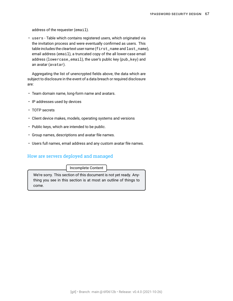address of the requester (email).

• users - Table which contains registered users, which originated via the invitation process and were eventually confirmed as users. This table includes the cleartext user name (first\_name and last\_name), email address (email), a truncated copy of the all lower-case email address (lowercase\_email), the user's public key (pub\_key) and an avatar (avatar).

Aggregating the list of unencrypted fields above, the data which are subject to disclosure in the event of a data breach or required disclosure are:

- Team domain name, long-form name and avatars.
- IP addresses used by devices
- TOTP secrets
- Client device makes, models, operating systems and versions
- Public keys, which are intended to be public.
- Group names, descriptions and avatar file names.
- Users full names, email address and any custom avatar file names.

# How are servers deployed and managed

Incomplete Content

We're sorry. This section of this document is not yet ready. Anything you see in this section is at most an outline of things to come.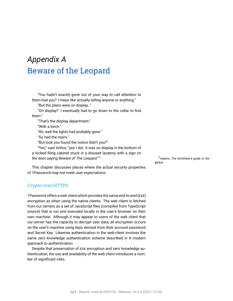# <span id="page-67-1"></span>*Appendix A* Beware of the Leopard

"You hadn't exactly gone out of your way to call attention to them had you? I mean like actually telling anyone or anything."

"But the plans were on display…"

"On display? I eventually had to go down to the cellar to find them."

"That's the display department."

"With a torch."

"Ah, well the lights had probably gone."

"So had the stairs."

"But look you found the notice didn't you?"

"Yes," said Arthur, "yes I did. It was on display in the bottom of a locked filing cabinet stuck in a disused lavatory with a sign on the door saying *Beware of The Leopard*."<sup>1</sup> 1Adams, *[The hitchhiker's guide to the](#page-93-2)* 

This chapter discusses places where the actual security properties of 1Password may not meet user expectations.

### <span id="page-67-0"></span>Crypto over HTTPS

1Password offers a web client which provides the same [end-to-end \(E2E\)](#page-88-4) encryption as when using the native clients. The web client is fetched from our servers as a set of JavaScript files (compiled from TypeScript source) that is run and executed locally in the user's browser on their own machine. Although it may appear to users of the web client that our server has the capacity to decrypt user data, all encryption occurs on the user's machine using keys derived from their [account password](#page-86-1) and [Secret Key.](#page-91-2) Likewise authentication in the web-client involves the same zero knowledge authentication scheme described in [A modern](#page-13-0) [approach to authentication.](#page-13-0)

Despite that preservation of E2E encryption and zero knowledge authentication, the use and availability of the web client introduces a number of significant risks.

*[galaxy](#page-93-2)*.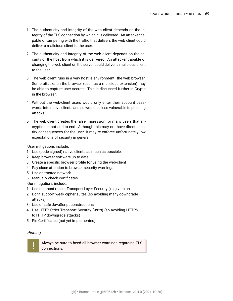- 1. The authenticity and integrity of the web client depends on the integrity of the TLS connection by which it is delivered. An attacker capable of tampering with the traffic that delivers the web client could deliver a malicious client to the user.
- 2. The authenticity and integrity of the web client depends on the security of the host from which it is delivered. An attacker capable of changing the web client on the server could deliver a malicious client to the user.
- 3. The web client runs in a very hostile environment: the web browser. Some attacks on the browser (such as a malicious extension) may be able to capture user secrets. This is discussed further in [Crypto](#page-69-0) [in the browser.](#page-69-0)
- 4. Without the web-client users would only enter their account passwords into native clients and so would be less vulnerable to phishing attacks.
- 5. The web client creates the false impression for many users that encryption is not end-to-end. Although this may not have direct security consequences for the user, it may re-enforce unfortunately low expectations of security in general.

User mitigations include:

- 1. Use (code signed) native clients as much as possible.
- 2. Keep browser software up to date
- 3. Create a specific browser profile for using the web-client
- 4. Pay close attention to browser security warnings
- 5. Use on trusted network
- 6. Manually check certificates

Our mitigations include:

- 1. Use the most recent [Transport Layer Security \(TLS\)](#page-91-1) version
- 2. Don't support weak cipher suites (so avoiding many downgrade attacks)
- 3. Use of safe JavaScript constructions.
- 4. Use [HTTP Strict Transport Security \(HSTS\)](#page-88-3) (so avoiding HTTPS to HTTP downgrade attacks)
- 5. Pin Certificates (not yet implemented)

#### *Pinning*

!<br>!

Always be sure to heed all browser warnings regarding TLS connections.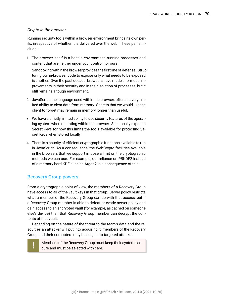#### <span id="page-69-0"></span>*Crypto in the browser*

Running security tools within a browser environment brings its own perils, irrespective of whether it is delivered over the web. These perils include:

1. The browser itself is a hostile environment, running processes and content that are neither under your control nor ours.

Sandboxing within the browser provides the first line of defense. Structuring our in-browser code to expose only what needs to be exposed is another. Over the past decade, browsers have made enormous improvements in their security and in their isolation of processes, but it still remains a tough environment.

- 2. JavaScript, the language used within the browser, offers us very limited ability to clear data from memory. Secrets that we would like the client to forget may remain in memory longer than useful.
- 3. We have a strictly limited ability to use security features of the operating system when operating within the browser. See [Locally exposed](#page-73-0) [Secret Keys](#page-73-0) for how this limits the tools available for protecting Secret Keys when stored locally.
- 4. There is a paucity of efficient cryptographic functions available to run in JavaScript. As a consequence, the WebCrypto facilities available in the browsers that we support impose a limit on the cryptographic methods we can use. For example, our reliance on PBKDF2 instead of a memory hard KDF such as Argon2 is a consequence of this.

# Recovery Group powers

!<br>!

From a cryptographic point of view, the members of a [Recovery Group](#page-90-0) have access to all of the vault keys in that group. Server policy restricts what a member of the Recovery Group can do with that access, but if a Recovery Group member is able to defeat or evade server policy and gain access to an encrypted vault (for example, as cached on someone else's device) then that Recovery Group member can decrypt the contents of that vault.

Depending on the nature of the threat to the team's data and the resources an attacker will put into acquiring it, members of the Recovery Group and their computers may be subject to targeted attacks.

> Members of the Recovery Group must keep their systems secure and must be selected with care.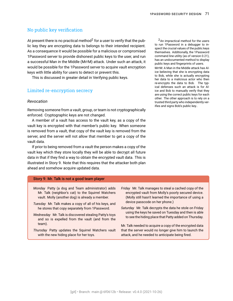# No public key verification

At present there is no practical method<sup>2</sup> for a user to verify that the public key they are encrypting data to belongs to their intended recipient. As a consequence it would be possible for a malicious or compromised 1Password server to provide dishonest public keys to the user, and run a successful [Man in the Middle \(MITM\)](#page-89-4) attack. Under such an attack, it would be possible for the 1Password server to acquire vault encryption keys with little ability for users to detect or prevent this.

This is discussed in greater detail in [Verifying public keys.](#page-82-0)

#### Limited re-encryption secrecy

#### *Revocation*

Removing someone from a vault, group, or team is not cryptographically enforced. Cryptographic keys are not changed.

A member of a vault has access to the vault key, as a copy of the vault key is encrypted with that member's public key. When someone is removed from a vault, that copy of the vault key is removed from the server, and the server will not allow that member to get a copy of the vault data.

If prior to being removed from a vault the person makes a copy of the vault key which they store locally they will be able to decrypt all future data in that if they find a way to obtain the encrypted vault data. This is illustrated in Story [9.](#page-70-0) Note that this requires that the attacker both plan ahead and somehow acquire updated data.

#### <span id="page-70-0"></span>Story 9: Mr. Talk is not a good team player

- *Monday* Patty (a dog and Team administrator) adds Mr. Talk (neighbor's cat) to the Squirrel Watchers vault. Molly (another dog) is already a member.
- *Tuesday* Mr. Talk makes a copy of all of his keys, and he stores that copy separately from 1Password.
- *Wednesday* Mr. Talk is discovered stealing Patty's toys and so is expelled from the vault (and from the team).
- *Thursday* Patty updates the Squirrel Watchers vault with the new hiding place for her toys.
- *Friday* Mr. Talk manages to steal a cached copy of the encrypted vault from Molly's poorly secured device. (Molly still hasn't learned the importance of using a device passcode on her phone.)
- *Saturday* Mr. Talk decrypts the data he stole on Friday using the keys he saved on Tuesday and then is able to see the hiding place that Patty added on Thursday.

Mr. Talk needed to acquire a copy of the encrypted data that the server would no longer give him to launch the attack, and he needed to anticipate being fired.

 $2$ An impractical method for the users to run 1Password in a debugger to inspect the crucial values of the public keys themselves. Additionally, the 1Password command line utility (as of version 0.21), has an undocumented method to display public keys and fingerprints of users. MITM: A Man in the Middle attack has Alice believing that she is encrypting data to Bob, while she is actually encrypting her data to a malicious actor who then re-encrypts the data to Bob. The typical defenses such an attack is for Alice and Bob to manually verify that they are using the correct public keys for each other. The other approach is to rely on a trusted third party who independently verifies and signs Bob's public key..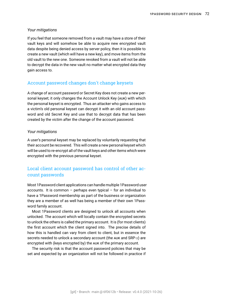#### *Your mitigations*

If you feel that someone removed from a vault may have a store of their vault keys and will somehow be able to acquire new encrypted vault data despite being denied access by server policy, then it is possible to create a new vault (which will have a new key), and move items from the old vault to the new one. Someone revoked from a vault will not be able to decrypt the data in the new vault no matter what encrypted data they gain access to.

#### Account password changes don't change keysets

A change of account password or Secret Key does not create a new personal keyset; it only changes the [Account Unlock Key \(AUK\)](#page-86-2) with which the personal keyset is encrypted. Thus an attacker who gains access to a victim's old personal keyset can decrypt it with an old account password and old Secret Key and use that to decrypt data that has been created by the victim after the change of the account password.

#### *Your mitigations*

A user's personal keyset may be replaced by voluntarily requesting that their account be recovered. This will create a new personal keyset which will be used to re-encrypt all of the vault keys and other items which were encrypted with the previous personal keyset.

# Local client account password has control of other account passwords

Most 1Password client applications can handle multiple 1Password user accounts. It is common – perhaps even typical – for an individual to have a 1Password membership as part of the business or organization they are a member of as well has being a member of their own 1Password family account.

Most 1Password clients are designed to unlock all accounts when unlocked. The account which will locally contain the encrypted secrets to unlock the others is called the [primary account.](#page-90-2) It is (for most clients) the first account which the client signed into. The precise details of how this is handled can vary from client to client, but in essence the secrets needed to unlock a secondary account (the AUK and [SRP-](#page-91-4) $x$ ) are encrypted with (keys encrypted by) the AUK of the primary account.

The security risk is that the account password policies that may be set and expected by an organization will not be followed in practice if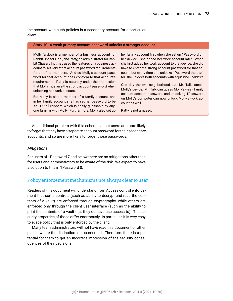<span id="page-72-0"></span>the account with such policies is a [secondary account](#page-91-0) for a particular client.

#### Story 10: A weak primary account password unlocks a stronger account

Molly (a dog) is a member of a business account for Rabbit Chasers Inc., and Patty, an administrator for Rabbit Chasers Inc., has used the features of a business account to set very strict account password requirements for all of its members. And so Molly's account password for that account does conform to that account's requirements. Patty is naturally under the impression that Molly must use the strong account password when unlocking her work account.

But Molly is also a member of a family account, and in her family account she has set her password to be squirrelrabbit, which is easily guessable by anyone familiar with Molly. Furthermore, Molly also set up

her family account first when she set up 1Password on her device. She added her work account later. When she first added her work account to that device, she did have to enter the strong account password for that account; but every time she unlocks 1Password there after, she unlocks both accounts with squirrelrabbit

One day the evil neighborhood cat, Mr. Talk, steals Molly's device. Mr. Talk can guess Molly's weak family account account password, and unlocking 1Password on Molly's computer can now unlock Molly's work account as well.

Patty is not amused.

An additional problem with this scheme is that users are more likely to forget that they have a separate account password for their secondary accounts, and so are more likely to forget those passwords.

#### *Mitigations*

For users of 1Password 7 and below there are no mitigations other than for users and administrators to be aware of the risk. We expect to have a solution to this in 1Password 8.

#### Policy enforcement mechanisms not always clear to user

Readers of this document will understand from [Access control enforce](#page-42-0)[ment](#page-42-0) that some controls (such as ability to decrypt and read the contents of a vault) are enforced through cryptography, while others are enforced only through the client user interface (such as the ability to print the contents of a vault that they do have use access to). The security properties of those differ enormously. In particular, it is very easy to evade policy that is only enforced by the client.

Many team administrators will not have read this document or other places where the distinction is documented. Therefore, there is a potential for them to get an incorrect impression of the security consequences of their decisions.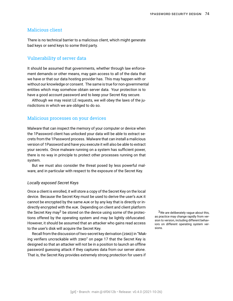## <span id="page-73-0"></span>Malicious client

There is no technical barrier to a malicious client, which might generate bad keys or send keys to some third party.

## Vulnerability of server data

It should be assumed that governments, whether through law enforcement demands or other means, may gain access to all of the data that we have or that our data hosting provider has. This may happen with or without our knowledge or consent. The same is true for non-governmental entities which may somehow obtain server data. Your protection is to have a good account password and to keep your Secret Key secure.

Although we may resist LE requests, we will obey the laws of the jurisdictions in which we are obliged to do so.

## Malicious processes on your devices

Malware that can inspect the memory of your computer or device when the 1Password client has unlocked your data will be able to extract secrets from the 1Password process. Malware that can install a malicious version of 1Password and have you execute it will also be able to extract your secrets. Once malware running on a system has sufficient power, there is no way in principle to protect other processes running on that system.

But we must also consider the threat posed by less powerful malware, and in particular with respect to the exposure of the Secret Key.

#### <span id="page-73-1"></span>*Locally exposed Secret Keys*

Once a client is enrolled, it will store a copy of the Secret Key on the local device. Because the Secret Key must be used to derive the user's AUK it cannot be encrypted by the same AUK or by any key that is directly or indirectly encrypted with the AUK. Depending on client and client platform the Secret Key may<sup>3</sup> be stored on the device using some of the protec-  $\frac{3}{2}$  We are deliberately vague about this, tions offered by the operating system and may be lightly obfuscated. However, it should be assumed that an attacker who gains read access to the user's disk will acquire the Secret Key.

Recall from the discussion of [two-secret key derivation \(2SKD\)](#page-91-1) in ["Mak](#page-16-0)[ing verifiers uncrackable with 2SKD](#page-16-0)" on page [17](#page-16-0) that the Secret Key is designed so that an attacker will not be in a position to launch an offline password guessing attack if they captures data from our server alone. That is, the Secret Key provides extremely strong protection for users if

as practice may change rapidly from version to version, including different behaviors on different operating system versions.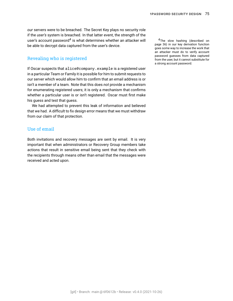<span id="page-74-0"></span>*our* servers were to be breached. The Secret Key plays no security role if the *user's* system is breached. In that latter event, the strength of the user's account password<sup>4</sup> is what determines whether an attacker will whather slow hashing (described on be able to decrypt data captured from the user's device.

## Revealing who is registered

If Oscar suspects that alice@company.example is a registered user in a particular Team or Family it is possible for him to submit requests to our server which would allow him to confirm that an email address is or isn't a member of a team. Note that this does *not* provide a mechanism for enumerating registered users; it is only a mechanism that confirms whether a particular user is or isn't registered. Oscar must first make his guess and test that guess.

We had attempted to prevent this leak of information and believed that we had. A difficult to fix design error means that we must withdraw from our claim of that protection.

## Use of email

Both invitations and recovery messages are sent by email. It is very important that when administrators or Recovery Group members take actions that result in sensitive email being sent that they check with the recipients through means other than email that the messages were received and acted upon.

page [36\)](#page-35-0) in our key derivation function goes some way to increase the work that an attacker must do to verify account password guesses from data captured from the user, but it cannot substitute for a strong account password.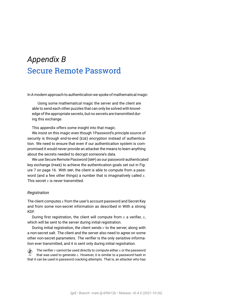# <span id="page-75-0"></span>*Appendix B* Secure Remote Password

In [A modern approach to authentication](#page-13-0) we spoke of mathematical magic

Using some mathematical magic the server and the client are able to send each other puzzles that can only be solved with knowledge of the appropriate secrets, but no secrets are transmitted during this exchange.

This appendix offers some insight into that magic.

We insist on this magic even though 1Password's principle source of security is through [end-to-end \(E2E\)](#page-88-0) encryption instead of authentication. We need to ensure that even if our authentication system is compromised it would never provide an attacker the means to learn anything about the secrets needed to decrypt someone's data.

We use [Secure Remote Password \(SRP\)](#page-91-2) as our [password-authenticated](#page-90-0) [key exchange \(PAKE\)](#page-90-0) to achieve the authentication goals set out in Figure [7](#page-14-0) on page [16](#page-14-0). With SRP, the client is able to compute from a password (and a few other things) a number that is imaginatively called  $x$ . This secret  $x$  is never transmitted.

#### *Registration*

The client computes  $x$  from the user's [account password](#page-86-0) and [Secret Key](#page-91-3) and from some non-secret information as described in [With a strong](#page-76-0) [KDF](#page-76-0).

During first registration, the client will compute from  $x$  a verifier,  $v$ , which will be sent to the server during initial registration.

During initial registration, the client sends  $v$  to the server, along with a non-secret [salt](#page-90-1). The client and the server also need to agree on some other non-secret parameters. The verifier is the only sensitive information ever transmitted, and it is sent only during initial registration.

The verifier  $v$  cannot be used directly to compute either  $x$  or the password<br>that was used to generate  $x$ . However, it is similar to a password bash in that was used to generate  $x$ . However, it is similar to a password hash in that it can be used in password cracking attempts. That is, an attacker who has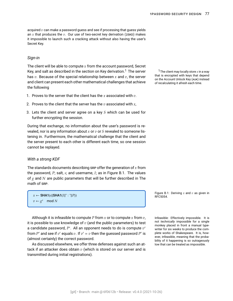<span id="page-76-2"></span>acquired  $v$  can make a password quess and see if processing that quess yields an  $x$  that produces the  $v$ . Our use of [two-secret key derivation \(2SKD\)](#page-91-1) makes it impossible to launch such a cracking attack without also having the user's Secret Key.

#### *Sign-in*

The client will be able to compute  $x$  from the account password, Secret Key, and salt as described in the section on [Key derivation.](#page-33-0)<sup>1</sup> The server has  $v$ . Because of the special relationship between  $x$  and  $v$ , the server and client can present each other mathematical challenges that achieve the following

- 1. Proves to the server that the client has the  $x$  associated with  $v$ .
- 2. Proves to the client that the server has the  $v$  associated with  $x$ ,
- 3. Lets the client and server agree on a key  $S$  which can be used for further encrypting the session.

During that exchange, no information about the user's password is revealed, nor is any information about  $x$  or  $v$  or  $S$  revealed to someone listening in. Furthermore, the mathematical challenge that the client and the server present to each other is different each time, so one session cannot be replayed.

#### <span id="page-76-0"></span>*With a strong KDF*

The standards documents describing SRP offer the generation of  $x$  from the password,  $P$ ; salt,  $s$ ; and username,  $I$ ; as in Figure [B.1](#page-76-1). The values of  $\chi$  and N are public parameters that will be further described in [The](#page-77-0) [math of SRP.](#page-77-0)

```
x \leftarrow SHA1(s||SHA1(I||" ∶ "||P))
v \leftarrow g^x \mod N
```
Although it is [infeasible](#page-88-1) to compute P from x or to compute x from  $v$ , Infeasible: Effectively impossible. It is it is possible to use knowledge of  $v$  (and the public parameters) to test a candidate password,  $P'$ . All an opponent needs to do is compute  $v'$ from  $P'$  and see if  $v'$  equals  $v.$  If  $v'=v$  then the guessed password  $P'$  is (almost certainly) the correct password.

As discussed elsewhere, we offer three defenses against such an attack if an attacker does obtain  $v$  (which is stored on our server and is transmitted during initial registrations).

<sup>1</sup> The client may locally store  $x$  in a way that is encrypted with keys that depend on the [Account Unlock Key \(AUK\)](#page-86-1) instead of recalculating it afresh each time.

Figure B.1: Deriving  $x$  and  $v$  as given in RFC5054.

not *technically* impossible for a single monkey placed in front a manual typewriter for six weeks to produce the complete works of Shakespeare. It is, however, infeasible, meaning that the probability of it happening is so outrageously low that can be treated as impossible.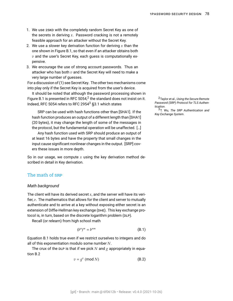- <span id="page-77-4"></span><span id="page-77-1"></span>1. We use 2SKD with the completely random Secret Key as one of the secrets in deriving  $x$ . Password cracking is not a remotely feasible approach for an attacker without the Secret Key.
- 2. We use a slower key derivation function for deriving  $x$  than the one shown in Figure [B.1](#page-76-1), so that even if an attacker obtains both  $v$  and the user's Secret Key, each guess is computationally expensive.
- 3. We encourage the use of strong account passwords. Thus an attacker who has both  $v$  and the Secret Key will need to make a very large number of guesses.

For a discussion of([1](#page-77-1)) see [Secret Key.](#page-10-0) The other two mechanisms come into play only if the Secret Key is acquired from the user's device.

It should be noted that although the password processing shown in Figure [B.1](#page-76-1) is presented in RFC 5054,<sup>2</sup> the standard does not insist on it. <sup>2</sup>Taylor et al., *[Using the Secure Remote](#page-94-0)* Indeed, RFC 5054 refers to RFC 2954<sup>3</sup> §3.1 which states

SRP can be used with hash functions other than [SHA1]. If the hash function produces an output of a different length than [SHA1] (20 bytes), it may change the length of some of the messages in the protocol, but the fundamental operation will be unaffected. […]

Any hash function used with SRP should produce an output of at least 16 bytes and have the property that small changes in the input cause significant nonlinear changes in the output. [SRP] covers these issues in more depth.

So in our usage, we compute x using the key derivation method described in detail in [Key derivation.](#page-33-0)

## <span id="page-77-0"></span>The math of SRP

#### *Math background*

The client will have its derived secret  $x$ , and the server will have its verifier,  $v$ . The mathematics that allows for the client and server to mutually authenticate and to arrive at a key without exposing either secret is an extension of [Diffie-Hellman key exchange \(DHE\)](#page-87-0). This key exchange protocol is, in turn, based on the [discrete logarithm problem \(DLP\).](#page-87-1)

Recall (or relearn) from high school math

<span id="page-77-2"></span>
$$
(b^n)^m = b^{nm} \tag{B.1}
$$

Equation [B.1](#page-77-2) holds true even if we restrict ourselves to integers and do all of this exponentiation modulo some number  $N$ .

<span id="page-77-3"></span>The crux of the DLP is that if we pick N and  $g$  appropriately in equation [B.2](#page-77-3)

$$
v = g^x \pmod{N} \tag{B.2}
$$

*[Password \(SRP\) Protocol for TLS Authen](#page-94-0)[tication](#page-94-0)*.

3T. Wu, *[The SRP Authentication and](#page-94-1) [Key Exchange System](#page-94-1)*.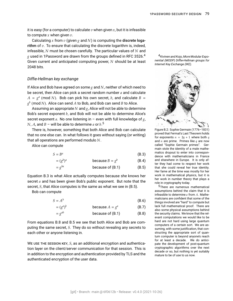<span id="page-78-4"></span>it is easy (for a computer) to calculate  $v$  when given  $x$ , but it is infeasible to compute  $x$  when given  $v$ .

Calculating x from  $v$  (given  $g$  and  $N$ ) is computing the discrete logarithm of  $v$ . To ensure that calculating the discrete logarithm is, indeed, infeasible,  $N$  must be chosen carefully. The particular values of  $N$  and  $g$  used in 1Password are drawn from the groups defined in RFC 3526.<sup>4</sup>  $4$ Kivinen and Kojo, *[More Modular Expo-](#page-94-2)*Given current and anticipated computing power,  $N$  should be at least 2048 bits.

#### <span id="page-78-3"></span>*Diffie-Hellman key exchange*

If Alice and Bob have agreed on some  $g$  and N, neither of which need to be secret, then Alice can pick a secret random number  $a$  and calculate  $A = g<sup>a</sup>$  (mod N). Bob can pick his own secret, b, and calculate  $B =$  $g^b$  (mod  $N$ ). Alice can send  $A$  to Bob, and Bob can send  $B$  to Alice.

Assuming an appropriate  $N$  and  $g$ , Alice will not be able to determine Bob's secret exponent  $b$ , and Bob will not be able to determine Alice's secret exponent a. No one listening in – even with full knowledge of  $g<sub>i</sub>$ ,  $N$ ,  $A$ , and  $B$  – will be able to determine  $a$  or  $b$ . $^{\bf 5}$ 

There is, however, something that both Alice and Bob can calculate that no one else can. In what follows it goes without saying (or writing) that all operations are performed modulo  $N$ .

Alice can compute

$$
S = B^a \tag{B.3}
$$

$$
= (gb)a \t\t because B = gb \t\t(B.4)
$$

$$
= g^{ba} \qquad \qquad \text{because of (B.1)} \qquad \qquad \text{(B.5)}
$$

Equation [B.3](#page-78-0) is what Alice actually computes because she knows her secret  $a$  and has been given Bob's public exponent. But note that the secret,  $S$ , that Alice computes is the same as what we see in  $(B.5)$ .

Bob can compute

$$
S = A^b \tag{B.6}
$$

$$
= (ga)b \t\t\t because A = ga \t\t\t (B.7)
$$

$$
= g^{ab} \qquad \qquad \text{because of (B.1)} \qquad \qquad \text{(B.8)}
$$

From equations [B.8](#page-78-2) and [B.5](#page-78-1) we see that both Alice and Bob are computing the same secret,  $S$ . They do so without revealing any secrets to each other or anyone listening in.

WE USE THE SESSION KEY,  $S$ , as an additional encryption and authentication layer on the client/server communication for that session. This is in addition to the encryption and authentication provided by TLS and the authenticated encryption of the user data.

*[nential \(MODP\) Diffie-Hellman groups for](#page-94-2) [Internet Key Exchange \(IKE\)](#page-94-2)*.



Figure B.2: Sophie Germain (1776–1831) proved that Fermat's Last Theorem holds for exponents  $n = 2q + 1$  where both q and  $n$  are prime. Primes like  $q$  are now called "Sophie Germain primes". Germain stole the identity of a male mathematics dropout to enter into correspondence with mathematicians in France and elsewhere in Europe. It is only after they had come to respect her work that she could reveal her true identity. Her fame at the time was mostly for her work in mathematical physics, but it is her work in number theory that plays a role in cryptography today.

<span id="page-78-2"></span><span id="page-78-1"></span><span id="page-78-0"></span>5There are numerous mathematical assumptions behind the claim that it is infeasible to determine  $a$  from  $A$ . Mathematicians are confident that some of the things involved are "hard" to compute but lack full mathematical proof. There are also some physical assumptions behind the security claims. We know that the relevant computations we would like to be hard are not hard using large quantum computers of a certain sort. We are assuming, with some justification, that constructing the appropriate sort of quantum computer is beyond anyone's reach for at least a decade. We do anticipate the development of post-quantum cryptographic algorithms over the next decade or so, but nothing is yet suitably mature to be of use to us now.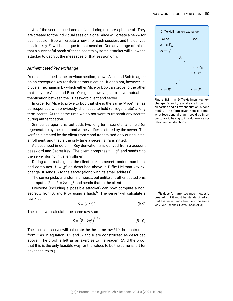<span id="page-79-0"></span>All of the secrets used and derived during DHE are ephemeral. They are created for the individual session alone. Alice will create a new  $a$  for each session; Bob will create a new  $b$  for each session; and the derived session key, S, will be unique to that session. One advantage of this is that a successful break of these secrets by some attacker will allow the attacker to decrypt the messages of that session only.

#### *Authenticated key exchange*

DHE, as described in the previous section, allows Alice and Bob to agree on an encryption key for their communication. It does not, however, include a mechanism by which either Alice or Bob can prove to the other that they are Alice and Bob. Our goal, however, is to have mutual [au](#page-86-2)[thentication](#page-86-2) between the 1Password client and server.

In order for Alice to prove to Bob that she is the same "Alice" he has corresponded with previously, she needs to hold (or regenerate) a long term secret. At the same time we do not want to transmit any secrets during authentication.

SRP builds upon DHE, but adds two long term secrets.  $x$  is held (or regenerated) by the client and  $v$ , the verifier, is stored by the server. The verifier is created by the client from  $x$  and transmitted only during initial enrollment, and that is the only time a secret is transmitted.

As described in detail in [Key derivation](#page-33-0),  $x$  is derived from a account password and Secret Key. The client computes  $v = g^x$  and sends v to the server during initial enrollment.

During a normal sign-in, the client picks a secret random number  $a$ and computes  $A = g<sup>a</sup>$  as described above in [Diffie-Hellman key ex](#page-78-3)[change](#page-78-3). It sends  $A$  to the server (along with its email address).

The server picks a random number,  $b$ , but unlike unauthenticated DHE, it computes *B* as  $B = kv + g<sup>b</sup>$  and sends that to the client.

Everyone (including a possible attacker) can now compute a nonsecret u from A and B by using a hash.<sup>6</sup> The server will calculate a <sup>6</sup>It doesn't matter too much how u is raw  $S$  as

$$
S = (Av^u)^b \tag{B.9}
$$

The client will calculate the same raw  $S$  as

$$
S = (B - k g^x)^{a + ux}
$$
 (B.10)

The client and server will calculate the the same raw  $S$  if  $v$  is constructed from  $x$  as in equation [B.2](#page-77-3) and  $A$  and  $B$  are constructed as described above. The proof is left as an exercise to the reader. (And the proof that this is the only feasible way for the values to be the same is left for advanced texts.)



Figure B.3: In Diffie-Hellman key exchange,  $N$  and  $g$  are already known to all parties and all exponentiation is done modN. The form given here is somewhat less general than it could be in order to avoid having to introduce more notation and abstractions.

created, but it must be standardized so that the server and client do it the same way. We use the SHA256 hash of  $A|B$ .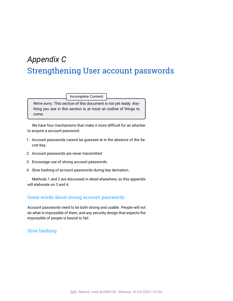# <span id="page-80-4"></span>*Appendix C* Strengthening User account passwords

Incomplete Content

We're sorry. This section of this document is not yet ready. Anything you see in this section is at most an outline of things to come.

We have four mechanisms that make it more difficult for an attacker to acquire a [account password.](#page-86-0)

- <span id="page-80-0"></span>1. Account passwords cannot be guessed at in the absence of the [Se](#page-91-3)[cret Key](#page-91-3).
- <span id="page-80-1"></span>2. Account passwords are never transmitted
- <span id="page-80-2"></span>3. Encourage use of strong account passwords.
- <span id="page-80-3"></span>4. Slow hashing of account passwords during key derivation.

Methods [1](#page-80-0) and [2](#page-80-1) are discussed in detail elsewhere, so this appendix will elaborate on [3](#page-80-2) and [4](#page-80-3).

## Some words about strong account passwords

Account passwords need to be both strong and usable. People will not do what is impossible of them, and any security design that expects the impossible of people is bound to fail.

## Slow hashing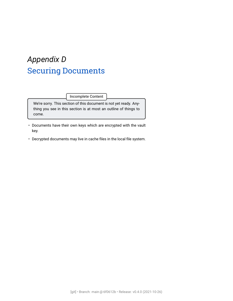# *Appendix D* Securing Documents

Incomplete Content

We're sorry. This section of this document is not yet ready. Anything you see in this section is at most an outline of things to come.

- Documents have their own keys which are encrypted with the vault key.
- Decrypted documents may live in cache files in the local file system.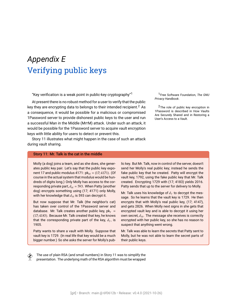# <span id="page-82-1"></span>*Appendix E* Verifying public keys

"Key verification is a weak point in public-key cryptography"<sup>1</sup> 1Free Software Foundation, [The GNU](#page-93-0)

At present there is no robust method for a user to verify that the public key they are encrypting data to belongs to their intended recipient.<sup>2</sup> As  $2\pi$ he role of public key encryption in a consequence, it would be possible for a malicious or compromised 1Password server to provide dishonest public keys to the user and run a successful [Man in the Middle \(MITM\)](#page-89-0) attack. Under such an attack, it would be possible for the 1Password server to acquire vault encryption keys with little ability for users to detect or prevent this.

Story [11](#page-82-0) illustrates what might happen in the case of such an attack during vault sharing.

#### <span id="page-82-0"></span>Story 11: Mr. Talk is the cat in the middle

Molly (a dog) joins a team, and as she does, she generates public key pair. Let's say that the public key exponent 17 and public modulus 4171:  $pk<sub>M</sub> = (17;4171)$ . (Of course in the actual system that modulus would be hundreds of digits long.) Only Molly has access to the corresponding private part,  $d_M = 593$ . When Patty (another dog) encrypts something using (17; 4171) only Molly, with her knowledge that  $d_M$  is 593 can decrypt it.

But now suppose that Mr. Talk (the neighbor's cat) has taken over control of the 1Password server and database. Mr. Talk creates another public key,  $pk_T =$ (17; 4183). Because Mr. Talk created that key, he knows that the corresponding private part of the key,  $d_{\scriptscriptstyle T}$ , is 1905.

Patty wants to share a vault with Molly. Suppose that vault key is 1729. (In real life that key would be a much bigger number.) So she asks the server for Molly's pub*[Privacy Handbook](#page-93-0)*.

1Password is described in [How Vaults](#page-21-0) [Are Securely Shared](#page-21-0) and in [Restoring a](#page-47-0) [User's Access to a Vault.](#page-47-0)

lic key. But Mr. Talk, now in control of the server, doesn't send her Molly's real public key; instead he sends the fake public key that he created. Patty will encrypt the vault key, 1792, using the fake public key that Mr. Talk created. Encrypting 1729 with (17; 4183) yields 2016. Patty sends that up to the server for delivery to Molly.

Mr. Talk uses his knowledge of  $d_T$  to decrypt the message. So he learns that the vault key is 1729. He then encrypts that with Molly's real public key, (17; 4147), and gets 2826. When Molly next signs in she gets that encrypted vault key and is able to decrypt it using her own secret,  $d_M$ . The message she receives is correctly encrypted with her public key, so she has no reason to suspect that anything went wrong.

Mr. Talk was able to learn the secrets that Patty sent to Molly, but he was not able to learn the secret parts of their public keys.

 The use of plain RSA (and small numbers) in Story [11](#page-82-0) was to simplify the presentation. The underlying math of the RSA algorithm must be wrapped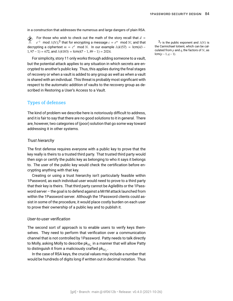<span id="page-83-0"></span>in a construction that addresses the numerous and large dangers of plain RSA.

For those who wish to check out the math of the story recall that  $d = e^{-1}$  mod  $\lambda(N)^3$  that for encrypting a message  $c = e^m$  mod  $N$ : and that  $e^{-1} \mod \lambda(N);^3$  that for encrypting a message  $c=e^m \mod N;$  and that  $3_e$  is the public exponent and  $\lambda(N)$  is decrypting a ciphertext  $m = c^d \mod N$ . In our example  $\lambda(4157) = \text{lcm}(43 1, 97 - 1$  = 672, and  $\lambda(4183)$  = lcm(47 – 1, 89 – 1) = 2024.

For simplicity, story [11](#page-82-0) only works through adding someone to a vault, but the potential attack applies to any situation in which secrets are encrypted to another's public key. Thus, this applies during the final stages of recovery or when a vault is added to any group as well as when a vault is shared with an individual. This threat is probably most significant with respect to the automatic addition of vaults to the recovery group as described in [Restoring a User's Access to a Vault](#page-47-0).

## Types of defenses

The kind of problem we describe here is notoriously difficult to address, and it is fair to say that there are no good solutions to it in general. There are, however, two categories of (poor) solution that go some way toward addressing it in other systems.

#### *Trust hierarchy*

The first defense requires everyone with a public key to prove that the key really is theirs to a trusted third party. That trusted third party would then sign or certify the public key as belonging to who it says it belongs to. The user of the public key would check the certification before encrypting anything with that key.

Creating or using a trust hierarchy isn't particularly feasible within 1Password, as each individual user would need to prove to a third party that their key is theirs. That third party cannot be AgileBits or the 1Password server – the goal is to defend against a MITM attack launched from within the 1Password server. Although the 1Password clients could assist in some of the procedure, it would place costly burden on each user to prove their ownership of a public key and to publish it.

#### *User-to-user verification*

The second sort of approach is to enable users to verify keys themselves. They need to perform that verification over a communication channel that is not controlled by 1Password. Patty needs to talk directly to Molly, asking Molly to describe p $\mathsf k_{M_a}$  in a manner that will allow Patty to distinguish it from a maliciously crafted pk $_{M_f}.$ 

In the case of RSA keys, the crucial values may include a number that would be hundreds of digits long if written out in decimal notation. Thus the Carmichael totient, which can be calculated from  $p$  and  $q$ , the factors of  $N$ , as  $lcm(p-1, q-1).$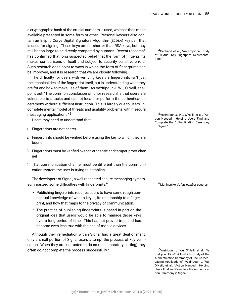<span id="page-84-0"></span>a cryptographic hash of the crucial numbers is used, which is then made available presented in some form or other. Personal keysets also contain an [Elliptic Curve Digital Signature Algorithm \(ECDSA\)](#page-87-2) key pair that is used for signing. These keys are far shorter than RSA keys, but may still be too large to be directly compared by humans. Recent research<sup>4</sup> <sup>4</sup>Dechand et al., ["An Empirical Study](#page-93-1) has confirmed that long suspected belief that the form of fingerprints  $\frac{1}{100}$  of Term makes comparisons difficult and subject to security sensitive errors. Such research does point to ways in which the form of fingerprints can be improved, and it is research that we are closely following.

The difficulty for users with verifying keys via fingerprints isn't just the technicalities of the fingerprint itself, but in understanding what they are for and how to make use of them. As Vaziripour, J. Wu, O'Neill, et al. point out, "The common conclusion of [prior research] is that users are vulnerable to attacks and cannot locate or perform the authentication ceremony without sufficient instruction. This is largely due to users' incomplete mental model of threats and usability problems within secure messaging applications."<sup>5</sup> 5Vaziripour, J. Wu, O'Neill, et al., ["Ac-](#page-94-3)

Users may need to understand that

- 1. Fingerprints are not secret
- 2. Fingerprints should be verified before using the key to which they are bound
- 3. Fingerprints must be verified over an authentic and tamper-proof channel
- 4. That communication channel must be different than the communication system the user is trying to establish.

The developers of Signal, a well-respected secure messaging system, summarized some difficulties with fingerprints:<sup>6</sup> 6Marlinspike, *[Safety number updates](#page-94-4)*.

- Publishing fingerprints requires users to have some rough conceptual knowledge of what a key is, its relationship to a fingerprint, and how that maps to the privacy of communication.
- The practice of publishing fingerprints is based in part on the original idea that users would be able to manage those keys over a long period of time. This has not proved true, and has become even less true with the rise of mobile devices.

Although their remediation within Signal has a great deal of merit, only a small portion of Signal users attempt the process of key verification. When they are instructed to do so (in a laboratory setting) they often do not complete the process successfully.<sup>7</sup> aziripour, J. Wu, O'Neill, et al., ["Is](#page-94-5)

[of Textual Key-Fingerprint Representa-](#page-93-1)

[tion Needed! Helping Users Find and](#page-94-3) [Complete the Authentication Ceremony](#page-94-3) [in Signal.](#page-94-3)"

[that you, Alice? A Usability Study of the](#page-94-5) [Authentication Ceremony of Secure Mes](#page-94-5)[saging Applications"](#page-94-5); Vaziripour, J. Wu, O'Neill, et al., ["Action Needed! Helping](#page-94-3) [Users Find and Complete the Authentica](#page-94-3)[tion Ceremony in Signal](#page-94-3)."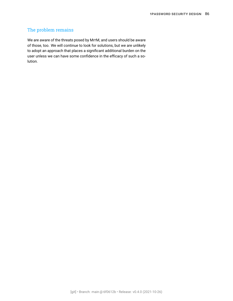## <span id="page-85-0"></span>The problem remains

We are aware of the threats posed by MITM, and users should be aware of those, too. We will continue to look for solutions, but we are unlikely to adopt an approach that places a significant additional burden on the user unless we can have some confidence in the efficacy of such a solution.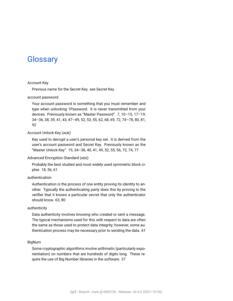## **Glossary**

#### Account Key

Previous name for the Secret Key. *see* [Secret Key](#page-91-3)

#### <span id="page-86-0"></span>account password

Your account password is something that you must remember and type when unlocking 1Password. It is never transmitted from your devices. Previously known as "Master Password". [7,](#page-6-0) [10–](#page-9-0)[15](#page-14-1), [17](#page-16-1)–[19,](#page-18-0) [34](#page-33-1)–[36,](#page-35-1) [38](#page-37-0), [39,](#page-38-0) [41](#page-40-0), [43,](#page-42-1) [47](#page-46-0)–[49](#page-48-0), [52,](#page-51-0) [53](#page-52-0), [55,](#page-54-0) [62](#page-61-0), [68,](#page-67-0) [69](#page-68-0), [72,](#page-71-0) [74](#page-73-0)–[78,](#page-77-4) [80](#page-79-0), [81,](#page-80-4) [92](#page-91-4)

#### <span id="page-86-1"></span>Account Unlock Key (AUK)

Key used to decrypt a user's personal key set. It is derived from the user's account password and Secret Key. Previously known as the "Master Unlock Key". [19,](#page-18-0) [34](#page-33-1)–[38,](#page-37-0) [40](#page-39-0), [41](#page-40-0), [49,](#page-48-0) [52](#page-51-0), [55,](#page-54-0) [56](#page-55-0), [72,](#page-71-0) [74,](#page-73-0) [77](#page-76-2)

#### Advanced Encryption Standard (AES)

Probably the best studied and most widely used symmetric block cipher. [18](#page-17-0), [56,](#page-55-0) [61](#page-60-0)

#### <span id="page-86-2"></span>authentication

Authentication is the process of one entity proving its identity to another. Typically the authenticating party does this by proving to the verifier that it knows a particular secret that only the authenticator should know. [63](#page-62-0), [80](#page-79-0)

#### authenticity

Data authenticity involves knowing who created or sent a message. The typical mechanisms used for this with respect to data are often the same as those used to protect data integrity; however, some authentication process may be necessary prior to sending the data. [61](#page-60-0)

#### BigNum

Some cryptographic algorithms involve arithmetic (particularly exponentiation) on numbers that are hundreds of digits long. These require the use of Big Number libraries in the software. [37](#page-36-0)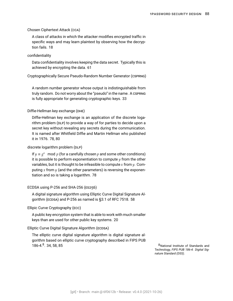#### Chosen Ciphertext Attack (CCA)

A class of attacks in which the attacker modifies encrypted traffic in specific ways and may learn plaintext by observing how the decryption fails. [18](#page-17-0)

#### confidentiality

Data confidentiality involves keeping the data secret. Typically this is achieved by encrypting the data. [61](#page-60-0)

Cryptographically Secure Pseudo-Random Number Generator (CSPRNG)

A random number generator whose output is indistinguishable from truly random. Do not worry about the "pseudo" in the name. A CSPRNG is fully appropriate for generating cryptographic keys. [33](#page-32-0)

#### <span id="page-87-0"></span>Diffie-Hellman key exchange (DHE)

Diffie-Hellman key exchange is an application of the discrete logarithm problem (DLP) to provide a way of for parties to decide upon a secret key without revealing any secrets during the communication. It is named after Whitfield Diffie and Martin Hellman who published it in 1976. [78,](#page-77-4) [80](#page-79-0)

#### <span id="page-87-1"></span>discrete logarithm problem (DLP)

If  $y \equiv g^x \mod p$  (for a carefully chosen p and some other conditions) it is possible to perform exponentiation to compute  $y$  from the other variables, but it is thought to be infeasible to compute  $x$  from  $y$ . Computing x from  $y$  (and the other parameters) is reversing the exponentiation and so is taking a logarithm. [78](#page-77-4)

#### ECDSA using P-256 and SHA-256 (ES256)

A digital signature algorithm using Elliptic Curve Digital Signature Algorithm (ECDSA) and P-256 as named is §3.1 of RFC 7518. [58](#page-57-0)

Ellipic Curve Cryptography (ECC)

A public key encryption system that is able to work with much smaller keys than are used for other public key systems. [20](#page-19-0)

#### <span id="page-87-2"></span>Elliptic Curve Digital Signature Algorithm (ECDSA)

The elliptic curve digital signature algorithm is digital signature algorithm based on elliptic curve cryptography described in FIPS PUB 186-4.<sup>8</sup>, 34, 58, 85

8National Institute of Standards and Technology, *[FIPS PUB 186-4: Digital Sig](#page-94-6)[nature Standard \(DSS\)](#page-94-6)*.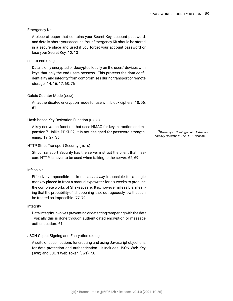#### Emergency Kit

A piece of paper that contains your Secret Key, account password, and details about your account. Your Emergency Kit should be stored in a secure place and used if you forget your account password or lose your Secret Key. [12,](#page-11-0) [13](#page-12-0)

#### <span id="page-88-0"></span>end-to-end (E2E)

Data is only encrypted or decrypted locally on the users' devices with keys that only the end users possess. This protects the data confidentiality and integrity from compromises during transport or remote storage. [14](#page-13-1), [16](#page-15-0), [17,](#page-16-1) [68](#page-67-0), [76](#page-75-0)

#### Galois Counter Mode (GCM)

An authenticated encryption mode for use with block ciphers. [18,](#page-17-0) [56,](#page-55-0) [61](#page-60-0)

#### Hash-based Key Derivation Function (HKDF)

A key derivation function that uses HMAC for key extraction and expansion.<sup>9</sup> Unlike PBKDF2, it is not designed for password strength-<br>
<sup>9</sup>Krawczyk, *[Cryptographic Extraction](#page-94-7)* ening. [19](#page-18-0), [27,](#page-26-0) [36](#page-35-1)

#### HTTP Strict Transport Security (HSTS)

Strict Transport Security has the server instruct the client that insecure HTTP is never to be used when talking to the server. [62](#page-61-0), [69](#page-68-0)

#### <span id="page-88-1"></span>infeasible

Effectively impossible. It is not *technically* impossible for a single monkey placed in front a manual typewriter for six weeks to produce the complete works of Shakespeare. It is, however, infeasible, meaning that the probability of it happening is so outrageously low that can be treated as impossible. [77](#page-76-2), [79](#page-78-4)

#### integrity

Data integrity involves preventing or detecting tampering with the data. Typically this is done through authenticated encryption or message authentication. [61](#page-60-0)

#### JSON Object Signing and Encryption (JOSE)

A suite of specifications for creating and using Javascript objections for data protection and authentication. It includes JSON Web Key (JWK) and JSON Web Token (JWT). [58](#page-57-0)

*[and Key Derivation: The HKDF Scheme](#page-94-7)*.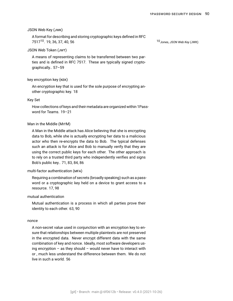#### <span id="page-89-2"></span>JSON Web Key (JWK)

A format for describing and storing cryptographic keys defined in RFC 7517<sup>10</sup>. 19, 36, 37, 40, 56

#### JSON Web Token (JWT)

A means of representing claims to be transferred between two parties and is defined in RFC 7517. These are typically signed cryptographically.. [57](#page-56-0)[–59](#page-58-0)

#### key encryption key (KEK)

An encryption key that is used for the sole purpose of encrypting another cryptographic key. [18](#page-17-0)

#### Key Set

How collections of keys and their metadata are organized within 1Password for Teams. [19–](#page-18-0)[21](#page-20-0)

#### <span id="page-89-0"></span>Man in the Middle (MITM)

A Man in the Middle attack has Alice believing that she is encrypting data to Bob, while she is actually encrypting her data to a malicious actor who then re-encrypts the data to Bob. The typical defenses such an attack is for Alice and Bob to manually verify that they are using the correct public keys for each other. The other approach is to rely on a trusted third party who independently verifies and signs Bob's public key.. [71,](#page-70-0) [83](#page-82-1), [84,](#page-83-0) [86](#page-85-0)

#### <span id="page-89-3"></span>multi-factor authentication (MFA)

Requiring a combination of secrets (broadly speaking) such as a password or a cryptographic key held on a device to grant access to a resource. [17,](#page-16-1) [98](#page-97-0)

#### <span id="page-89-1"></span>mutual authentication

[Mutual authentication](#page-89-1) is a process in which all parties prove their identity to each other. [63](#page-62-0), [90](#page-89-2)

#### nonce

A non-secret value used in conjunction with an encryption key to ensure that relationships between multiple plaintexts are not preserved in the encrypted data. Never encrypt different data with the same combination of key and nonce. Ideally, most software developers using encryption  $-$  as they should  $-$  would never have to interact with or , much less understand the difference between them. We do not live in such a world. [56](#page-55-0)

. [19,](#page-18-0) [36](#page-35-1), [37](#page-36-0), [40,](#page-39-0) [56](#page-55-0) 10Jones, *[JSON Web Key \(JWK\)](#page-93-2)*.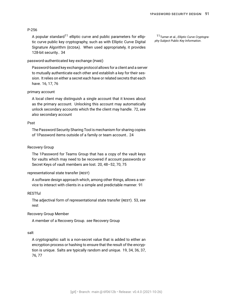#### <span id="page-90-2"></span>P-256

A popular standard<sup>11</sup> elliptic curve and public parameters for ellip-<br>
11<sub>Turner</sub> et al., *Elliptic Curve Cryptogra*tic curve public key cryptography, such as with Elliptic Curve Digital Signature Algorithm (ECDSA). When used appropriately, it provides 128-bit security.. [34](#page-33-1)

#### <span id="page-90-0"></span>password-authenticated key exchange (PAKE)

Password-based key exchange protocol allows for a client and a server to mutually authenticate each other and establish a key for their session. It relies on either a secret each have or related secrets that each have. [16,](#page-15-0) [17](#page-16-1), [76](#page-75-0)

#### <span id="page-90-5"></span>primary account

A local client may distinguish a single account that it knows about as the primary account. Unlocking this account may automatically unlock secondary accounts which the the client may handle. [72](#page-71-0), *see also* [secondary account](#page-91-0)

#### Psst

The Password Security Sharing Tool is mechanism for sharing copies of 1Password items outside of a family or team account.. [24](#page-23-0)

#### <span id="page-90-4"></span>Recovery Group

The 1Password for Teams Group that has a copy of the vault keys for vaults which may need to be recovered if account passwords or Secret Keys of vault members are lost. [20](#page-19-0), [48–](#page-47-1)[52](#page-51-0), [70,](#page-69-0) [75](#page-74-0)

#### <span id="page-90-3"></span>representational state transfer (REST)

A software design approach which, among other things, allows a service to interact with clients in a simple and predictable manner. [91](#page-90-2)

#### **RESTful**

The adjectival form of [representational state transfer \(REST\)](#page-90-3). [53](#page-52-0), *see* [rest](#page-90-3)

#### Recovery Group Member

A member of a Recovery Group. *see* [Recovery Group](#page-90-4)

#### <span id="page-90-1"></span>salt

A cryptographic salt is a non-secret value that is added to either an encryption process or hashing to ensure that the result of the encryption is unique. Salts are typically random and unique. [19](#page-18-0), [34](#page-33-1), [36](#page-35-1), [37,](#page-36-0) [76](#page-75-0), [77](#page-76-2)

*[phy Subject Public Key Information](#page-94-8)*.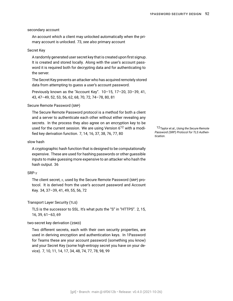#### <span id="page-91-4"></span><span id="page-91-0"></span>secondary account

An account which a client may unlocked automatically when the primary account is unlocked. [73](#page-72-0), *see also* [primary account](#page-90-5)

#### <span id="page-91-3"></span>Secret Key

A randomly generated user secret key that is created upon first signup. It is created and stored locally. Along with the user's [account pass](#page-86-0)[word](#page-86-0) it is required both for decrypting data and for authenticating to the server.

The Secret Key prevents an attacker who has acquired remotely stored data from attempting to guess a user's account password.

Previously known as the "Account Key". [10](#page-9-0)–[15,](#page-14-1) [17](#page-16-1)–[20](#page-19-0), [33–](#page-32-0)[39](#page-38-0), [41,](#page-40-0) [43](#page-42-1), [47–](#page-46-0)[49](#page-48-0), [52](#page-51-0), [53,](#page-52-0) [56](#page-55-0), [62,](#page-61-0) [68](#page-67-0), [70,](#page-69-0) [72,](#page-71-0) [74](#page-73-0)–[78,](#page-77-4) [80](#page-79-0), [81](#page-80-4)

#### <span id="page-91-2"></span>Secure Remote Password (SRP)

The Secure Remote Password protocol is a method for both a client and a server to authenticate each other without either revealing any secrets. In the process they also agree on an encryption key to be used for the current session. We are using Version 6<sup>12</sup> with a modi- 12Taylor et al., *[Using the Secure Remote](#page-94-0)* fied key derivation function. [7](#page-6-0), [14,](#page-13-1) [16](#page-15-0), [37,](#page-36-0) [38,](#page-37-0) [76](#page-75-0), [77,](#page-76-2) [80](#page-79-0)

#### slow hash

A cryptographic hash function that is designed to be computationally expensive. These are used for hashing passwords or other guessible inputs to make guessing more expensive to an attacker who hash the hash output. [36](#page-35-1)

#### $SRP-r$

The client secret,  $x$ , used by the Secure Remote Password (SRP) protocol. It is derived from the user's account password and Account Key. [34,](#page-33-1) [37](#page-36-0)–[39,](#page-38-0) [41](#page-40-0), [49](#page-48-0), [55,](#page-54-0) [56](#page-55-0), [72](#page-71-0)

#### Transport Layer Security (TLS)

TLS is the successor to SSL. It's what puts the "S" in "HTTPS". [2](#page-1-0), [15,](#page-14-1) [16](#page-15-0), [39,](#page-38-0) [61](#page-60-0)–[63](#page-62-0), [69](#page-68-0)

#### <span id="page-91-1"></span>two-secret key derivation (2SKD)

Two different secrets, each with their own security properties, are used in deriving encryption and authentication keys. In 1Password for Teams these are your account password (something you know) and your Secret Key (some high-entropy secret you have on your device). [7,](#page-6-0) [10](#page-9-0), [11,](#page-10-1) [14](#page-13-1), [17,](#page-16-1) [34,](#page-33-1) [48](#page-47-1), [74,](#page-73-0) [77](#page-76-2), [78,](#page-77-4) [98,](#page-97-0) [99](#page-98-0)

*[Password \(SRP\) Protocol for TLS Authen](#page-94-0)[tication](#page-94-0)*.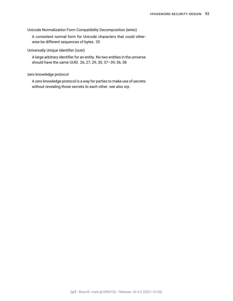Unicode Normalization Form Compatibility Decomposition (NFKD)

A consistent normal form for Unicode characters that could otherwise be different sequences of bytes. [35](#page-34-0)

Universally Unique Identifier (UUID)

A large arbitrary identifier for an entity. No two entities in the universe should have the same UUID. [26,](#page-25-0) [27](#page-26-0), [29,](#page-28-0) [30](#page-29-0), [37](#page-36-0)–[39,](#page-38-0) [56](#page-55-0), [58](#page-57-0)

zero knowledge protocol

A zero knowledge protocol is a way for parties to make use of secrets without revealing those secrets to each other. *see also* [srp](#page-91-2)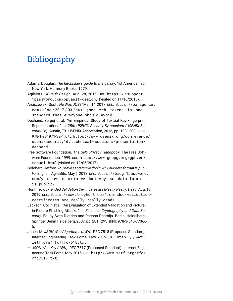## Bibliography

- Adams, Douglas. *The hitchhiker's guide to the galaxy*. 1st American ed. New York: Harmony Books, 1979.
- AgileBits. *OPVault Design*. Aug. 28, 2015. URL: [https : / / support .](https://support.1password.com/opvault-design/) [1password.com/opvault-design/](https://support.1password.com/opvault-design/) (visited on 11/16/2015).
- Arciszewski, Scott.*No Way, JOSE!* Mar. 14, 2017. URL: [https://paragonie.](https://paragonie.com/blog/2017/03/jwt-json-web-tokens-is-bad-standard-that-everyone-should-avoid) [com / blog / 2017 / 03 / jwt - json - web - tokens - is - bad](https://paragonie.com/blog/2017/03/jwt-json-web-tokens-is-bad-standard-that-everyone-should-avoid)  [standard-that-everyone-should-avoid](https://paragonie.com/blog/2017/03/jwt-json-web-tokens-is-bad-standard-that-everyone-should-avoid).
- <span id="page-93-1"></span>Dechand, Sergej et al. "An Empirical Study of Textual Key-Fingerprint Representations." In: *25th USENIX Security Symposium (USENIX Security 16)*. Austin, TX: USENIX Association, 2016, pp. 193–208. ISBN: 978-1-931971-32-4. URL: [https://www.usenix.org/conference/](https://www.usenix.org/conference/usenixsecurity16/technical-sessions/presentation/dechand) [usenixsecurity16/technical- sessions/presentation/](https://www.usenix.org/conference/usenixsecurity16/technical-sessions/presentation/dechand) [dechand](https://www.usenix.org/conference/usenixsecurity16/technical-sessions/presentation/dechand).
- <span id="page-93-0"></span>Free Software Foundation. *The GNU Privacy Handbook*. The Free Software Foundation. 1999. URL: [https://www.gnupg.org/gph/en/](https://www.gnupg.org/gph/en/manual.html) [manual.html](https://www.gnupg.org/gph/en/manual.html) (visited on 12/05/2017).
- Goldberg, Jeffrey. *You have secrets; we don't: Why our data format is public*. English. AgileBits. May 6, 2013. URL: [https://blog.1password.](https://blog.1password.com/you-have-secrets-we-dont-why-our-data-format-is-public/) [com/you-have-secrets-we-dont-why-our-data-format](https://blog.1password.com/you-have-secrets-we-dont-why-our-data-format-is-public/)[is-public/](https://blog.1password.com/you-have-secrets-we-dont-why-our-data-format-is-public/).
- Hunt, Troy. *Extended Validation Certificates are (Really, Really) Dead*. Aug. 13, 2019. URL: [https://www.troyhunt.com/extended-validation](https://www.troyhunt.com/extended-validation-certificates-are-really-really-dead/)[certificates-are-really-really-dead/](https://www.troyhunt.com/extended-validation-certificates-are-really-really-dead/).
- Jackson, Collin et al. "An Evaluation of Extended Validation and Picturein-Picture Phishing Attacks." In: *Financial Cryptography and Data Security*. Ed. by Sven Dietrich and Rachna Dhamija. Berlin, Heidelberg: Springer Berlin Heidelberg, 2007, pp. 281–293. ISBN: 978-3-540-77366- 5.
- Jones, M. *JSON Web Algorithms (JWA)*. RFC 7518 (Proposed Standard). Internet Engineering Task Force, May 2015. URL: [http : / / www .](http://www.ietf.org/rfc/rfc7518.txt) [ietf.org/rfc/rfc7518.txt](http://www.ietf.org/rfc/rfc7518.txt).
- <span id="page-93-2"></span>– *JSON Web Key (JWK)*. RFC 7517 (Proposed Standard). Internet Engineering Task Force, May 2015. URL: [http://www.ietf.org/rfc/](http://www.ietf.org/rfc/rfc7517.txt) [rfc7517.txt](http://www.ietf.org/rfc/rfc7517.txt).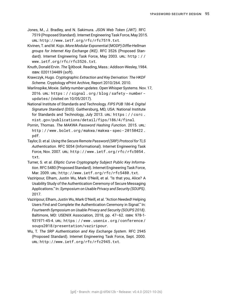- Jones, M., J. Bradley, and N. Sakimura. *JSON Web Token (JWT)*. RFC 7519 (Proposed Standard). Internet Engineering Task Force, May 2015. URL: <http://www.ietf.org/rfc/rfc7519.txt>.
- <span id="page-94-2"></span>Kivinen, T. and M. Kojo. *More Modular Exponential (MODP) Diffie-Hellman groups for Internet Key Exchange (IKE)*. RFC 3526 (Proposed Standard). Internet Engineering Task Force, May 2003. URL: [http : / /](http://www.ietf.org/rfc/rfc3526.txt) [www.ietf.org/rfc/rfc3526.txt](http://www.ietf.org/rfc/rfc3526.txt).
- Knuth, Donald Ervin. *The TEXbook*. Reading, Mass.: Addison-Wesley, 1984. ISBN: 0201134489 (soft).
- <span id="page-94-7"></span>Krawczyk, Hugo. *Cryptographic Extraction and Key Derivation: The HKDF Scheme*. Cryptology ePrint Archive, Report 2010/264. 2010.
- <span id="page-94-4"></span>Marlinspike, Moxie. *Safety number updates*. Open Whisper Systems. Nov. 17, 2016. URL: [https : / / signal . org / blog / safety - number](https://signal.org/blog/safety-number-updates/)  [updates/](https://signal.org/blog/safety-number-updates/) (visited on 10/05/2017).
- <span id="page-94-6"></span>National Institute of Standards and Technology. *FIPS PUB 186-4: Digital Signature Standard (DSS)*. Gaithersburg, MD, USA: National Institute for Standards and Technology, July 2013. URL: [https : / / csrc .](https://csrc.nist.gov/publications/detail/fips/186/4/final) [nist.gov/publications/detail/fips/186/4/final](https://csrc.nist.gov/publications/detail/fips/186/4/final).
- Pornin, Thomas. *The MAKWA Password Hashing Function*. 2015. URL: [http://www.bolet.org/makwa/makwa- spec- 20150422.](http://www.bolet.org/makwa/makwa-spec-20150422.pdf) [pdf](http://www.bolet.org/makwa/makwa-spec-20150422.pdf).
- <span id="page-94-0"></span>Taylor, D. et al. *Using the Secure Remote Password (SRP) Protocol for TLS Authentication*. RFC 5054 (Informational). Internet Engineering Task Force, Nov. 2007. URL: [http://www.ietf.org/rfc/rfc5054.](http://www.ietf.org/rfc/rfc5054.txt) [txt](http://www.ietf.org/rfc/rfc5054.txt).
- <span id="page-94-8"></span>Turner, S. et al. *Elliptic Curve Cryptography Subject Public Key Information*. RFC 5480 (Proposed Standard). Internet Engineering Task Force, Mar. 2009. URL: <http://www.ietf.org/rfc/rfc5480.txt>.
- <span id="page-94-5"></span>Vaziripour, Elham, Justin Wu, Mark O'Neill, et al. "Is that you, Alice? A Usability Study of the Authentication Ceremony of Secure Messaging Applications." In: *Symposium on Usable Privacy and Security (SOUPS)*. 2017.
- <span id="page-94-3"></span>Vaziripour, Elham, Justin Wu, Mark O'Neill, et al. "Action Needed! Helping Users Find and Complete the Authentication Ceremony in Signal." In: *Fourteenth Symposium on Usable Privacy and Security (SOUPS 2018)*. Baltimore, MD: USENIX Association, 2018, pp. 47-62. ISBN: 978-1-931971-45-4. URL: [https://www.usenix.org/conference/](https://www.usenix.org/conference/soups2018/presentation/vaziripour) [soups2018/presentation/vaziripour](https://www.usenix.org/conference/soups2018/presentation/vaziripour).
- <span id="page-94-1"></span>Wu, T. *The SRP Authentication and Key Exchange System*. RFC 2945 (Proposed Standard). Internet Engineering Task Force, Sept. 2000. URL: <http://www.ietf.org/rfc/rfc2945.txt>.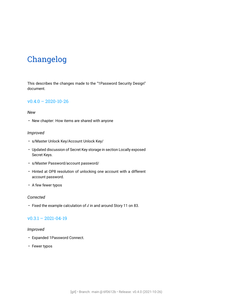## Changelog

This describes the changes made to the "1Password Security Design" document.

## v0.4.0 – 2020-10-26

#### *New*

• New chapter: [How items are shared with anyone](#page-23-1)

#### *Improved*

- s/Master Unlock Key/Account Unlock Key/
- Updated discussion of Secret Key storage in section [Locally exposed](#page-73-1) [Secret Keys.](#page-73-1)
- s/Master Password/account password/
- Hinted at OP8 resolution of unlocking one account with a different account password.
- A few fewer typos

#### *Corrected*

• Fixed the example calculation of  $d$  in and around Story [11](#page-82-0) on [83.](#page-82-0)

## $v0.3.1 - 2021 - 04 - 19$

#### *Improved*

- Expanded [1Password Connect.](#page-52-1)
- Fewer typos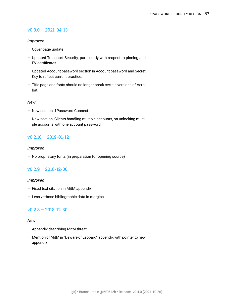## $v0.3.0 - 2021 - 04 - 13$

## *Improved*

- Cover page update
- Updated [Transport Security](#page-60-1), particularly with respect to pinning and EV certificates.
- Updated [Account password](#page-9-1) section in [Account password and Secret](#page-9-2) [Key](#page-9-2) to reflect current practice.
- Title page and fonts should no longer break certain versions of Acrobat.

#### *New*

- New section, [1Password Connect.](#page-52-1)
- New section, [Clients handling multiple accounts,](#page-71-1) on unlocking multiple accounts with one account password.

## $v0.2.10 - 2019 - 01 - 12$

## *Improved*

• No proprietary fonts (in preparation for opening source)

## $v0.2.9 - 2018 - 12 - 30$

## *Improved*

- Fixed text citation in MitM appendix
- Less verbose bibliographic data in margins

## $v0.2.8 - 2018 - 12 - 30$

#### *New*

- Appendix describing MitM threat
- Mention of MitM in "Beware of Leopard" appendix with pointer to new appendix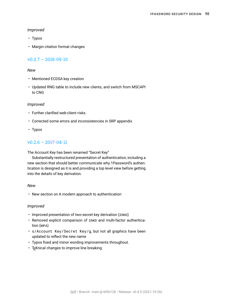#### <span id="page-97-0"></span>*Improved*

- Typos
- Margin citation format changes

## v0.2.7 – 2018-09-10

## *New*

- Mentioned ECDSA key creation
- Updated RNG table to include new clients, and switch from MSCAPI to CNG

## *Improved*

- Further clarified web-client risks.
- Corrected some errors and inconsistencies in SRP appendix
- Typos

## $v0.2.6 - 2017 - 04 - 11$

The Account Key has been renamed "Secret Key"

Substantially restructured presentation of authentication, including a new section that should better communicate why 1Password's authentication is designed as it is and providing a top level view before getting into the details of key derivation.

#### *New*

• New section on [A modern approach to authentication](#page-13-0)

## *Improved*

- Improved presentation of [two-secret key derivation \(2SKD\)](#page-91-1)
- Removed explicit comparison of 2SKD and [multi-factor authentica](#page-89-3)[tion \(MFA\)](#page-89-3)
- s/Account Key/Secret Key/g, but not all graphics have been updated to reflect the new name
- Typos fixed and minor wording improvements throughout.
- T<sub>F</sub>Xnical changes to improve line breaking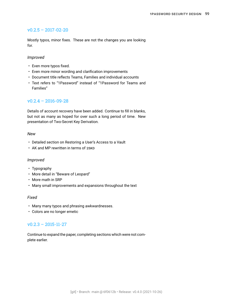## <span id="page-98-0"></span> $v0.2.5 - 2017 - 02 - 20$

Mostly typos, minor fixes. These are not the changes you are looking for.

#### *Improved*

- Even more typos fixed.
- Even more minor wording and clarification improvements
- Document title reflects Teams, Families and individual accounts
- Text refers to "1Password" instead of "1Password for Teams and Families"

## $v0.2.4 - 2016 - 09 - 28$

Details of account recovery have been added. Continue to fill in blanks, but not as many as hoped for over such a long period of time. New presentation of Two-Secret Key Derivation.

#### *New*

- Detailed section on [Restoring a User's Access to a Vault](#page-47-0)
- AK and MP rewritten in terms of 2SKD

#### *Improved*

- Typography
- More detail in "Beware of Leopard"
- More math in SRP
- Many small improvements and expansions throughout the text

#### *Fixed*

- Many many typos and phrasing awkwardnesses.
- Colors are no longer emetic

## $v0.2.3 - 2015 - 11 - 27$

Continue to expand the paper, completing sections which were not complete earlier.